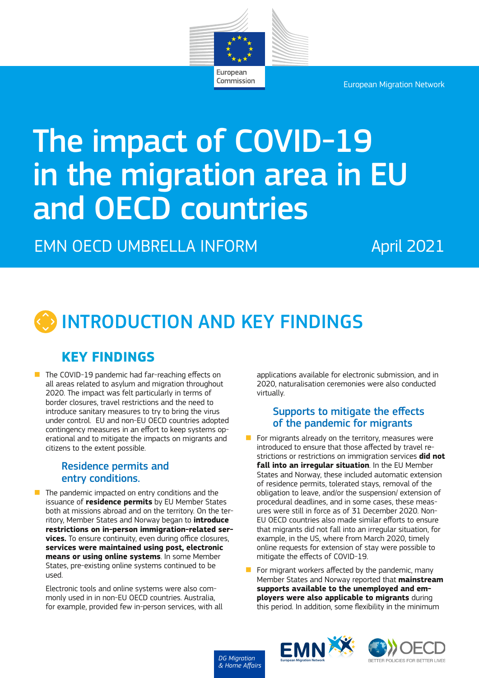

Commission

European Migration Network

# The impact of COVID-19 in the migration area in EU and OECD countries

EMN OECD UMBRELLA INFORM April 2021

# INTRODUCTION AND KEY FINDINGS

# **KEY FINDINGS**

 $\blacksquare$  The COVID-19 pandemic had far-reaching effects on all areas related to asylum and migration throughout 2020. The impact was felt particularly in terms of border closures, travel restrictions and the need to introduce sanitary measures to try to bring the virus under control. EU and non-EU OECD countries adopted contingency measures in an effort to keep systems operational and to mitigate the impacts on migrants and citizens to the extent possible.

#### Residence permits and entry conditions.

 $\blacksquare$  The pandemic impacted on entry conditions and the issuance of **residence permits** by EU Member States both at missions abroad and on the territory. On the territory, Member States and Norway began to **introduce restrictions on in-person immigration-related services.** To ensure continuity, even during office closures, **services were maintained using post, electronic means or using online systems**. In some Member States, pre-existing online systems continued to be used.

Electronic tools and online systems were also commonly used in in non-EU OECD countries. Australia, for example, provided few in-person services, with all applications available for electronic submission, and in 2020, naturalisation ceremonies were also conducted virtually.

#### Supports to mitigate the effects of the pandemic for migrants

- $\blacksquare$  For migrants already on the territory, measures were introduced to ensure that those affected by travel restrictions or restrictions on immigration services **did not fall into an irregular situation**. In the EU Member States and Norway, these included automatic extension of residence permits, tolerated stays, removal of the obligation to leave, and/or the suspension/ extension of procedural deadlines, and in some cases, these measures were still in force as of 31 December 2020. Non-EU OECD countries also made similar efforts to ensure that migrants did not fall into an irregular situation, for example, in the US, where from March 2020, timely online requests for extension of stay were possible to mitigate the effects of COVID-19.
- $\blacksquare$  For migrant workers affected by the pandemic, many Member States and Norway reported that **mainstream supports available to the unemployed and employers were also applicable to migrants** during this period. In addition, some flexibility in the minimum





*DG Migration & Home Affairs*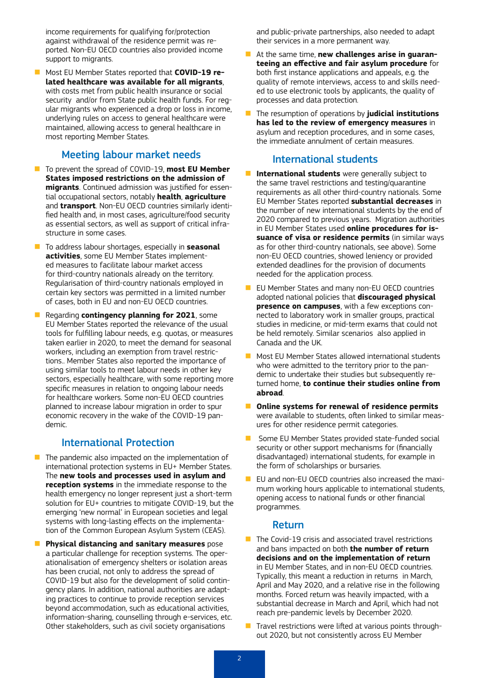income requirements for qualifying for/protection against withdrawal of the residence permit was reported. Non-EU OECD countries also provided income support to migrants.

**n** Most EU Member States reported that **COVID-19 related healthcare was available for all migrants**, with costs met from public health insurance or social security and/or from State public health funds. For regular migrants who experienced a drop or loss in income, underlying rules on access to general healthcare were maintained, allowing access to general healthcare in most reporting Member States.

#### Meeting labour market needs

- **n** To prevent the spread of COVID-19, **most EU Member States imposed restrictions on the admission of migrants**. Continued admission was justified for essential occupational sectors, notably **health**, **agriculture** and **transport**. Non-EU OECD countries similarly identified health and, in most cases, agriculture/food security as essential sectors, as well as support of critical infrastructure in some cases.
- **n** To address labour shortages, especially in **seasonal activities**, some EU Member States implemented measures to facilitate labour market access for third-country nationals already on the territory. Regularisation of third-country nationals employed in certain key sectors was permitted in a limited number of cases, both in EU and non-EU OECD countries.
- n Regarding **contingency planning for 2021**, some EU Member States reported the relevance of the usual tools for fulfilling labour needs, e.g. quotas, or measures taken earlier in 2020, to meet the demand for seasonal workers, including an exemption from travel restrictions.. Member States also reported the importance of using similar tools to meet labour needs in other key sectors, especially healthcare, with some reporting more specific measures in relation to ongoing labour needs for healthcare workers. Some non-EU OECD countries planned to increase labour migration in order to spur economic recovery in the wake of the COVID-19 pandemic.

#### International Protection

- $\blacksquare$  The pandemic also impacted on the implementation of international protection systems in EU+ Member States. The **new tools and processes used in asylum and reception systems** in the immediate response to the health emergency no longer represent just a short-term solution for EU+ countries to mitigate COVID-19, but the emerging 'new normal' in European societies and legal systems with long-lasting effects on the implementation of the Common European Asylum System (CEAS).
- **n Physical distancing and sanitary measures** pose a particular challenge for reception systems. The operationalisation of emergency shelters or isolation areas has been crucial, not only to address the spread of COVID-19 but also for the development of solid contingency plans. In addition, national authorities are adapting practices to continue to provide reception services beyond accommodation, such as educational activities, information-sharing, counselling through e-services, etc. Other stakeholders, such as civil society organisations

and public-private partnerships, also needed to adapt their services in a more permanent way.

- **n** At the same time, **new challenges arise in quaranteeing an effective and fair asylum procedure** for both first instance applications and appeals, e.g. the quality of remote interviews, access to and skills needed to use electronic tools by applicants, the quality of processes and data protection.
- n The resumption of operations by **judicial institutions has led to the review of emergency measures** in asylum and reception procedures, and in some cases, the immediate annulment of certain measures.

#### International students

- **n International students** were generally subject to the same travel restrictions and testing/quarantine requirements as all other third-country nationals. Some EU Member States reported **substantial decreases** in the number of new international students by the end of 2020 compared to previous years. Migration authorities in EU Member States used **online procedures for issuance of visa or residence permits** (in similar ways as for other third-country nationals, see above). Some non-EU OECD countries, showed leniency or provided extended deadlines for the provision of documents needed for the application process.
- EU Member States and many non-EU OECD countries adopted national policies that **discouraged physical presence on campuses**, with a few exceptions connected to laboratory work in smaller groups, practical studies in medicine, or mid-term exams that could not be held remotely. Similar scenarios also applied in Canada and the UK.
- **n** Most EU Member States allowed international students who were admitted to the territory prior to the pandemic to undertake their studies but subsequently returned home, **to continue their studies online from abroad**.
- **n** Online systems for renewal of residence permits were available to students, often linked to similar measures for other residence permit categories.
- **n** Some EU Member States provided state-funded social security or other support mechanisms for (financially disadvantaged) international students, for example in the form of scholarships or bursaries.
- $\blacksquare$  EU and non-EU OECD countries also increased the maximum working hours applicable to international students, opening access to national funds or other financial programmes.

#### Return

- $\blacksquare$  The Covid-19 crisis and associated travel restrictions and bans impacted on both **the number of return decisions and on the implementation of return** in EU Member States, and in non-EU OECD countries. Typically, this meant a reduction in returns in March, April and May 2020, and a relative rise in the following months. Forced return was heavily impacted, with a substantial decrease in March and April, which had not reach pre-pandemic levels by December 2020.
- $\blacksquare$  Travel restrictions were lifted at various points throughout 2020, but not consistently across EU Member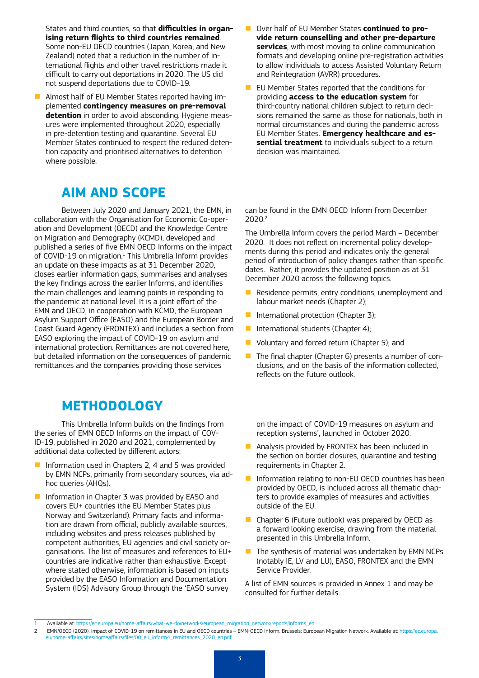States and third counties, so that **difficulties in organising return flights to third countries remained**. Some non-EU OECD countries (Japan, Korea, and New Zealand) noted that a reduction in the number of international flights and other travel restrictions made it difficult to carry out deportations in 2020. The US did not suspend deportations due to COVID-19.

■ Almost half of EU Member States reported having implemented **contingency measures on pre-removal detention** in order to avoid absconding. Hygiene measures were implemented throughout 2020, especially in pre-detention testing and quarantine. Several EU Member States continued to respect the reduced detention capacity and prioritised alternatives to detention where possible.

# **AIM AND SCOPE**

Between July 2020 and January 2021, the EMN, in collaboration with the Organisation for Economic Co-operation and Development (OECD) and the Knowledge Centre on Migration and Demography (KCMD), developed and published a series of five EMN OECD Informs on the impact of COVID-19 on migration.<sup>1</sup> This Umbrella Inform provides an update on these impacts as at 31 December 2020, closes earlier information gaps, summarises and analyses the key findings across the earlier Informs, and identifies the main challenges and learning points in responding to the pandemic at national level. It is a joint effort of the EMN and OECD, in cooperation with KCMD, the European Asylum Support Office (EASO) and the European Border and Coast Guard Agency (FRONTEX) and includes a section from EASO exploring the impact of COVID-19 on asylum and international protection. Remittances are not covered here, but detailed information on the consequences of pandemic remittances and the companies providing those services

# **METHODOLOGY**

This Umbrella Inform builds on the findings from the series of EMN OECD Informs on the impact of COV-ID-19, published in 2020 and 2021, complemented by additional data collected by different actors:

- **n** Information used in Chapters 2, 4 and 5 was provided by EMN NCPs, primarily from secondary sources, via adhoc queries (AHQs).
- **n** Information in Chapter 3 was provided by EASO and covers EU+ countries (the EU Member States plus Norway and Switzerland). Primary facts and information are drawn from official, publicly available sources, including websites and press releases published by competent authorities, EU agencies and civil society organisations. The list of measures and references to EU+ countries are indicative rather than exhaustive. Except where stated otherwise, information is based on inputs provided by the EASO Information and Documentation System (IDS) Advisory Group through the 'EASO survey
- **n** Over half of EU Member States **continued to provide return counselling and other pre-departure services**, with most moving to online communication formats and developing online pre-registration activities to allow individuals to access Assisted Voluntary Return and Reintegration (AVRR) procedures.
- EU Member States reported that the conditions for providing **access to the education system** for third-country national children subject to return decisions remained the same as those for nationals, both in normal circumstances and during the pandemic across EU Member States. **Emergency healthcare and essential treatment** to individuals subject to a return decision was maintained.

can be found in the EMN OECD Inform from December 2020.2

The Umbrella Inform covers the period March – December 2020. It does not reflect on incremental policy developments during this period and indicates only the general period of introduction of policy changes rather than specific dates. Rather, it provides the updated position as at 31 December 2020 across the following topics.

- $\blacksquare$  Residence permits, entry conditions, unemployment and labour market needs (Chapter 2);
- International protection (Chapter 3);
- International students (Chapter 4);
- $\blacksquare$  Voluntary and forced return (Chapter 5); and
- $\blacksquare$  The final chapter (Chapter 6) presents a number of conclusions, and on the basis of the information collected, reflects on the future outlook.

on the impact of COVID-19 measures on asylum and reception systems', launched in October 2020.

- $\blacksquare$  Analysis provided by FRONTEX has been included in the section on border closures, quarantine and testing requirements in Chapter 2.
- $\blacksquare$  Information relating to non-EU OECD countries has been provided by OECD, is included across all thematic chapters to provide examples of measures and activities outside of the EU.
- $\blacksquare$  Chapter 6 (Future outlook) was prepared by OECD as a forward looking exercise, drawing from the material presented in this Umbrella Inform.
- $\blacksquare$  The synthesis of material was undertaken by EMN NCPs (notably IE, LV and LU), EASO, FRONTEX and the EMN Service Provider.

A list of EMN sources is provided in Annex 1 and may be consulted for further details.

<sup>1</sup> Available at: [https://ec.europa.eu/home-affairs/what-we-do/networks/european\\_migration\\_network/reports/informs\\_en](https://ec.europa.eu/home-affairs/what-we-do/networks/european_migration_network/reports/informs_en)

<sup>2</sup> EMN/OECD (2020). Impact of COVID-19 on remittances in EU and OECD countries – EMN-OECD Inform. Brussels: European Migration Network. Available at: [https://ec.europa.](https://ec.europa.eu/home-affairs/sites/homeaffairs/files/00_eu_inform4_remittances_2020_en.pdf) [eu/home-affairs/sites/homeaffairs/files/00\\_eu\\_inform4\\_remittances\\_2020\\_en.pdf](https://ec.europa.eu/home-affairs/sites/homeaffairs/files/00_eu_inform4_remittances_2020_en.pdf)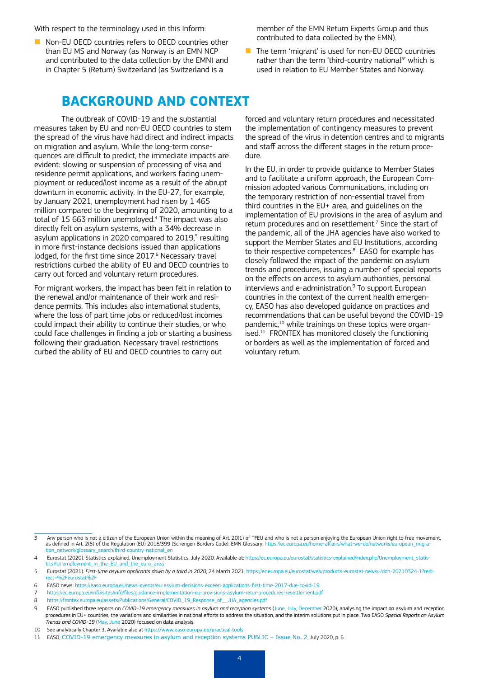With respect to the terminology used in this Inform:

 $\blacksquare$  Non-EU OECD countries refers to OECD countries other than EU MS and Norway (as Norway is an EMN NCP and contributed to the data collection by the EMN) and in Chapter 5 (Return) Switzerland (as Switzerland is a

member of the EMN Return Experts Group and thus contributed to data collected by the EMN).

 $\blacksquare$  The term 'migrant' is used for non-EU OECD countries rather than the term 'third-country national<sup>3</sup>' which is used in relation to EU Member States and Norway.

### **BACKGROUND AND CONTEXT**

The outbreak of COVID-19 and the substantial measures taken by EU and non-EU OECD countries to stem the spread of the virus have had direct and indirect impacts on migration and asylum. While the long-term consequences are difficult to predict, the immediate impacts are evident: slowing or suspension of processing of visa and residence permit applications, and workers facing unemployment or reduced/lost income as a result of the abrupt downturn in economic activity. In the EU-27, for example, by January 2021, unemployment had risen by 1 465 million compared to the beginning of 2020, amounting to a total of 15 663 million unemployed.4 The impact was also directly felt on asylum systems, with a 34% decrease in asylum applications in 2020 compared to  $2019<sup>5</sup>$  resulting in more first-instance decisions issued than applications lodged, for the first time since 2017.<sup>6</sup> Necessary travel restrictions curbed the ability of EU and OECD countries to carry out forced and voluntary return procedures.

For migrant workers, the impact has been felt in relation to the renewal and/or maintenance of their work and residence permits. This includes also international students, where the loss of part time jobs or reduced/lost incomes could impact their ability to continue their studies, or who could face challenges in finding a job or starting a business following their graduation. Necessary travel restrictions curbed the ability of EU and OECD countries to carry out

forced and voluntary return procedures and necessitated the implementation of contingency measures to prevent the spread of the virus in detention centres and to migrants and staff across the different stages in the return procedure.

In the EU, in order to provide guidance to Member States and to facilitate a uniform approach, the European Commission adopted various Communications, including on the temporary restriction of non-essential travel from third countries in the EU+ area, and guidelines on the implementation of EU provisions in the area of asylum and return procedures and on resettlement.<sup>7</sup> Since the start of the pandemic, all of the JHA agencies have also worked to support the Member States and EU Institutions, according to their respective competences.<sup>8</sup> EASO for example has closely followed the impact of the pandemic on asylum trends and procedures, issuing a number of special reports on the effects on access to asylum authorities, personal interviews and e-administration.<sup>9</sup> To support European countries in the context of the current health emergency, EASO has also developed guidance on practices and recommendations that can be useful beyond the COVID-19 pandemic,<sup>10</sup> while trainings on these topics were organ $i$ sed.<sup>11</sup> FRONTEX has monitored closely the functioning or borders as well as the implementation of forced and voluntary return.

<sup>3</sup> Any person who is not a citizen of the European Union within the meaning of Art. 20(1) of TFEU and who is not a person enjoying the European Union [right to free movement,](https://ec.europa.eu/home-affairs/what-we-do/networks/european_migration_network/glossary_search/right-free-movement_en) as defined in Art. 2(5) of the [Regulation \(EU\) 2016/399 \(Schengen Borders Code\)](http://eur-lex.europa.eu/legal-content/EN/TXT/?uri=URISERV:l14514). EMN Glossary: [https://ec.europa.eu/home-affairs/what-we-do/networks/european\\_migra](https://ec.europa.eu/home-affairs/what-we-do/networks/european_migration_network/glossary_search/third-country-national_en%20)[tion\\_network/glossary\\_search/third-country-national\\_en](https://ec.europa.eu/home-affairs/what-we-do/networks/european_migration_network/glossary_search/third-country-national_en%20) 

<sup>4</sup> Eurostat (2020). Statistics explained, Unemployment Statistics, July 2020. Available at: https://ec.europa.eu/eurostat/statistics-explained/index.php/Unemployment\_statistics#Unemployment\_in\_the\_EU\_and\_the\_euro\_area

<sup>5</sup> Eurostat (2021). *First-time asylum applicants down by a third in 2020*, 24 March 2021. [https://ec.europa.eu/eurostat/web/products-eurostat-news/-/ddn-20210324-1?redi-](https://ec.europa.eu/eurostat/web/products-eurostat-news/-/ddn-20210324-1?redirect=%2Feurostat%2F)062Feurostat0621

<sup>6</sup> EASO news:<https://easo.europa.eu/news-events/eu-asylum-decisions-exceed-applications-first-time-2017-due-covid-19>

<sup>7</sup> <https://ec.europa.eu/info/sites/info/files/guidance-implementation-eu-provisions-asylum-retur-procedures-resettlement.pdf>

<sup>8</sup> [https://frontex.europa.eu/assets/Publications/General/COVID\\_19\\_Response\\_of\\_\\_JHA\\_agencies.pdf](https://frontex.europa.eu/assets/Publications/General/COVID_19_Response_of__JHA_agencies.pdf)

<sup>9</sup> EASO published three reports on *COVID-19 emergency measures in asylum and reception systems* ([June,](https://www.easo.europa.eu/sites/default/files/covid19-emergency-measures-asylum-reception-systems.pdf) [July](https://www.easo.europa.eu/sites/default/files/publications/covid19-emergency-measures-asylum-reception-systems-issue-2.pdf), [December](https://www.easo.europa.eu/sites/default/files/publications/COVID-19%20emergency%20measures%20in%20asylum%20and%20reception%20systems-December-2020_new.pdf) 2020), analysing the impact on asylum and reception procedures in EU+ countries, the variations and similarities in national efforts to address the situation, and the interim solutions put in place. Two EASO *Special Reports on Asylum Trends and COVID-19* [\(May,](https://www.easo.europa.eu/sites/default/files/easo-special-report-asylum-covid.pdf) [June](https://www.easo.europa.eu/publications/easo-special-report-asylum-trends-and-covid-19-issue-2) 2020) focused on data analysis.

<sup>10</sup> See analytically Chapter 3. Available also at <https://www.easo.europa.eu/practical-tools>

<sup>11</sup> EASO, [COVID-19 emergency measures in asylum and reception systems PUBLIC – Issue No. 2](https://www.easo.europa.eu/sites/default/files/publications/covid19-emergency-measures-asylum-reception-systems-issue-2.pdf), July 2020, p. 6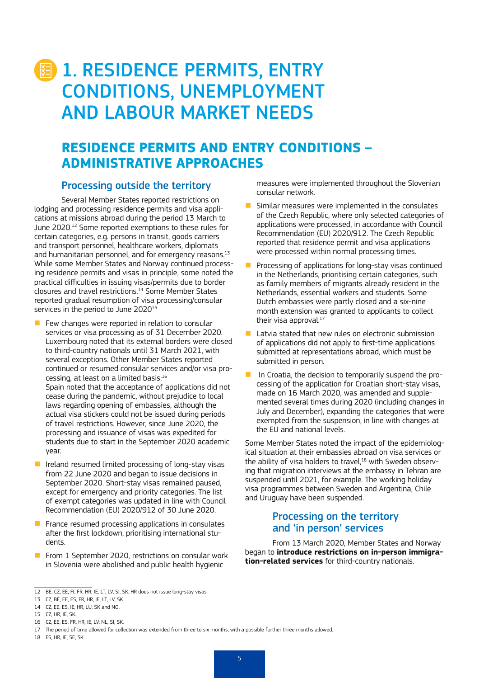# **1. RESIDENCE PERMITS, ENTRY** CONDITIONS, UNEMPLOYMENT AND LABOUR MARKET NEEDS

# **RESIDENCE PERMITS AND ENTRY CONDITIONS – ADMINISTRATIVE APPROACHES**

#### Processing outside the territory

Several Member States reported restrictions on lodging and processing residence permits and visa applications at missions abroad during the period 13 March to June 2020.12 Some reported exemptions to these rules for certain categories, e.g. persons in transit, goods carriers and transport personnel, healthcare workers, diplomats and humanitarian personnel, and for emergency reasons.<sup>13</sup> While some Member States and Norway continued processing residence permits and visas in principle, some noted the practical difficulties in issuing visas/permits due to border closures and travel restrictions.14 Some Member States reported gradual resumption of visa processing/consular services in the period to June 2020<sup>15</sup>

- Few changes were reported in relation to consular services or visa processing as of 31 December 2020. Luxembourg noted that its external borders were closed to third-country nationals until 31 March 2021, with several exceptions. Other Member States reported continued or resumed consular services and/or visa processing, at least on a limited basis:16 Spain noted that the acceptance of applications did not cease during the pandemic, without prejudice to local laws regarding opening of embassies, although the actual visa stickers could not be issued during periods of travel restrictions. However, since June 2020, the processing and issuance of visas was expedited for students due to start in the September 2020 academic year.
- $\blacksquare$  Ireland resumed limited processing of long-stay visas from 22 June 2020 and began to issue decisions in September 2020. Short-stay visas remained paused, except for emergency and priority categories. The list of exempt categories was updated in line with Council Recommendation (EU) 2020/912 of 30 June 2020.
- $\blacksquare$  France resumed processing applications in consulates after the first lockdown, prioritising international students.
- From 1 September 2020, restrictions on consular work in Slovenia were abolished and public health hygienic

measures were implemented throughout the Slovenian consular network.

- Similar measures were implemented in the consulates of the Czech Republic, where only selected categories of applications were processed, in accordance with Council Recommendation (EU) 2020/912. The Czech Republic reported that residence permit and visa applications were processed within normal processing times.
- Processing of applications for long-stay visas continued in the Netherlands, prioritising certain categories, such as family members of migrants already resident in the Netherlands, essential workers and students. Some Dutch embassies were partly closed and a six-nine month extension was granted to applicants to collect their visa approval.<sup>17</sup>
- $\blacksquare$  Latvia stated that new rules on electronic submission of applications did not apply to first-time applications submitted at representations abroad, which must be submitted in person.
- **n** In Croatia, the decision to temporarily suspend the processing of the application for Croatian short-stay visas, made on 16 March 2020, was amended and supplemented several times during 2020 (including changes in July and December), expanding the categories that were exempted from the suspension, in line with changes at the EU and national levels.

Some Member States noted the impact of the epidemiological situation at their embassies abroad on visa services or the ability of visa holders to travel,<sup>18</sup> with Sweden observing that migration interviews at the embassy in Tehran are suspended until 2021, for example. The working holiday visa programmes between Sweden and Argentina, Chile and Uruguay have been suspended.

#### Processing on the territory and 'in person' services

From 13 March 2020, Member States and Norway began to **introduce restrictions on in-person immigration-related services** for third-country nationals.

18 ES, HR, IE, SE, SK.

<sup>12</sup> BE, CZ, EE, FI, FR, HR, IE, LT, LV, SI, SK. HR does not issue long-stay visas.

<sup>13</sup> CZ, BE, EE, ES, FR, HR, IE, LT, LV, SK.

<sup>14</sup> CZ, EE, ES, IE, HR, LU, SK and NO.

<sup>15</sup> CZ, HR, IE, SK.

<sup>16</sup> CZ, EE, ES, FR, HR, IE, LV, NL, SI, SK.

<sup>17</sup> The period of time allowed for collection was extended from three to six months, with a possible further three months allowed.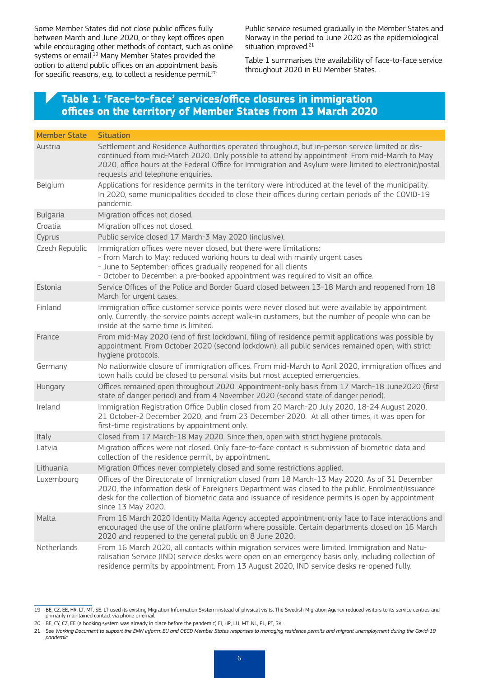Some Member States did not close public offices fully between March and June 2020, or they kept offices open while encouraging other methods of contact, such as online systems or email.<sup>19</sup> Many Member States provided the option to attend public offices on an appointment basis for specific reasons, e.g. to collect a residence permit.20

Public service resumed gradually in the Member States and Norway in the period to June 2020 as the epidemiological situation improved.<sup>21</sup>

Table 1 summarises the availability of face-to-face service throughout 2020 in EU Member States. .

#### **Table 1: 'Face-to-face' services/office closures in immigration offices on the territory of Member States from 13 March 2020**

| <b>Member State</b> | <b>Situation</b>                                                                                                                                                                                                                                                                                                                              |
|---------------------|-----------------------------------------------------------------------------------------------------------------------------------------------------------------------------------------------------------------------------------------------------------------------------------------------------------------------------------------------|
| Austria             | Settlement and Residence Authorities operated throughout, but in-person service limited or dis-<br>continued from mid-March 2020. Only possible to attend by appointment. From mid-March to May<br>2020, office hours at the Federal Office for Immigration and Asylum were limited to electronic/postal<br>requests and telephone enquiries. |
| Belgium             | Applications for residence permits in the territory were introduced at the level of the municipality.<br>In 2020, some municipalities decided to close their offices during certain periods of the COVID-19<br>pandemic.                                                                                                                      |
| <b>Bulgaria</b>     | Migration offices not closed.                                                                                                                                                                                                                                                                                                                 |
| Croatia             | Migration offices not closed.                                                                                                                                                                                                                                                                                                                 |
| Cyprus              | Public service closed 17 March-3 May 2020 (inclusive).                                                                                                                                                                                                                                                                                        |
| Czech Republic      | Immigration offices were never closed, but there were limitations:<br>- from March to May: reduced working hours to deal with mainly urgent cases<br>- June to September: offices gradually reopened for all clients<br>- October to December: a pre-booked appointment was required to visit an office.                                      |
| Estonia             | Service Offices of the Police and Border Guard closed between 13-18 March and reopened from 18<br>March for urgent cases.                                                                                                                                                                                                                     |
| Finland             | Immigration office customer service points were never closed but were available by appointment<br>only. Currently, the service points accept walk-in customers, but the number of people who can be<br>inside at the same time is limited.                                                                                                    |
| France              | From mid-May 2020 (end of first lockdown), filing of residence permit applications was possible by<br>appointment. From October 2020 (second lockdown), all public services remained open, with strict<br>hygiene protocols.                                                                                                                  |
| Germany             | No nationwide closure of immigration offices. From mid-March to April 2020, immigration offices and<br>town halls could be closed to personal visits but most accepted emergencies.                                                                                                                                                           |
| Hungary             | Offices remained open throughout 2020. Appointment-only basis from 17 March-18 June2020 (first<br>state of danger period) and from 4 November 2020 (second state of danger period).                                                                                                                                                           |
| Ireland             | Immigration Registration Office Dublin closed from 20 March-20 July 2020, 18-24 August 2020,<br>21 October-2 December 2020, and from 23 December 2020. At all other times, it was open for<br>first-time registrations by appointment only.                                                                                                   |
| Italy               | Closed from 17 March-18 May 2020. Since then, open with strict hygiene protocols.                                                                                                                                                                                                                                                             |
| Latvia              | Migration offices were not closed. Only face-to-face contact is submission of biometric data and<br>collection of the residence permit, by appointment.                                                                                                                                                                                       |
| Lithuania           | Migration Offices never completely closed and some restrictions applied.                                                                                                                                                                                                                                                                      |
| Luxembourg          | Offices of the Directorate of Immigration closed from 18 March-13 May 2020. As of 31 December<br>2020, the information desk of Foreigners Department was closed to the public. Enrolment/issuance<br>desk for the collection of biometric data and issuance of residence permits is open by appointment<br>since 13 May 2020.                 |
| Malta               | From 16 March 2020 Identity Malta Agency accepted appointment-only face to face interactions and<br>encouraged the use of the online platform where possible. Certain departments closed on 16 March<br>2020 and reopened to the general public on 8 June 2020.                                                                               |
| Netherlands         | From 16 March 2020, all contacts within migration services were limited. Immigration and Natu-<br>ralisation Service (IND) service desks were open on an emergency basis only, including collection of<br>residence permits by appointment. From 13 August 2020, IND service desks re-opened fully.                                           |

<sup>19</sup> BE, CZ, EE, HR, LT, MT, SE. LT used its existing Migration Information System instead of physical visits. The Swedish Migration Agency reduced visitors to its service centres and primarily maintained contact via phone or email.

<sup>20</sup> BE, CY, CZ, EE (a booking system was already in place before the pandemic) FI, HR, LU, MT, NL, PL, PT, SK.

<sup>21</sup> See *Working Document to support the EMN Inform: EU and OECD Member States responses to managing residence permits and migrant unemployment during the Covid-19 pandemic.*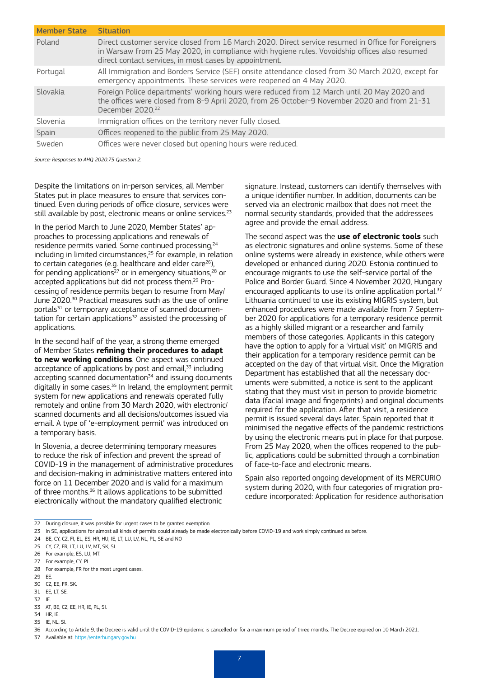| <b>Member State</b> | <b>Situation</b>                                                                                                                                                                                                                                              |
|---------------------|---------------------------------------------------------------------------------------------------------------------------------------------------------------------------------------------------------------------------------------------------------------|
| Poland              | Direct customer service closed from 16 March 2020. Direct service resumed in Office for Foreigners<br>in Warsaw from 25 May 2020, in compliance with hygiene rules. Vovoidship offices also resumed<br>direct contact services, in most cases by appointment. |
| Portugal            | All Immigration and Borders Service (SEF) onsite attendance closed from 30 March 2020, except for<br>emergency appointments. These services were reopened on 4 May 2020.                                                                                      |
| Slovakia            | Foreign Police departments' working hours were reduced from 12 March until 20 May 2020 and<br>the offices were closed from 8-9 April 2020, from 26 October-9 November 2020 and from 21-31<br>December 2020. <sup>22</sup>                                     |
| Slovenia            | Immigration offices on the territory never fully closed.                                                                                                                                                                                                      |
| Spain               | Offices reopened to the public from 25 May 2020.                                                                                                                                                                                                              |
| Sweden              | Offices were never closed but opening hours were reduced.                                                                                                                                                                                                     |

*Source: Responses to AHQ 2020.75 Question 2.*

Despite the limitations on in-person services, all Member States put in place measures to ensure that services continued. Even during periods of office closure, services were still available by post, electronic means or online services.<sup>23</sup>

In the period March to June 2020, Member States' approaches to processing applications and renewals of residence permits varied. Some continued processing.<sup>24</sup> including in limited circumstances,<sup>25</sup> for example, in relation to certain categories (e.g. healthcare and elder care<sup>26</sup>), for pending applications<sup>27</sup> or in emergency situations,<sup>28</sup> or accepted applications but did not process them.29 Processing of residence permits began to resume from May/ June 2020.30 Practical measures such as the use of online portals<sup>31</sup> or temporary acceptance of scanned documentation for certain applications $32$  assisted the processing of applications.

In the second half of the year, a strong theme emerged of Member States **refining their procedures to adapt to new working conditions**. One aspect was continued acceptance of applications by post and email, $33$  including accepting scanned documentation<sup>34</sup> and issuing documents digitally in some cases.35 In Ireland, the employment permit system for new applications and renewals operated fully remotely and online from 30 March 2020, with electronic/ scanned documents and all decisions/outcomes issued via email. A type of 'e-employment permit' was introduced on a temporary basis.

In Slovenia, a decree determining temporary measures to reduce the risk of infection and prevent the spread of COVID-19 in the management of administrative procedures and decision-making in administrative matters entered into force on 11 December 2020 and is valid for a maximum of three months.<sup>36</sup> It allows applications to be submitted electronically without the mandatory qualified electronic

signature. Instead, customers can identify themselves with a unique identifier number. In addition, documents can be served via an electronic mailbox that does not meet the normal security standards, provided that the addressees agree and provide the email address.

The second aspect was the **use of electronic tools** such as electronic signatures and online systems. Some of these online systems were already in existence, while others were developed or enhanced during 2020. Estonia continued to encourage migrants to use the self-service portal of the Police and Border Guard. Since 4 November 2020, Hungary encouraged applicants to use its online application portal.<sup>37</sup> Lithuania continued to use its existing MIGRIS system, but enhanced procedures were made available from 7 September 2020 for applications for a temporary residence permit as a highly skilled migrant or a researcher and family members of those categories. Applicants in this category have the option to apply for a 'virtual visit' on MIGRIS and their application for a temporary residence permit can be accepted on the day of that virtual visit. Once the Migration Department has established that all the necessary documents were submitted, a notice is sent to the applicant stating that they must visit in person to provide biometric data (facial image and fingerprints) and original documents required for the application. After that visit, a residence permit is issued several days later. Spain reported that it minimised the negative effects of the pandemic restrictions by using the electronic means put in place for that purpose. From 25 May 2020, when the offices reopened to the public, applications could be submitted through a combination of face-to-face and electronic means.

Spain also reported ongoing development of its MERCURIO system during 2020, with four categories of migration procedure incorporated: Application for residence authorisation

<sup>22</sup> During closure, it was possible for urgent cases to be granted exemption

<sup>23</sup> In SE, applications for almost all kinds of permits could already be made electronically before COVID-19 and work simply continued as before.

<sup>24</sup> BE, CY, CZ, FI, EL, ES, HR, HU, IE, LT, LU, LV, NL, PL, SE and NO

<sup>25</sup> CY, CZ, FR, LT, LU, LV, MT, SK, SI.

<sup>26</sup> For example, ES, LU, MT.

<sup>27</sup> For example, CY, PL.

<sup>28</sup> For example, FR for the most urgent cases.

<sup>29</sup> EE.

<sup>30</sup> CZ, EE, FR, SK.

<sup>31</sup> EE, LT, SE.

<sup>32</sup> IE.

<sup>33</sup> AT, BE, CZ, EE, HR, IE, PL, SI. 34 HR, IE.

<sup>35</sup> IE, NL, SI.

<sup>36</sup> According to Article 9, the Decree is valid until the COVID-19 epidemic is cancelled or for a maximum period of three months. The Decree expired on 10 March 2021.

<sup>37</sup> Available at:<https://enterhungary.gov.hu>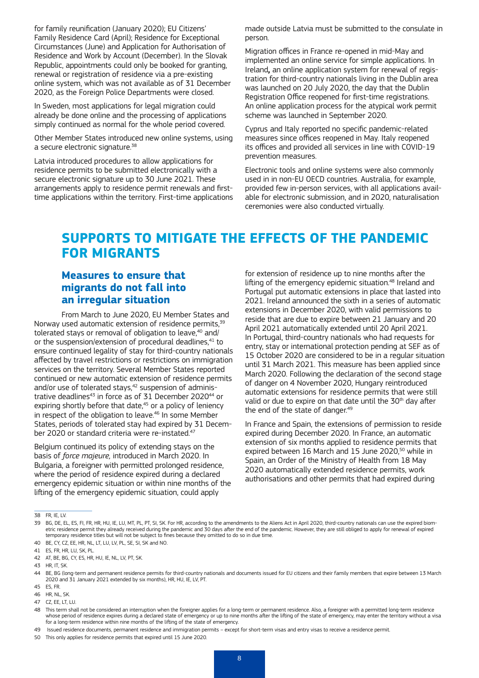for family reunification (January 2020); EU Citizens' Family Residence Card (April); Residence for Exceptional Circumstances (June) and Application for Authorisation of Residence and Work by Account (December). In the Slovak Republic, appointments could only be booked for granting, renewal or registration of residence via a pre-existing online system, which was not available as of 31 December 2020, as the Foreign Police Departments were closed.

In Sweden, most applications for legal migration could already be done online and the processing of applications simply continued as normal for the whole period covered.

Other Member States introduced new online systems, using a secure electronic signature.<sup>38</sup>

Latvia introduced procedures to allow applications for residence permits to be submitted electronically with a secure electronic signature up to 30 June 2021. These arrangements apply to residence permit renewals and firsttime applications within the territory. First-time applications made outside Latvia must be submitted to the consulate in person.

Migration offices in France re-opened in mid-May and implemented an online service for simple applications. In Ireland**,** an online application system for renewal of registration for third-country nationals living in the Dublin area was launched on 20 July 2020, the day that the Dublin Registration Office reopened for first-time registrations. An online application process for the atypical work permit scheme was launched in September 2020.

Cyprus and Italy reported no specific pandemic-related measures since offices reopened in May. Italy reopened its offices and provided all services in line with COVID-19 prevention measures.

Electronic tools and online systems were also commonly used in in non-EU OECD countries. Australia, for example, provided few in-person services, with all applications available for electronic submission, and in 2020, naturalisation ceremonies were also conducted virtually.

# **SUPPORTS TO MITIGATE THE EFFECTS OF THE PANDEMIC FOR MIGRANTS**

#### **Measures to ensure that migrants do not fall into an irregular situation**

From March to June 2020, EU Member States and Norway used automatic extension of residence permits,<sup>39</sup> tolerated stays or removal of obligation to leave,<sup>40</sup> and/ or the suspension/extension of procedural deadlines,<sup>41</sup> to ensure continued legality of stay for third-country nationals affected by travel restrictions or restrictions on immigration services on the territory. Several Member States reported continued or new automatic extension of residence permits and/or use of tolerated stays,<sup>42</sup> suspension of administrative deadlines<sup>43</sup> in force as of 31 December 2020<sup>44</sup> or expiring shortly before that date,<sup>45</sup> or a policy of leniency in respect of the obligation to leave.<sup>46</sup> In some Member States, periods of tolerated stay had expired by 31 December 2020 or standard criteria were re-instated.<sup>47</sup>

Belgium continued its policy of extending stays on the basis of *force majeure,* introduced in March 2020. In Bulgaria, a foreigner with permitted prolonged residence, where the period of residence expired during a declared emergency epidemic situation or within nine months of the lifting of the emergency epidemic situation, could apply

for extension of residence up to nine months after the lifting of the emergency epidemic situation.<sup>48</sup> Ireland and Portugal put automatic extensions in place that lasted into 2021. Ireland announced the sixth in a series of automatic extensions in December 2020, with valid permissions to reside that are due to expire between 21 January and 20 April 2021 automatically extended until 20 April 2021. In Portugal, third-country nationals who had requests for entry, stay or international protection pending at SEF as of 15 October 2020 are considered to be in a regular situation until 31 March 2021. This measure has been applied since March 2020. Following the declaration of the second stage of danger on 4 November 2020, Hungary reintroduced automatic extensions for residence permits that were still valid or due to expire on that date until the 30<sup>th</sup> day after the end of the state of danger.<sup>49</sup>

In France and Spain, the extensions of permission to reside expired during December 2020. In France, an automatic extension of six months applied to residence permits that expired between 16 March and 15 June 2020,<sup>50</sup> while in Spain, an Order of the Ministry of Health from 18 May 2020 automatically extended residence permits, work authorisations and other permits that had expired during

<sup>38</sup> FR, IE, LV.

<sup>39</sup> BG, DE, FL, FS, FL, FR, HR, HU, IE, LU, MT, PL, PT, SL, SK, For HR, according to the amendments to the Aliens Act in April 2020, third-country nationals can use the expired biometric residence permit they already received during the pandemic and 30 days after the end of the pandemic. However, they are still obliged to apply for renewal of expired temporary residence titles but will not be subject to fines because they omitted to do so in due time.

<sup>40</sup> BE, CY, CZ, EE, HR, NL, LT, LU, LV, PL, SE, SI, SK and NO.

<sup>41</sup> ES, FR, HR, LU, SK, PL.

<sup>42</sup> AT, BE, BG, CY, ES, HR, HU, IE, NL, LV, PT, SK.

<sup>43</sup> HR, IT, SK.

<sup>44</sup> BE, BG (long-term and permanent residence permits for third-country nationals and documents issued for EU citizens and their family members that expire between 13 March 2020 and 31 January 2021 extended by six months), HR, HU, IE, LV, PT.

<sup>45</sup> FS FR.

<sup>46</sup> HR, NL, SK.

<sup>47</sup> CZ, EE, LT, LU.

<sup>48</sup> This term shall not be considered an interruption when the foreigner applies for a long-term or permanent residence. Also, a foreigner with a permitted long-term residence whose period of residence expires during a declared state of emergency or up to nine months after the lifting of the state of emergency, may enter the territory without a visa for a long-term residence within nine months of the lifting of the state of emergency.

<sup>49</sup> Issued residence documents, permanent residence and immigration permits – except for short-term visas and entry visas to receive a residence permit.

<sup>50</sup> This only applies for residence permits that expired until 15 June 2020.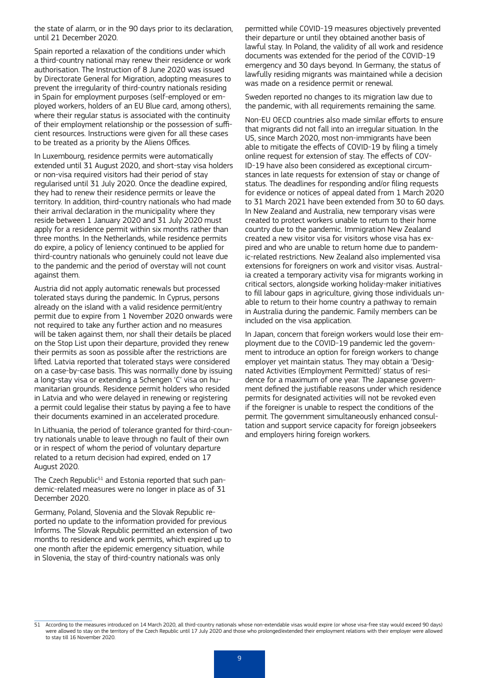the state of alarm, or in the 90 days prior to its declaration, until 21 December 2020.

Spain reported a relaxation of the conditions under which a third-country national may renew their residence or work authorisation. The Instruction of 8 June 2020 was issued by Directorate General for Migration, adopting measures to prevent the irregularity of third-country nationals residing in Spain for employment purposes (self-employed or employed workers, holders of an EU Blue card, among others), where their regular status is associated with the continuity of their employment relationship or the possession of sufficient resources. Instructions were given for all these cases to be treated as a priority by the Aliens Offices.

In Luxembourg, residence permits were automatically extended until 31 August 2020, and short-stay visa holders or non-visa required visitors had their period of stay regularised until 31 July 2020. Once the deadline expired, they had to renew their residence permits or leave the territory. In addition, third-country nationals who had made their arrival declaration in the municipality where they reside between 1 January 2020 and 31 July 2020 must apply for a residence permit within six months rather than three months. In the Netherlands, while residence permits do expire, a policy of leniency continued to be applied for third-country nationals who genuinely could not leave due to the pandemic and the period of overstay will not count against them.

Austria did not apply automatic renewals but processed tolerated stays during the pandemic. In Cyprus, persons already on the island with a valid residence permit/entry permit due to expire from 1 November 2020 onwards were not required to take any further action and no measures will be taken against them, nor shall their details be placed on the Stop List upon their departure, provided they renew their permits as soon as possible after the restrictions are lifted. Latvia reported that tolerated stays were considered on a case-by-case basis. This was normally done by issuing a long-stay visa or extending a Schengen 'C' visa on humanitarian grounds. Residence permit holders who resided in Latvia and who were delayed in renewing or registering a permit could legalise their status by paying a fee to have their documents examined in an accelerated procedure.

In Lithuania, the period of tolerance granted for third-country nationals unable to leave through no fault of their own or in respect of whom the period of voluntary departure related to a return decision had expired, ended on 17 August 2020.

The Czech Republic<sup>51</sup> and Estonia reported that such pandemic-related measures were no longer in place as of 31 December 2020.

Germany, Poland, Slovenia and the Slovak Republic reported no update to the information provided for previous Informs. The Slovak Republic permitted an extension of two months to residence and work permits, which expired up to one month after the epidemic emergency situation, while in Slovenia, the stay of third-country nationals was only

permitted while COVID-19 measures objectively prevented their departure or until they obtained another basis of lawful stay. In Poland, the validity of all work and residence documents was extended for the period of the COVID-19 emergency and 30 days beyond. In Germany, the status of lawfully residing migrants was maintained while a decision was made on a residence permit or renewal.

Sweden reported no changes to its migration law due to the pandemic, with all requirements remaining the same.

Non-EU OECD countries also made similar efforts to ensure that migrants did not fall into an irregular situation. In the US, since March 2020, most non-immigrants have been able to mitigate the effects of COVID-19 by filing a timely online request for extension of stay. The effects of COV-ID-19 have also been considered as exceptional circumstances in late requests for extension of stay or change of status. The deadlines for responding and/or filing requests for evidence or notices of appeal dated from 1 March 2020 to 31 March 2021 have been extended from 30 to 60 days. In New Zealand and Australia, new temporary visas were created to protect workers unable to return to their home country due to the pandemic. Immigration New Zealand created a new visitor visa for visitors whose visa has expired and who are unable to return home due to pandemic-related restrictions. New Zealand also implemented visa extensions for foreigners on work and visitor visas. Australia created a temporary activity visa for migrants working in critical sectors, alongside working holiday-maker initiatives to fill labour gaps in agriculture, giving those individuals unable to return to their home country a pathway to remain in Australia during the pandemic. Family members can be included on the visa application.

In Japan, concern that foreign workers would lose their employment due to the COVID-19 pandemic led the government to introduce an option for foreign workers to change employer yet maintain status. They may obtain a 'Designated Activities (Employment Permitted)' status of residence for a maximum of one year. The Japanese government defined the justifiable reasons under which residence permits for designated activities will not be revoked even if the foreigner is unable to respect the conditions of the permit. The government simultaneously enhanced consultation and support service capacity for foreign jobseekers and employers hiring foreign workers.

<sup>51</sup> According to the measures introduced on 14 March 2020, all third-country nationals whose non-extendable visas would expire (or whose visa-free stay would exceed 90 days) were allowed to stay on the territory of the Czech Republic until 17 July 2020 and those who prolonged/extended their employment relations with their employer were allowed to stay till 16 November 2020.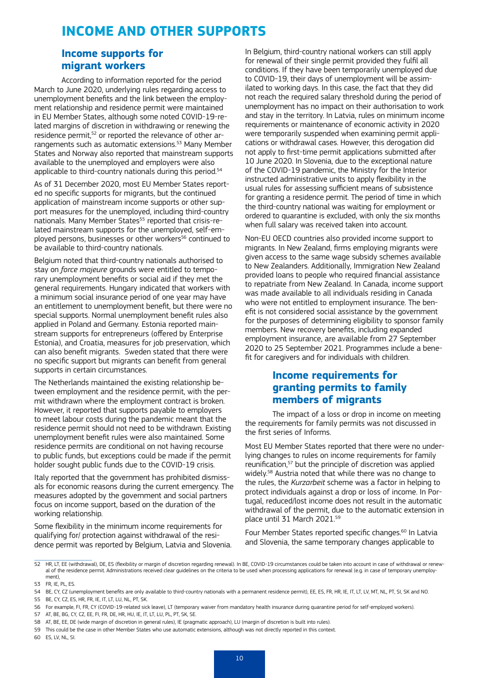# **INCOME AND OTHER SUPPORTS**

#### **Income supports for migrant workers**

According to information reported for the period March to June 2020, underlying rules regarding access to unemployment benefits and the link between the employment relationship and residence permit were maintained in EU Member States, although some noted COVID-19-related margins of discretion in withdrawing or renewing the residence permit,<sup>52</sup> or reported the relevance of other arrangements such as automatic extensions.<sup>53</sup> Many Member States and Norway also reported that mainstream supports available to the unemployed and employers were also applicable to third-country nationals during this period.<sup>54</sup>

As of 31 December 2020, most EU Member States reported no specific supports for migrants, but the continued application of mainstream income supports or other support measures for the unemployed, including third-country nationals. Many Member States<sup>55</sup> reported that crisis-related mainstream supports for the unemployed, self-employed persons, businesses or other workers<sup>56</sup> continued to be available to third-country nationals.

Belgium noted that third-country nationals authorised to stay on *force majeure* grounds were entitled to temporary unemployment benefits or social aid if they met the general requirements. Hungary indicated that workers with a minimum social insurance period of one year may have an entitlement to unemployment benefit, but there were no special supports. Normal unemployment benefit rules also applied in Poland and Germany. Estonia reported mainstream supports for entrepreneurs (offered by Enterprise Estonia), and Croatia, measures for job preservation, which can also benefit migrants. Sweden stated that there were no specific support but migrants can benefit from general supports in certain circumstances.

The Netherlands maintained the existing relationship between employment and the residence permit, with the permit withdrawn where the employment contract is broken. However, it reported that supports payable to employers to meet labour costs during the pandemic meant that the residence permit should not need to be withdrawn. Existing unemployment benefit rules were also maintained. Some residence permits are conditional on not having recourse to public funds, but exceptions could be made if the permit holder sought public funds due to the COVID-19 crisis.

Italy reported that the government has prohibited dismissals for economic reasons during the current emergency. The measures adopted by the government and social partners focus on income support, based on the duration of the working relationship.

Some flexibility in the minimum income requirements for qualifying for/ protection against withdrawal of the residence permit was reported by Belgium, Latvia and Slovenia. In Belgium, third-country national workers can still apply for renewal of their single permit provided they fulfil all conditions. If they have been temporarily unemployed due to COVID-19, their days of unemployment will be assimilated to working days. In this case, the fact that they did not reach the required salary threshold during the period of unemployment has no impact on their authorisation to work and stay in the territory. In Latvia, rules on minimum income requirements or maintenance of economic activity in 2020 were temporarily suspended when examining permit applications or withdrawal cases. However, this derogation did not apply to first-time permit applications submitted after 10 June 2020. In Slovenia, due to the exceptional nature of the COVID-19 pandemic, the Ministry for the Interior instructed administrative units to apply flexibility in the usual rules for assessing sufficient means of subsistence for granting a residence permit. The period of time in which the third-country national was waiting for employment or ordered to quarantine is excluded, with only the six months when full salary was received taken into account.

Non-EU OECD countries also provided income support to migrants. In New Zealand, firms employing migrants were given access to the same wage subsidy schemes available to New Zealanders. Additionally, Immigration New Zealand provided loans to people who required financial assistance to repatriate from New Zealand. In Canada, income support was made available to all individuals residing in Canada who were not entitled to employment insurance. The benefit is not considered social assistance by the government for the purposes of determining eligibility to sponsor family members. New recovery benefits, including expanded employment insurance, are available from 27 September 2020 to 25 September 2021. Programmes include a benefit for caregivers and for individuals with children.

#### **Income requirements for granting permits to family members of migrants**

The impact of a loss or drop in income on meeting the requirements for family permits was not discussed in the first series of Informs.

Most EU Member States reported that there were no underlying changes to rules on income requirements for family reunification,<sup>57</sup> but the principle of discretion was applied widely.58 Austria noted that while there was no change to the rules, the *Kurzarbeit* scheme was a factor in helping to protect individuals against a drop or loss of income. In Portugal, reduced/lost income does not result in the automatic withdrawal of the permit, due to the automatic extension in place until 31 March 2021.59

Four Member States reported specific changes.<sup>60</sup> In Latvia and Slovenia, the same temporary changes applicable to

60 ES, LV, NL, SI.

<sup>52</sup> HR, LT, EE (withdrawal), DE, ES (flexibility or margin of discretion regarding renewal). In BE, COVID-19 circumstances could be taken into account in case of withdrawal or renewal of the residence permit. Administrations received clear quidelines on the criteria to be used when processing applications for renewal (e.g. in case of temporary unemployment),

<sup>53</sup> FR, IE, PL, ES.

<sup>54</sup> BE, CY, CZ (unemployment benefits are only available to third-country nationals with a permanent residence permit), EE, ES, FR, HR, IE, IT, LT, LV, MT, NL, PT, SI, SK and NO.

<sup>55</sup> BE, CY, CZ, ES, HR, FR, IE, IT, LT, LU, NL, PT, SK.

<sup>56</sup> For example, FI, FR, CY (COVID-19-related sick leave), LT (temporary waiver from mandatory health insurance during quarantine period for self-employed workers).

<sup>57</sup> AT, BE, BG, CY, CZ, EE, FI, FR, DE, HR, HU, IE, IT, LT, LU, PL, PT, SK, SE.

<sup>58</sup> AT, BE, EE, DE (wide margin of discretion in general rules), IE (pragmatic approach), LU (margin of discretion is built into rules).

<sup>59</sup> This could be the case in other Member States who use automatic extensions, although was not directly reported in this context.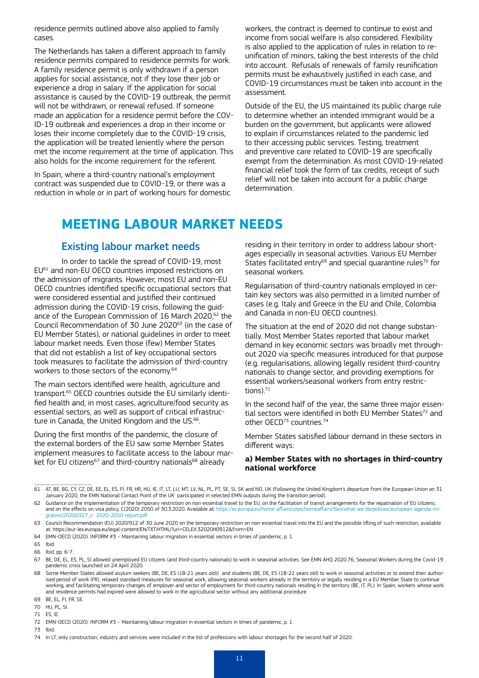residence permits outlined above also applied to family cases.

The Netherlands has taken a different approach to family residence permits compared to residence permits for work. A family residence permit is only withdrawn if a person applies for social assistance, not if they lose their job or experience a drop in salary. If the application for social assistance is caused by the COVID-19 outbreak, the permit will not be withdrawn, or renewal refused. If someone made an application for a residence permit before the COV-ID-19 outbreak and experiences a drop in their income or loses their income completely due to the COVID-19 crisis, the application will be treated leniently where the person met the income requirement at the time of application. This also holds for the income requirement for the referent.

In Spain, where a third-country national's employment contract was suspended due to COVID-19, or there was a reduction in whole or in part of working hours for domestic workers, the contract is deemed to continue to exist and income from social welfare is also considered. Flexibility is also applied to the application of rules in relation to reunification of minors, taking the best interests of the child into account. Refusals of renewals of family reunification permits must be exhaustively justified in each case, and COVID-19 circumstances must be taken into account in the assessment.

Outside of the EU, the US maintained its public charge rule to determine whether an intended immigrant would be a burden on the government, but applicants were allowed to explain if circumstances related to the pandemic led to their accessing public services. Testing, treatment and preventive care related to COVID-19 are specifically exempt from the determination. As most COVID-19-related financial relief took the form of tax credits, receipt of such relief will not be taken into account for a public charge determination.

### **MEETING LABOUR MARKET NEEDS**

#### Existing labour market needs

In order to tackle the spread of COVID-19, most EU61 and non-EU OECD countries imposed restrictions on the admission of migrants. However, most EU and non-EU OECD countries identified specific occupational sectors that were considered essential and justified their continued admission during the COVID-19 crisis, following the guidance of the European Commission of 16 March 2020,<sup>62</sup> the Council Recommendation of 30 June 202063 (in the case of EU Member States), or national guidelines in order to meet labour market needs. Even those (few) Member States that did not establish a list of key occupational sectors took measures to facilitate the admission of third-country workers to those sectors of the economy.<sup>64</sup>

The main sectors identified were health, agriculture and transport.65 OECD countries outside the EU similarly identified health and, in most cases, agriculture/food security as essential sectors, as well as support of critical infrastructure in Canada, the United Kingdom and the US.<sup>66</sup>.

During the first months of the pandemic, the closure of the external borders of the EU saw some Member States implement measures to facilitate access to the labour market for EU citizens<sup>67</sup> and third-country nationals<sup>68</sup> already

residing in their territory in order to address labour shortages especially in seasonal activities. Various EU Member States facilitated entry $^{69}$  and special quarantine rules $^{70}$  for seasonal workers.

Regularisation of third-country nationals employed in certain key sectors was also permitted in a limited number of cases (e.g. Italy and Greece in the EU and Chile, Colombia and Canada in non-EU OECD countries).

The situation at the end of 2020 did not change substantially. Most Member States reported that labour market demand in key economic sectors was broadly met throughout 2020 via specific measures introduced for that purpose (e.g. regularisations, allowing legally resident third-country nationals to change sector, and providing exemptions for essential workers/seasonal workers from entry restrictions). $71$ 

In the second half of the year, the same three major essential sectors were identified in both EU Member States<sup>72</sup> and other OECD73 countries.74

Member States satisfied labour demand in these sectors in different ways:

#### **a) Member States with no shortages in third-country national workforce**

<sup>61</sup> AT, BE, BG, CY, CZ, DE, EE, EL, ES, FI, FR, HR, HU, IE, IT, LT, LU, MT, LV, NL, PL, PT, SE, SI, SK and NO, UK (Following the United Kingdom's departure from the European Union on 31<br>January 2020, the EMN National Cont

<sup>62</sup> Guidance on the implementation of the temporary restriction on non-essential travel to the EU, on the facilitation of transit arrangements for the repatriation of EU citizens, and on the effects on visa policy, C(2020) 2050 of 30.3.2020. Available at: https://ec.europa.eu/home-affairs/sites/homeaffairs/files/what-we-do/policies/european-ag 20200327\_c- 2020

<sup>63</sup> Council Recommendation (EU) 2020/912 of 30 June 2020 on the temporary restriction on non-essential travel into the EU and the possible lifting of such restriction, available at: <https://eur-lex.europa.eu/legal-content/EN/TXT/HTML/?uri=CELEX:32020H0912&from=EN>

<sup>64</sup> EMN-OECD (2020). INFORM #3 – Maintaining labour migration in essential sectors in times of pandemic, p. 1.

<sup>65</sup> Ibid.

<sup>66</sup> Ibid, pp. 6-7.

<sup>67</sup> BE, DE, EL, ES, PL, SI allowed unemployed EU citizens (and third-country nationals) to work in seasonal activities. See EMN AHQ 2020.76, Seasonal Workers during the Covid-19 pandemic crisis launched on 24 April 2020.

<sup>68</sup> Some Member States allowed asylum seekers (BE, DE, ES (18-21 years old)) and students (BE, DE, ES (18-21 years old) to work in seasonal activities or to extend their authorised period of work (FR), relaxed standard measures for seasonal work, allowing seasonal workers already in the territory or legally residing in a EU Member State to continue<br>working, and facilitating temporary changes of and residence permits had expired were allowed to work in the agricultural sector without any additional procedure.

<sup>69</sup> BE, EL, FI, FR, SE.

<sup>70</sup> HU, PL, SI.

<sup>71</sup> ES, IE.

<sup>72</sup> EMN-OECD (2020). INFORM #3 – Maintaining labour migration in essential sectors in times of pandemic, p. 1.

<sup>73</sup> Ibid.

<sup>74</sup> In LT, only construction, industry and services were included in the list of professions with labour shortages for the second half of 2020.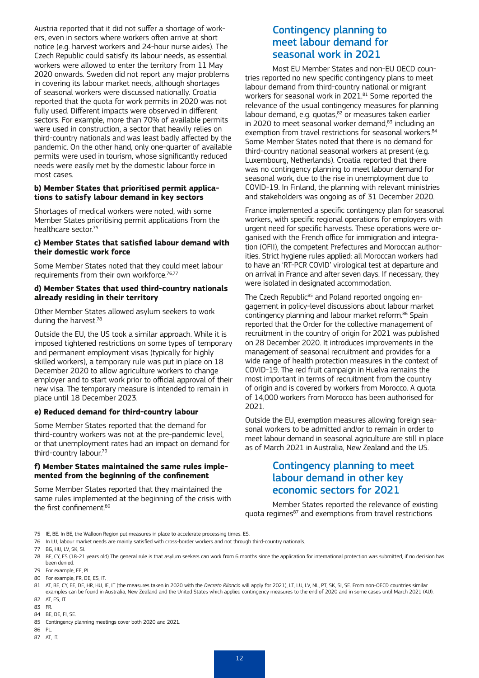Austria reported that it did not suffer a shortage of workers, even in sectors where workers often arrive at short notice (e.g. harvest workers and 24-hour nurse aides). The Czech Republic could satisfy its labour needs, as essential workers were allowed to enter the territory from 11 May 2020 onwards. Sweden did not report any major problems in covering its labour market needs, although shortages of seasonal workers were discussed nationally. Croatia reported that the quota for work permits in 2020 was not fully used. Different impacts were observed in different sectors. For example, more than 70% of available permits were used in construction, a sector that heavily relies on third-country nationals and was least badly affected by the pandemic. On the other hand, only one-quarter of available permits were used in tourism, whose significantly reduced needs were easily met by the domestic labour force in most cases.

#### **b) Member States that prioritised permit applications to satisfy labour demand in key sectors**

Shortages of medical workers were noted, with some Member States prioritising permit applications from the healthcare sector.75

#### **c) Member States that satisfied labour demand with their domestic work force**

Some Member States noted that they could meet labour requirements from their own workforce.<sup>76,77</sup>

#### **d) Member States that used third-country nationals already residing in their territory**

Other Member States allowed asylum seekers to work during the harvest.78

Outside the EU, the US took a similar approach. While it is imposed tightened restrictions on some types of temporary and permanent employment visas (typically for highly skilled workers), a temporary rule was put in place on 18 December 2020 to allow agriculture workers to change employer and to start work prior to official approval of their new visa. The temporary measure is intended to remain in place until 18 December 2023.

#### **e) Reduced demand for third-country labour**

Some Member States reported that the demand for third-country workers was not at the pre-pandemic level, or that unemployment rates had an impact on demand for third-country labour.79

#### **f) Member States maintained the same rules implemented from the beginning of the confinement**

Some Member States reported that they maintained the same rules implemented at the beginning of the crisis with the first confinement.<sup>80</sup>

#### Contingency planning to meet labour demand for seasonal work in 2021

Most EU Member States and non-EU OECD countries reported no new specific contingency plans to meet labour demand from third-country national or migrant workers for seasonal work in 2021.<sup>81</sup> Some reported the relevance of the usual contingency measures for planning labour demand, e.g. quotas,<sup>82</sup> or measures taken earlier in 2020 to meet seasonal worker demand, 83 including an exemption from travel restrictions for seasonal workers.<sup>84</sup> Some Member States noted that there is no demand for third-country national seasonal workers at present (e.g. Luxembourg, Netherlands). Croatia reported that there was no contingency planning to meet labour demand for seasonal work, due to the rise in unemployment due to COVID-19. In Finland, the planning with relevant ministries and stakeholders was ongoing as of 31 December 2020.

France implemented a specific contingency plan for seasonal workers, with specific regional operations for employers with urgent need for specific harvests. These operations were organised with the French office for immigration and integration (OFII), the competent Prefectures and Moroccan authorities. Strict hygiene rules applied: all Moroccan workers had to have an 'RT-PCR COVID' virological test at departure and on arrival in France and after seven days. If necessary, they were isolated in designated accommodation.

The Czech Republic<sup>85</sup> and Poland reported ongoing engagement in policy-level discussions about labour market contingency planning and labour market reform.86 Spain reported that the Order for the collective management of recruitment in the country of origin for 2021 was published on 28 December 2020. It introduces improvements in the management of seasonal recruitment and provides for a wide range of health protection measures in the context of COVID-19. The red fruit campaign in Huelva remains the most important in terms of recruitment from the country of origin and is covered by workers from Morocco. A quota of 14,000 workers from Morocco has been authorised for 2021.

Outside the EU, exemption measures allowing foreign seasonal workers to be admitted and/or to remain in order to meet labour demand in seasonal agriculture are still in place as of March 2021 in Australia, New Zealand and the US.

#### Contingency planning to meet labour demand in other key economic sectors for 2021

Member States reported the relevance of existing quota regimes<sup>87</sup> and exemptions from travel restrictions

<sup>75</sup> IE, BE. In BE, the Walloon Region put measures in place to accelerate processing times. ES.

<sup>76</sup> In LU, labour market needs are mainly satisfied with cross-border workers and not through third-country nationals.

<sup>77</sup> BG, HU, LV, SK, SI.

<sup>78</sup> BE, CY, ES (18-21 years old) The general rule is that asylum seekers can work from 6 months since the application for international protection was submitted, if no decision has been denied.

<sup>79</sup> For example, EE, PL.

<sup>80</sup> For example, FR, DE, ES, IT.

<sup>81</sup> AT, BE, CY, EE, DE, HR, HU, IE, IT (the measures taken in 2020 with the *Decreto Rilancio* will apply for 2021), LT, LU, LV, NL, PT, SK, SI, SE. From non-OECD countries similar examples can be found in Australia, New Zealand and the United States which applied contingency measures to the end of 2020 and in some cases until March 2021 (AU). 82 AT, ES, IT.

<sup>83</sup> FR.

<sup>84</sup> BE, DE, FI, SE.

<sup>85</sup> Contingency planning meetings cover both 2020 and 2021.

<sup>86</sup> PL.

<sup>87</sup> AT, IT.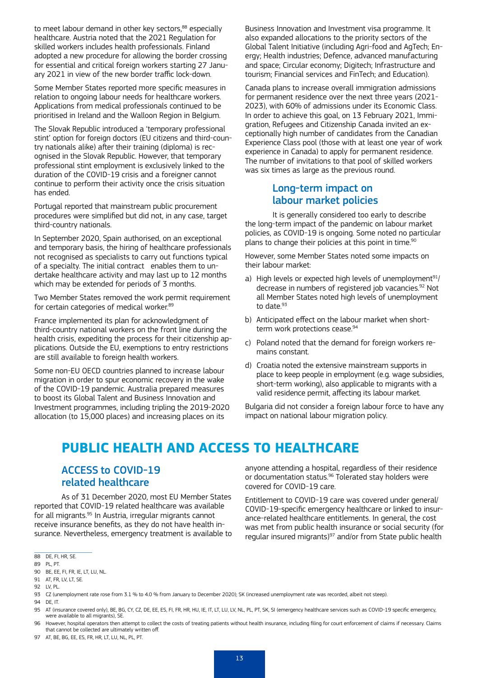to meet labour demand in other key sectors, 88 especially healthcare. Austria noted that the 2021 Regulation for skilled workers includes health professionals. Finland adopted a new procedure for allowing the border crossing for essential and critical foreign workers starting 27 January 2021 in view of the new border traffic lock-down.

Some Member States reported more specific measures in relation to ongoing labour needs for healthcare workers. Applications from medical professionals continued to be prioritised in Ireland and the Walloon Region in Belgium.

The Slovak Republic introduced a 'temporary professional stint' option for foreign doctors (FU citizens and third-country nationals alike) after their training (diploma) is recognised in the Slovak Republic. However, that temporary professional stint employment is exclusively linked to the duration of the COVID-19 crisis and a foreigner cannot continue to perform their activity once the crisis situation has ended.

Portugal reported that mainstream public procurement procedures were simplified but did not, in any case, target third-country nationals.

In September 2020, Spain authorised, on an exceptional and temporary basis, the hiring of healthcare professionals not recognised as specialists to carry out functions typical of a specialty. The initial contract enables them to undertake healthcare activity and may last up to 12 months which may be extended for periods of 3 months.

Two Member States removed the work permit requirement for certain categories of medical worker.<sup>89</sup>

France implemented its plan for acknowledgment of third-country national workers on the front line during the health crisis, expediting the process for their citizenship applications. Outside the EU, exemptions to entry restrictions are still available to foreign health workers.

Some non-EU OECD countries planned to increase labour migration in order to spur economic recovery in the wake of the COVID-19 pandemic. Australia prepared measures to boost its Global Talent and Business Innovation and Investment programmes, including tripling the 2019-2020 allocation (to 15,000 places) and increasing places on its

Business Innovation and Investment visa programme. It also expanded allocations to the priority sectors of the Global Talent Initiative (including Agri-food and AgTech; Energy; Health industries; Defence, advanced manufacturing and space; Circular economy; Digitech; Infrastructure and tourism; Financial services and FinTech; and Education).

Canada plans to increase overall immigration admissions for permanent residence over the next three years (2021- 2023), with 60% of admissions under its Economic Class. In order to achieve this goal, on 13 February 2021, Immigration, Refugees and Citizenship Canada invited an exceptionally high number of candidates from the Canadian Experience Class pool (those with at least one year of work experience in Canada) to apply for permanent residence. The number of invitations to that pool of skilled workers was six times as large as the previous round.

#### Long-term impact on labour market policies

It is generally considered too early to describe the long-term impact of the pandemic on labour market policies, as COVID-19 is ongoing. Some noted no particular plans to change their policies at this point in time.<sup>90</sup>

However, some Member States noted some impacts on their labour market:

- a) High levels or expected high levels of unemployment $91/$ decrease in numbers of registered job vacancies.<sup>92</sup> Not all Member States noted high levels of unemployment to date. $93$
- b) Anticipated effect on the labour market when shortterm work protections cease.<sup>94</sup>
- c) Poland noted that the demand for foreign workers remains constant.
- d) Croatia noted the extensive mainstream supports in place to keep people in employment (e.g. wage subsidies, short-term working), also applicable to migrants with a valid residence permit, affecting its labour market.

Bulgaria did not consider a foreign labour force to have any impact on national labour migration policy.

# **PUBLIC HEALTH AND ACCESS TO HEALTHCARE**

#### ACCESS to COVID-19 related healthcare

As of 31 December 2020, most EU Member States reported that COVID-19 related healthcare was available for all migrants.<sup>95</sup> In Austria, irregular migrants cannot receive insurance benefits, as they do not have health insurance. Nevertheless, emergency treatment is available to anyone attending a hospital, regardless of their residence or documentation status.<sup>96</sup> Tolerated stay holders were covered for COVID-19 care.

Entitlement to COVID-19 care was covered under general/ COVID-19-specific emergency healthcare or linked to insurance-related healthcare entitlements. In general, the cost was met from public health insurance or social security (for regular insured migrants) $97$  and/or from State public health

89 PL, PT.

- 94 DF IT.
- 95 AT (insurance covered only), BE, BG, CY, CZ, DE, EE, ES, FI, FR, HR, HU, IE, IT, LT, LU, LV, NL, PL, PT, SK, SI (emergency healthcare services such as COVID-19 specific emergency, were available to all migrants), SE.
- 96 However, hospital operators then attempt to collect the costs of treating patients without health insurance, including filing for court enforcement of claims if necessary. Claims that cannot be collected are ultimately written off.
- 97 AT, BE, BG, EE, ES, FR, HR, LT, LU, NL, PL, PT.

<sup>88</sup> DE, FI, HR, SE.

<sup>90</sup> BE, EE, FI, FR, IE, LT, LU, NL.

<sup>91</sup> AT, FR, LV, LT, SE.

<sup>92</sup> LV, PL.

<sup>93</sup> CZ (unemployment rate rose from 3.1 % to 4.0 % from January to December 2020); SK (increased unemployment rate was recorded, albeit not steep).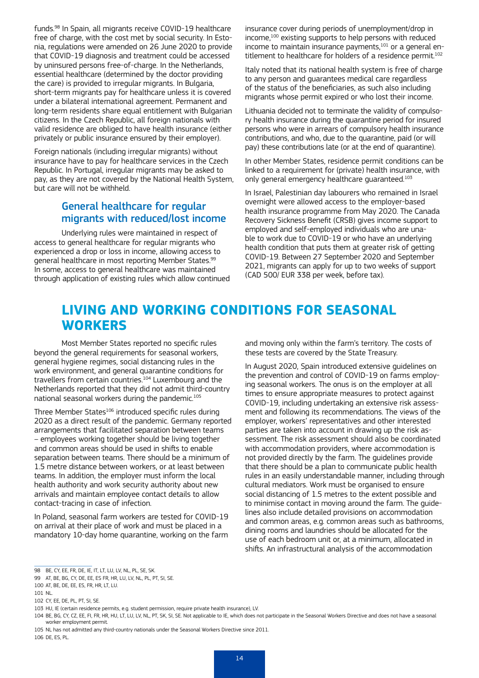funds.98 In Spain, all migrants receive COVID-19 healthcare free of charge, with the cost met by social security. In Estonia, regulations were amended on 26 June 2020 to provide that COVID-19 diagnosis and treatment could be accessed by uninsured persons free-of-charge. In the Netherlands, essential healthcare (determined by the doctor providing the care) is provided to irregular migrants. In Bulgaria, short-term migrants pay for healthcare unless it is covered under a bilateral international agreement. Permanent and long-term residents share equal entitlement with Bulgarian citizens. In the Czech Republic, all foreign nationals with valid residence are obliged to have health insurance (either privately or public insurance ensured by their employer).

Foreign nationals (including irregular migrants) without insurance have to pay for healthcare services in the Czech Republic. In Portugal, irregular migrants may be asked to pay, as they are not covered by the National Health System, but care will not be withheld.

#### General healthcare for regular migrants with reduced/lost income

Underlying rules were maintained in respect of access to general healthcare for regular migrants who experienced a drop or loss in income, allowing access to general healthcare in most reporting Member States.<sup>99</sup> In some, access to general healthcare was maintained through application of existing rules which allow continued insurance cover during periods of unemployment/drop in income,<sup>100</sup> existing supports to help persons with reduced income to maintain insurance payments,<sup>101</sup> or a general entitlement to healthcare for holders of a residence permit.<sup>102</sup>

Italy noted that its national health system is free of charge to any person and guarantees medical care regardless of the status of the beneficiaries, as such also including migrants whose permit expired or who lost their income.

Lithuania decided not to terminate the validity of compulsory health insurance during the quarantine period for insured persons who were in arrears of compulsory health insurance contributions, and who, due to the quarantine, paid (or will pay) these contributions late (or at the end of quarantine).

In other Member States, residence permit conditions can be linked to a requirement for (private) health insurance, with only general emergency healthcare guaranteed.<sup>103</sup>

In Israel, Palestinian day labourers who remained in Israel overnight were allowed access to the employer-based health insurance programme from May 2020. The Canada Recovery Sickness Benefit (CRSB) gives income support to employed and self-employed individuals who are unable to work due to COVID-19 or who have an underlying health condition that puts them at greater risk of getting COVID-19. Between 27 September 2020 and September 2021, migrants can apply for up to two weeks of support (CAD 500/ EUR 338 per week, before tax).

# **LIVING AND WORKING CONDITIONS FOR SEASONAL WORKERS**

Most Member States reported no specific rules beyond the general requirements for seasonal workers, general hygiene regimes, social distancing rules in the work environment, and general quarantine conditions for travellers from certain countries.<sup>104</sup> Luxembourg and the Netherlands reported that they did not admit third-country national seasonal workers during the pandemic.<sup>105</sup>

Three Member States<sup>106</sup> introduced specific rules during 2020 as a direct result of the pandemic. Germany reported arrangements that facilitated separation between teams – employees working together should be living together and common areas should be used in shifts to enable separation between teams. There should be a minimum of 1.5 metre distance between workers, or at least between teams. In addition, the employer must inform the local health authority and work security authority about new arrivals and maintain employee contact details to allow contact-tracing in case of infection.

In Poland, seasonal farm workers are tested for COVID-19 on arrival at their place of work and must be placed in a mandatory 10-day home quarantine, working on the farm and moving only within the farm's territory. The costs of these tests are covered by the State Treasury.

In August 2020, Spain introduced extensive guidelines on the prevention and control of COVID-19 on farms employing seasonal workers. The onus is on the employer at all times to ensure appropriate measures to protect against COVID-19, including undertaking an extensive risk assessment and following its recommendations. The views of the employer, workers' representatives and other interested parties are taken into account in drawing up the risk assessment. The risk assessment should also be coordinated with accommodation providers, where accommodation is not provided directly by the farm. The guidelines provide that there should be a plan to communicate public health rules in an easily understandable manner, including through cultural mediators. Work must be organised to ensure social distancing of 1.5 metres to the extent possible and to minimise contact in moving around the farm. The guidelines also include detailed provisions on accommodation and common areas, e.g. common areas such as bathrooms, dining rooms and laundries should be allocated for the use of each bedroom unit or, at a minimum, allocated in shifts. An infrastructural analysis of the accommodation

<sup>98</sup> BE, CY, EE, FR, DE, IE, IT, LT, LU, LV, NL, PL, SE, SK.

<sup>99</sup> AT, BE, BG, CY, DE, EE, ES FR, HR, LU, LV, NL, PL, PT, SI, SE.

<sup>100</sup> AT, BE, DE, EE, ES, FR, HR, LT, LU.

<sup>101</sup> NL.

<sup>102</sup> CY, EE, DE, PL, PT, SI, SE.

<sup>103</sup> HU, IE (certain residence permits, e.g. student permission, require private health insurance), LV.

<sup>104</sup> BE, BG, CY, CZ, EE, FI, FR, HR, HU, LT, LU, LV, NL, PT, SK, SI, SE. Not applicable to IE, which does not participate in the Seasonal Workers Directive and does not have a seasonal worker employment permit.

<sup>105</sup> NL has not admitted any third-country nationals under the Seasonal Workers Directive since 2011. 106 DE, ES, PL.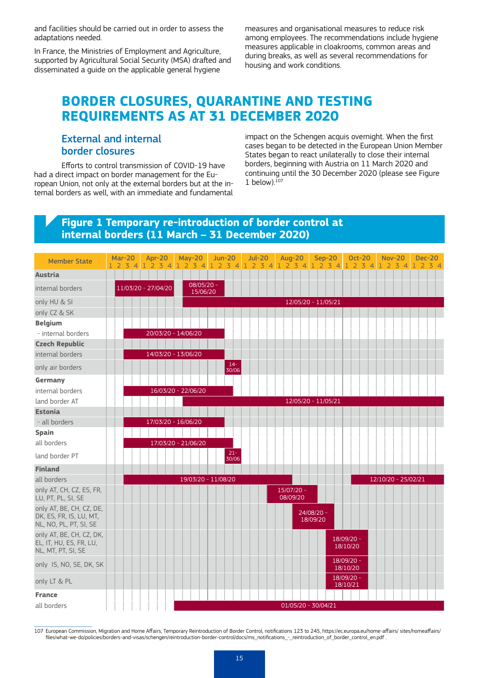and facilities should be carried out in order to assess the adaptations needed.

In France, the Ministries of Employment and Agriculture, supported by Agricultural Social Security (MSA) drafted and disseminated a guide on the applicable general hygiene

measures and organisational measures to reduce risk among employees. The recommendations include hygiene measures applicable in cloakrooms, common areas and during breaks, as well as several recommendations for housing and work conditions.

# **BORDER CLOSURES, QUARANTINE AND TESTING REQUIREMENTS AS AT 31 DECEMBER 2020**

#### External and internal border closures

Efforts to control transmission of COVID-19 have had a direct impact on border management for the European Union, not only at the external borders but at the internal borders as well, with an immediate and fundamental impact on the Schengen acquis overnight. When the first cases began to be detected in the European Union Member States began to react unilaterally to close their internal borders, beginning with Austria on 11 March 2020 and continuing until the 30 December 2020 (please see Figure 1 below). $107$ 

#### **Figure 1 Temporary re-introduction of border control at internal borders (11 March – 31 December 2020)**



107 European Commission, Migration and Home Affairs, Temporary Reintroduction of Border Control, notifications 123 to 245, https://ec.europa.eu/home-affairs/ sites/homeaffairs/ files/what-we-do/policies/borders-and-visas/schengen/reintroduction-border-control/docs/ms\_notifications\_-\_reintroduction\_of\_border\_control\_en.pdf .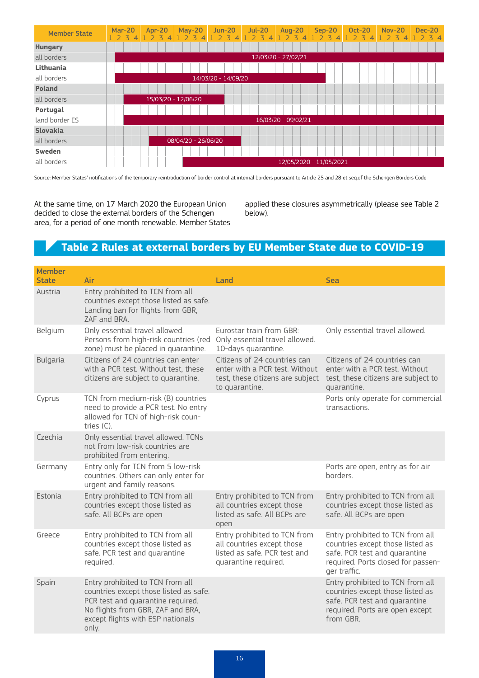| <b>Member State</b> | <b>Mar-20</b><br>23<br>4 | Apr-20<br>$\mathbf{z}$ | $May-20$            | $Jun-20$<br>$\overline{z}$ | $Jul-20$<br>2 <sub>3</sub> | Aug-20<br>3         | $Sep-20$<br>$\overline{\mathbf{z}}$ | <b>Oct-20</b><br>3 | <b>Nov-20</b><br>$\overline{\mathbf{z}}$ | <b>Dec-20</b><br>34 |
|---------------------|--------------------------|------------------------|---------------------|----------------------------|----------------------------|---------------------|-------------------------------------|--------------------|------------------------------------------|---------------------|
| <b>Hungary</b>      |                          |                        |                     |                            |                            |                     |                                     |                    |                                          |                     |
| all borders         |                          |                        |                     |                            |                            | 12/03/20 - 27/02/21 |                                     |                    |                                          |                     |
| Lithuania           |                          |                        |                     |                            |                            |                     |                                     |                    |                                          |                     |
| all borders         |                          |                        |                     | 14/03/20 - 14/09/20        |                            |                     |                                     |                    |                                          |                     |
| <b>Poland</b>       |                          |                        |                     |                            |                            |                     |                                     |                    |                                          |                     |
| all borders         |                          | 15/03/20 - 12/06/20    |                     |                            |                            |                     |                                     |                    |                                          |                     |
| Portugal            |                          |                        |                     |                            |                            |                     |                                     |                    |                                          |                     |
| land border ES      |                          |                        |                     |                            |                            | 16/03/20 - 09/02/21 |                                     |                    |                                          |                     |
| <b>Slovakia</b>     |                          |                        |                     |                            |                            |                     |                                     |                    |                                          |                     |
| all borders         |                          |                        | 08/04/20 - 26/06/20 |                            |                            |                     |                                     |                    |                                          |                     |
| Sweden              |                          |                        |                     |                            |                            |                     |                                     |                    |                                          |                     |
| all borders         |                          |                        |                     |                            |                            |                     | 12/05/2020 - 11/05/2021             |                    |                                          |                     |

Source: Member States' notifications of the temporary reintroduction of border control at internal borders pursuant to Article 25 and 28 et seq.of the Schengen Borders Code

At the same time, on 17 March 2020 the European Union decided to close the external borders of the Schengen area, for a period of one month renewable. Member States

applied these closures asymmetrically (please see Table 2 below).

# **Table 2 Rules at external borders by EU Member State due to COVID-19**

| <b>Member</b>   |                                                                                                                                                                                                    |                                                                                                                      |                                                                                                                                                             |
|-----------------|----------------------------------------------------------------------------------------------------------------------------------------------------------------------------------------------------|----------------------------------------------------------------------------------------------------------------------|-------------------------------------------------------------------------------------------------------------------------------------------------------------|
| <b>State</b>    | Air                                                                                                                                                                                                | Land                                                                                                                 | <b>Sea</b>                                                                                                                                                  |
| Austria         | Entry prohibited to TCN from all<br>countries except those listed as safe.<br>Landing ban for flights from GBR,<br>7AF and BRA.                                                                    |                                                                                                                      |                                                                                                                                                             |
| Belgium         | Only essential travel allowed.<br>Persons from high-risk countries (red<br>zone) must be placed in quarantine.                                                                                     | Furostar train from GBR:<br>Only essential travel allowed.<br>10-days quarantine.                                    | Only essential travel allowed.                                                                                                                              |
| <b>Bulgaria</b> | Citizens of 24 countries can enter<br>with a PCR test. Without test, these<br>citizens are subject to quarantine.                                                                                  | Citizens of 24 countries can<br>enter with a PCR test. Without<br>test, these citizens are subject<br>to quarantine. | Citizens of 24 countries can<br>enter with a PCR test. Without<br>test, these citizens are subject to<br>quarantine.                                        |
| Cyprus          | TCN from medium-risk (B) countries<br>need to provide a PCR test. No entry<br>allowed for TCN of high-risk coun-<br>tries $(C)$ .                                                                  |                                                                                                                      | Ports only operate for commercial<br>transactions.                                                                                                          |
| Czechia         | Only essential travel allowed. TCNs<br>not from low-risk countries are<br>prohibited from entering.                                                                                                |                                                                                                                      |                                                                                                                                                             |
| Germany         | Entry only for TCN from 5 low-risk<br>countries. Others can only enter for<br>urgent and family reasons.                                                                                           |                                                                                                                      | Ports are open, entry as for air<br>horders.                                                                                                                |
| <b>Fstonia</b>  | Entry prohibited to TCN from all<br>countries except those listed as<br>safe. All BCPs are open                                                                                                    | Entry prohibited to TCN from<br>all countries except those<br>listed as safe. All BCPs are<br>open                   | Entry prohibited to TCN from all<br>countries except those listed as<br>safe. All BCPs are open                                                             |
| Greece          | Entry prohibited to TCN from all<br>countries except those listed as<br>safe. PCR test and quarantine<br>required.                                                                                 | Entry prohibited to TCN from<br>all countries except those<br>listed as safe. PCR test and<br>quarantine required.   | Entry prohibited to TCN from all<br>countries except those listed as<br>safe. PCR test and quarantine<br>required. Ports closed for passen-<br>ger traffic. |
| Spain           | Entry prohibited to TCN from all<br>countries except those listed as safe.<br>PCR test and quarantine required.<br>No flights from GBR, ZAF and BRA,<br>except flights with ESP nationals<br>only. |                                                                                                                      | Entry prohibited to TCN from all<br>countries except those listed as<br>safe. PCR test and quarantine<br>required. Ports are open except<br>from GBR.       |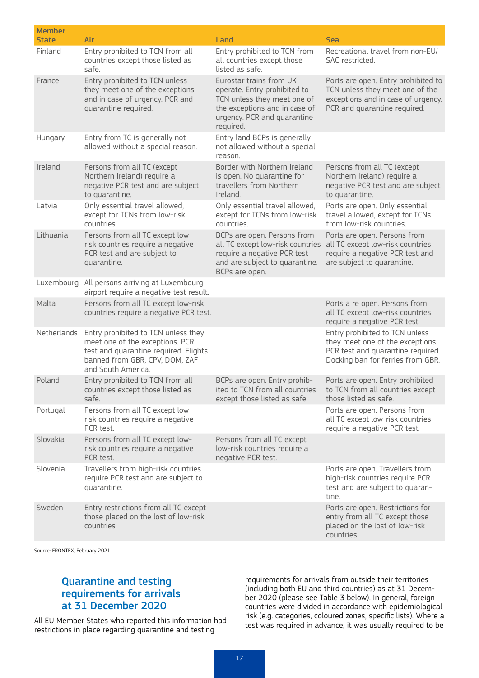| <b>Member</b> |                                                                                                                                                                         |                                                                                                                                                                     |                                                                                                                                              |
|---------------|-------------------------------------------------------------------------------------------------------------------------------------------------------------------------|---------------------------------------------------------------------------------------------------------------------------------------------------------------------|----------------------------------------------------------------------------------------------------------------------------------------------|
| <b>State</b>  | Air                                                                                                                                                                     | Land                                                                                                                                                                | <b>Sea</b>                                                                                                                                   |
| Finland       | Entry prohibited to TCN from all<br>countries except those listed as<br>safe.                                                                                           | Entry prohibited to TCN from<br>all countries except those<br>listed as safe.                                                                                       | Recreational travel from non-EU/<br>SAC restricted.                                                                                          |
| France        | Entry prohibited to TCN unless<br>they meet one of the exceptions<br>and in case of urgency. PCR and<br>quarantine required.                                            | Eurostar trains from UK<br>operate. Entry prohibited to<br>TCN unless they meet one of<br>the exceptions and in case of<br>urgency. PCR and quarantine<br>required. | Ports are open. Entry prohibited to<br>TCN unless they meet one of the<br>exceptions and in case of urgency.<br>PCR and quarantine required. |
| Hungary       | Entry from TC is generally not<br>allowed without a special reason.                                                                                                     | Entry land BCPs is generally<br>not allowed without a special<br>reason.                                                                                            |                                                                                                                                              |
| Ireland       | Persons from all TC (except<br>Northern Ireland) require a<br>negative PCR test and are subject<br>to quarantine.                                                       | Border with Northern Ireland<br>is open. No quarantine for<br>travellers from Northern<br>Ireland.                                                                  | Persons from all TC (except<br>Northern Ireland) require a<br>negative PCR test and are subject<br>to quarantine.                            |
| Latvia        | Only essential travel allowed,<br>except for TCNs from low-risk<br>countries.                                                                                           | Only essential travel allowed,<br>except for TCNs from low-risk<br>countries.                                                                                       | Ports are open. Only essential<br>travel allowed, except for TCNs<br>from low-risk countries.                                                |
| Lithuania     | Persons from all TC except low-<br>risk countries require a negative<br>PCR test and are subject to<br>quarantine.                                                      | BCPs are open. Persons from<br>all TC except low-risk countries<br>require a negative PCR test<br>and are subject to quarantine.<br>BCPs are open.                  | Ports are open. Persons from<br>all TC except low-risk countries<br>require a negative PCR test and<br>are subject to quarantine.            |
|               | Luxembourg All persons arriving at Luxembourg<br>airport require a negative test result.                                                                                |                                                                                                                                                                     |                                                                                                                                              |
| Malta         | Persons from all TC except low-risk<br>countries require a negative PCR test.                                                                                           |                                                                                                                                                                     | Ports a re open. Persons from<br>all TC except low-risk countries<br>require a negative PCR test.                                            |
| Netherlands   | Entry prohibited to TCN unless they<br>meet one of the exceptions. PCR<br>test and quarantine required. Flights<br>banned from GBR, CPV, DOM, ZAF<br>and South America. |                                                                                                                                                                     | Entry prohibited to TCN unless<br>they meet one of the exceptions.<br>PCR test and quarantine required.<br>Docking ban for ferries from GBR. |
| Poland        | Entry prohibited to TCN from all<br>countries except those listed as<br>safe.                                                                                           | BCPs are open. Entry prohib-<br>ited to TCN from all countries<br>except those listed as safe.                                                                      | Ports are open. Entry prohibited<br>to TCN from all countries except<br>those listed as safe.                                                |
| Portugal      | Persons from all TC except low-<br>risk countries require a negative<br>PCR test.                                                                                       |                                                                                                                                                                     | Ports are open. Persons from<br>all TC except low-risk countries<br>require a negative PCR test.                                             |
| Slovakia      | Persons from all TC except low-<br>risk countries require a negative<br>PCR test.                                                                                       | Persons from all TC except<br>low-risk countries require a<br>negative PCR test.                                                                                    |                                                                                                                                              |
| Slovenia      | Travellers from high-risk countries<br>require PCR test and are subject to<br>quarantine.                                                                               |                                                                                                                                                                     | Ports are open. Travellers from<br>high-risk countries require PCR<br>test and are subject to quaran-<br>tine.                               |
| Sweden        | Entry restrictions from all TC except<br>those placed on the lost of low-risk<br>countries.                                                                             |                                                                                                                                                                     | Ports are open. Restrictions for<br>entry from all TC except those<br>placed on the lost of low-risk<br>countries.                           |

Source: FRONTEX, February 2021

### Quarantine and testing requirements for arrivals at 31 December 2020

All EU Member States who reported this information had restrictions in place regarding quarantine and testing

requirements for arrivals from outside their territories (including both EU and third countries) as at 31 December 2020 (please see Table 3 below). In general, foreign countries were divided in accordance with epidemiological risk (e.g. categories, coloured zones, specific lists). Where a test was required in advance, it was usually required to be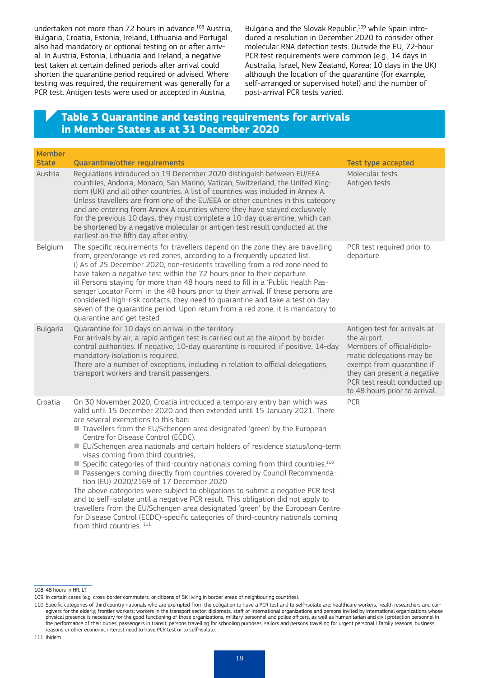undertaken not more than 72 hours in advance.<sup>108</sup> Austria, Bulgaria, Croatia, Estonia, Ireland, Lithuania and Portugal also had mandatory or optional testing on or after arrival. In Austria, Estonia, Lithuania and Ireland, a negative test taken at certain defined periods after arrival could shorten the quarantine period required or advised. Where testing was required, the requirement was generally for a PCR test. Antigen tests were used or accepted in Austria,

Bulgaria and the Slovak Republic,<sup>109</sup> while Spain introduced a resolution in December 2020 to consider other molecular RNA detection tests. Outside the EU, 72-hour PCR test requirements were common (e.g., 14 days in Australia, Israel, New Zealand, Korea; 10 days in the UK) although the location of the quarantine (for example, self-arranged or supervised hotel) and the number of post-arrival PCR tests varied.

#### **Table 3 Quarantine and testing requirements for arrivals in Member States as at 31 December 2020**

| <b>Member</b><br><b>State</b> | Quarantine/other requirements                                                                                                                                                                                                                                                                                                                                                                                                                                                                                                                                                                                                                                                                                                                                                                                                                                                                                            | <b>Test type accepted</b>                                                                                                                                                                                                           |
|-------------------------------|--------------------------------------------------------------------------------------------------------------------------------------------------------------------------------------------------------------------------------------------------------------------------------------------------------------------------------------------------------------------------------------------------------------------------------------------------------------------------------------------------------------------------------------------------------------------------------------------------------------------------------------------------------------------------------------------------------------------------------------------------------------------------------------------------------------------------------------------------------------------------------------------------------------------------|-------------------------------------------------------------------------------------------------------------------------------------------------------------------------------------------------------------------------------------|
| Austria                       | Regulations introduced on 19 December 2020 distinguish between EU/EEA<br>countries, Andorra, Monaco, San Marino, Vatican, Switzerland, the United King-<br>dom (UK) and all other countries. A list of countries was included in Annex A.<br>Unless travellers are from one of the EU/EEA or other countries in this category<br>and are entering from Annex A countries where they have stayed exclusively<br>for the previous 10 days, they must complete a 10-day quarantine, which can<br>be shortened by a negative molecular or antigen test result conducted at the<br>earliest on the fifth day after entry.                                                                                                                                                                                                                                                                                                     | Molecular tests.<br>Antigen tests.                                                                                                                                                                                                  |
| Belgium                       | The specific requirements for travellers depend on the zone they are travelling<br>from, green/orange vs red zones, according to a frequently updated list.<br>i) As of 25 December 2020, non-residents travelling from a red zone need to<br>have taken a negative test within the 72 hours prior to their departure.<br>ii) Persons staying for more than 48 hours need to fill in a 'Public Health Pas-<br>senger Locator Form' in the 48 hours prior to their arrival. If these persons are<br>considered high-risk contacts, they need to quarantine and take a test on day<br>seven of the quarantine period. Upon return from a red zone, it is mandatory to<br>quarantine and get tested.                                                                                                                                                                                                                        | PCR test required prior to<br>departure.                                                                                                                                                                                            |
| <b>Bulgaria</b>               | Quarantine for 10 days on arrival in the territory.<br>For arrivals by air, a rapid antigen test is carried out at the airport by border<br>control authorities. If negative, 10-day quarantine is required; if positive, 14-day<br>mandatory isolation is required.<br>There are a number of exceptions, including in relation to official delegations,<br>transport workers and transit passengers.                                                                                                                                                                                                                                                                                                                                                                                                                                                                                                                    | Antigen test for arrivals at<br>the airport.<br>Members of official/diplo-<br>matic delegations may be<br>exempt from quarantine if<br>they can present a negative<br>PCR test result conducted up<br>to 48 hours prior to arrival. |
| Croatia                       | On 30 November 2020, Croatia introduced a temporary entry ban which was<br>valid until 15 December 2020 and then extended until 15 January 2021. There<br>are several exemptions to this ban:<br>Travellers from the EU/Schengen area designated 'green' by the European<br>Centre for Disease Control (ECDC).<br>■ EU/Schengen area nationals and certain holders of residence status/long-term<br>visas coming from third countries,<br>■ Specific categories of third-country nationals coming from third countries. <sup>110</sup><br>■ Passengers coming directly from countries covered by Council Recommenda-<br>tion (EU) 2020/2169 of 17 December 2020<br>The above categories were subject to obligations to submit a negative PCR test<br>and to self-isolate until a negative PCR result. This obligation did not apply to<br>travellers from the EU/Schengen area designated 'green' by the European Centre | PCR                                                                                                                                                                                                                                 |

for Disease Control (ECDC)-specific categories of third-country nationals coming from third countries. 111

<sup>108</sup> 48 hours in HR, LT.

<sup>109</sup> In certain cases (e.g. cross-border commuters, or citizens of SK living in border areas of neighbouring countries).

<sup>110</sup> Specific categories of third country nationals who are exempted from the obligation to have a PCR test and to self-isolate are: healthcare workers, health researchers and caregivers for the elderly; frontier workers; workers in the transport sector; diplomats, staff of international organizations and persons invited by international organizations whose physical presence is necessary for the good functioning of those organizations, military personnel and police officers, as well as humanitarian and civil protection personnel in the performance of their duties; passengers in transit; persons travelling for schooling purposes; sailors and persons traveling for urgent personal / family reasons, business reasons or other economic interest need to have PCR test or to self-isolate.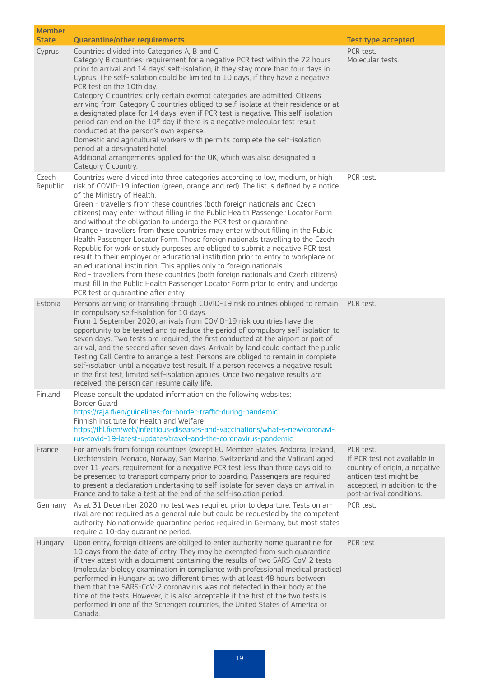| <b>Member</b><br><b>State</b> | Quarantine/other requirements                                                                                                                                                                                                                                                                                                                                                                                                                                                                                                                                                                                                                                                                                                                                                                                                                                                                                                                                                                                                                                                | <b>Test type accepted</b>                                                                                                                                       |
|-------------------------------|------------------------------------------------------------------------------------------------------------------------------------------------------------------------------------------------------------------------------------------------------------------------------------------------------------------------------------------------------------------------------------------------------------------------------------------------------------------------------------------------------------------------------------------------------------------------------------------------------------------------------------------------------------------------------------------------------------------------------------------------------------------------------------------------------------------------------------------------------------------------------------------------------------------------------------------------------------------------------------------------------------------------------------------------------------------------------|-----------------------------------------------------------------------------------------------------------------------------------------------------------------|
| Cyprus                        | Countries divided into Categories A, B and C.<br>Category B countries: requirement for a negative PCR test within the 72 hours<br>prior to arrival and 14 days' self-isolation, if they stay more than four days in<br>Cyprus. The self-isolation could be limited to 10 days, if they have a negative<br>PCR test on the 10th day.<br>Category C countries: only certain exempt categories are admitted. Citizens<br>arriving from Category C countries obliged to self-isolate at their residence or at<br>a designated place for 14 days, even if PCR test is negative. This self-isolation<br>period can end on the 10 <sup>th</sup> day if there is a negative molecular test result<br>conducted at the person's own expense.<br>Domestic and agricultural workers with permits complete the self-isolation<br>period at a designated hotel.<br>Additional arrangements applied for the UK, which was also designated a<br>Category C country.                                                                                                                         | PCR test.<br>Molecular tests.                                                                                                                                   |
| Czech<br>Republic             | Countries were divided into three categories according to low, medium, or high<br>risk of COVID-19 infection (green, orange and red). The list is defined by a notice<br>of the Ministry of Health.<br>Green - travellers from these countries (both foreign nationals and Czech<br>citizens) may enter without filling in the Public Health Passenger Locator Form<br>and without the obligation to undergo the PCR test or quarantine.<br>Orange - travellers from these countries may enter without filling in the Public<br>Health Passenger Locator Form. Those foreign nationals travelling to the Czech<br>Republic for work or study purposes are obliged to submit a negative PCR test<br>result to their employer or educational institution prior to entry to workplace or<br>an educational institution. This applies only to foreign nationals.<br>Red - travellers from these countries (both foreign nationals and Czech citizens)<br>must fill in the Public Health Passenger Locator Form prior to entry and undergo<br>PCR test or quarantine after entry. | PCR test.                                                                                                                                                       |
| Estonia                       | Persons arriving or transiting through COVID-19 risk countries obliged to remain<br>in compulsory self-isolation for 10 days.<br>From 1 September 2020, arrivals from COVID-19 risk countries have the<br>opportunity to be tested and to reduce the period of compulsory self-isolation to<br>seven days. Two tests are required, the first conducted at the airport or port of<br>arrival, and the second after seven days. Arrivals by land could contact the public<br>Testing Call Centre to arrange a test. Persons are obliged to remain in complete<br>self-isolation until a negative test result. If a person receives a negative result<br>in the first test, limited self-isolation applies. Once two negative results are<br>received, the person can resume daily life.                                                                                                                                                                                                                                                                                        | PCR test.                                                                                                                                                       |
| Finland                       | Please consult the updated information on the following websites:<br>Border Guard<br>https://raja.fi/en/guidelines-for-border-traffic-during-pandemic<br>Finnish Institute for Health and Welfare<br>https://thl.fi/en/web/infectious-diseases-and-vaccinations/what-s-new/coronavi-<br>rus-covid-19-latest-updates/travel-and-the-coronavirus-pandemic                                                                                                                                                                                                                                                                                                                                                                                                                                                                                                                                                                                                                                                                                                                      |                                                                                                                                                                 |
| France                        | For arrivals from foreign countries (except EU Member States, Andorra, Iceland,<br>Liechtenstein, Monaco, Norway, San Marino, Switzerland and the Vatican) aged<br>over 11 years, requirement for a negative PCR test less than three days old to<br>be presented to transport company prior to boarding. Passengers are required<br>to present a declaration undertaking to self-isolate for seven days on arrival in<br>France and to take a test at the end of the self-isolation period.                                                                                                                                                                                                                                                                                                                                                                                                                                                                                                                                                                                 | PCR test.<br>If PCR test not available in<br>country of origin, a negative<br>antigen test might be<br>accepted, in addition to the<br>post-arrival conditions. |
| Germany                       | As at 31 December 2020, no test was required prior to departure. Tests on ar-<br>rival are not required as a general rule but could be requested by the competent<br>authority. No nationwide quarantine period required in Germany, but most states<br>require a 10-day quarantine period.                                                                                                                                                                                                                                                                                                                                                                                                                                                                                                                                                                                                                                                                                                                                                                                  | PCR test.                                                                                                                                                       |
| Hungary                       | Upon entry, foreign citizens are obliged to enter authority home quarantine for<br>10 days from the date of entry. They may be exempted from such quarantine<br>if they attest with a document containing the results of two SARS-CoV-2 tests<br>(molecular biology examination in compliance with professional medical practice)<br>performed in Hungary at two different times with at least 48 hours between<br>them that the SARS-CoV-2 coronavirus was not detected in their body at the<br>time of the tests. However, it is also acceptable if the first of the two tests is<br>performed in one of the Schengen countries, the United States of America or<br>Canada.                                                                                                                                                                                                                                                                                                                                                                                                | PCR test                                                                                                                                                        |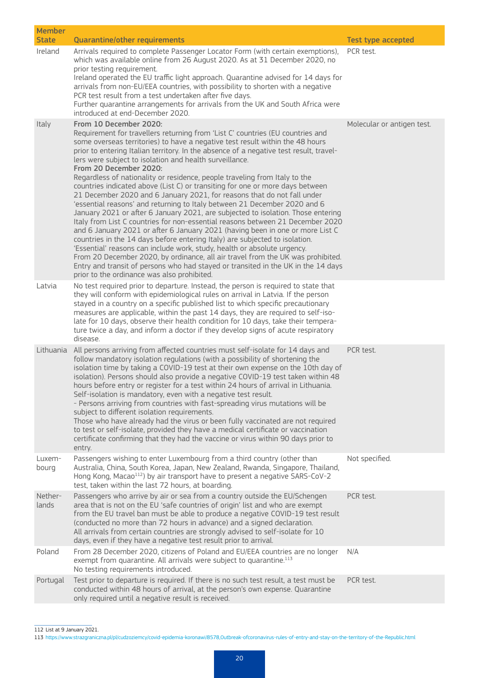| <b>Member</b><br><b>State</b> | <b>Quarantine/other requirements</b>                                                                                                                                                                                                                                                                                                                                                                                                                                                                                                                                                                                                                                                                                                                                                                                                                                                                                                                                                                                                                                                                                                                                                                                                                                                                                                     | <b>Test type accepted</b>  |
|-------------------------------|------------------------------------------------------------------------------------------------------------------------------------------------------------------------------------------------------------------------------------------------------------------------------------------------------------------------------------------------------------------------------------------------------------------------------------------------------------------------------------------------------------------------------------------------------------------------------------------------------------------------------------------------------------------------------------------------------------------------------------------------------------------------------------------------------------------------------------------------------------------------------------------------------------------------------------------------------------------------------------------------------------------------------------------------------------------------------------------------------------------------------------------------------------------------------------------------------------------------------------------------------------------------------------------------------------------------------------------|----------------------------|
| Ireland                       | Arrivals required to complete Passenger Locator Form (with certain exemptions),<br>which was available online from 26 August 2020. As at 31 December 2020, no<br>prior testing requirement.<br>Ireland operated the EU traffic light approach. Quarantine advised for 14 days for<br>arrivals from non-EU/EEA countries, with possibility to shorten with a negative<br>PCR test result from a test undertaken after five days.<br>Further quarantine arrangements for arrivals from the UK and South Africa were<br>introduced at end-December 2020.                                                                                                                                                                                                                                                                                                                                                                                                                                                                                                                                                                                                                                                                                                                                                                                    | PCR test.                  |
| Italy                         | From 10 December 2020:<br>Requirement for travellers returning from 'List C' countries (EU countries and<br>some overseas territories) to have a negative test result within the 48 hours<br>prior to entering Italian territory. In the absence of a negative test result, travel-<br>lers were subject to isolation and health surveillance.<br>From 20 December 2020:<br>Regardless of nationality or residence, people traveling from Italy to the<br>countries indicated above (List C) or transiting for one or more days between<br>21 December 2020 and 6 January 2021, for reasons that do not fall under<br>'essential reasons' and returning to Italy between 21 December 2020 and 6<br>January 2021 or after 6 January 2021, are subjected to isolation. Those entering<br>Italy from List C countries for non-essential reasons between 21 December 2020<br>and 6 January 2021 or after 6 January 2021 (having been in one or more List C<br>countries in the 14 days before entering Italy) are subjected to isolation.<br>'Essential' reasons can include work, study, health or absolute urgency.<br>From 20 December 2020, by ordinance, all air travel from the UK was prohibited.<br>Entry and transit of persons who had stayed or transited in the UK in the 14 days<br>prior to the ordinance was also prohibited. | Molecular or antigen test. |
| Latvia                        | No test required prior to departure. Instead, the person is required to state that<br>they will conform with epidemiological rules on arrival in Latvia. If the person<br>stayed in a country on a specific published list to which specific precautionary<br>measures are applicable, within the past 14 days, they are required to self-iso-<br>late for 10 days, observe their health condition for 10 days, take their tempera-<br>ture twice a day, and inform a doctor if they develop signs of acute respiratory<br>disease.                                                                                                                                                                                                                                                                                                                                                                                                                                                                                                                                                                                                                                                                                                                                                                                                      |                            |
|                               | Lithuania All persons arriving from affected countries must self-isolate for 14 days and<br>follow mandatory isolation regulations (with a possibility of shortening the<br>isolation time by taking a COVID-19 test at their own expense on the 10th day of<br>isolation). Persons should also provide a negative COVID-19 test taken within 48<br>hours before entry or register for a test within 24 hours of arrival in Lithuania.<br>Self-isolation is mandatory, even with a negative test result.<br>- Persons arriving from countries with fast-spreading virus mutations will be<br>subject to different isolation requirements.<br>Those who have already had the virus or been fully vaccinated are not required<br>to test or self-isolate, provided they have a medical certificate or vaccination<br>certificate confirming that they had the vaccine or virus within 90 days prior to<br>entry.                                                                                                                                                                                                                                                                                                                                                                                                                           | PCR test.                  |
| Luxem-<br>bourg               | Passengers wishing to enter Luxembourg from a third country (other than<br>Australia, China, South Korea, Japan, New Zealand, Rwanda, Singapore, Thailand,<br>Hong Kong, Macao <sup>112</sup> ) by air transport have to present a negative SARS-CoV-2<br>test, taken within the last 72 hours, at boarding.                                                                                                                                                                                                                                                                                                                                                                                                                                                                                                                                                                                                                                                                                                                                                                                                                                                                                                                                                                                                                             | Not specified.             |
| Nether-<br>lands              | Passengers who arrive by air or sea from a country outside the EU/Schengen<br>area that is not on the EU 'safe countries of origin' list and who are exempt<br>from the EU travel ban must be able to produce a negative COVID-19 test result<br>(conducted no more than 72 hours in advance) and a signed declaration.<br>All arrivals from certain countries are strongly advised to self-isolate for 10<br>days, even if they have a negative test result prior to arrival.                                                                                                                                                                                                                                                                                                                                                                                                                                                                                                                                                                                                                                                                                                                                                                                                                                                           | PCR test.                  |
| Poland                        | From 28 December 2020, citizens of Poland and EU/EEA countries are no longer<br>exempt from quarantine. All arrivals were subject to quarantine. <sup>113</sup><br>No testing requirements introduced.                                                                                                                                                                                                                                                                                                                                                                                                                                                                                                                                                                                                                                                                                                                                                                                                                                                                                                                                                                                                                                                                                                                                   | N/A                        |
| Portugal                      | Test prior to departure is required. If there is no such test result, a test must be<br>conducted within 48 hours of arrival, at the person's own expense. Quarantine<br>only required until a negative result is received.                                                                                                                                                                                                                                                                                                                                                                                                                                                                                                                                                                                                                                                                                                                                                                                                                                                                                                                                                                                                                                                                                                              | PCR test.                  |

112 List at 9 January 2021.

113 <https://www.strazgraniczna.pl/pl/cudzoziemcy/covid-epidemia-koronawi/8578,Outbreak-ofcoronavirus-rules-of-entry-and-stay-on-the-territory-of-the-Republic.html>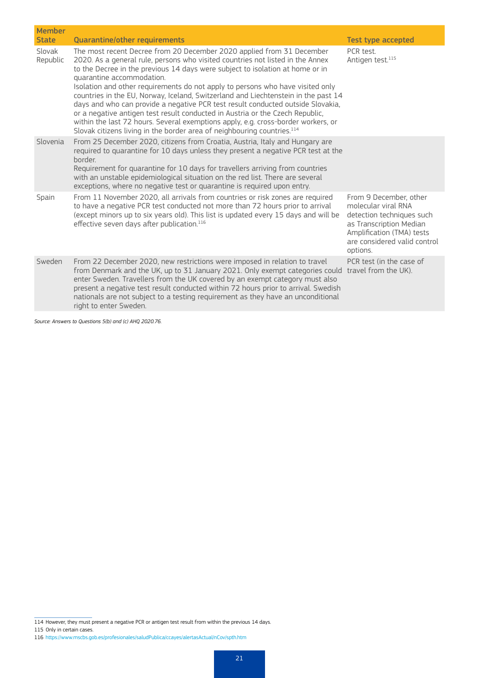| <b>Member</b><br><b>State</b> | <b>Quarantine/other requirements</b>                                                                                                                                                                                                                                                                                                                                                                                                                                                                                                                                                                                                                                                                                                                                                          | <b>Test type accepted</b>                                                                                                                                                      |
|-------------------------------|-----------------------------------------------------------------------------------------------------------------------------------------------------------------------------------------------------------------------------------------------------------------------------------------------------------------------------------------------------------------------------------------------------------------------------------------------------------------------------------------------------------------------------------------------------------------------------------------------------------------------------------------------------------------------------------------------------------------------------------------------------------------------------------------------|--------------------------------------------------------------------------------------------------------------------------------------------------------------------------------|
| Slovak<br>Republic            | The most recent Decree from 20 December 2020 applied from 31 December<br>2020. As a general rule, persons who visited countries not listed in the Annex<br>to the Decree in the previous 14 days were subject to isolation at home or in<br>quarantine accommodation.<br>Isolation and other requirements do not apply to persons who have visited only<br>countries in the EU, Norway, Iceland, Switzerland and Liechtenstein in the past 14<br>days and who can provide a negative PCR test result conducted outside Slovakia,<br>or a negative antigen test result conducted in Austria or the Czech Republic,<br>within the last 72 hours. Several exemptions apply, e.g. cross-border workers, or<br>Slovak citizens living in the border area of neighbouring countries. <sup>114</sup> | PCR test.<br>Antigen test. <sup>115</sup>                                                                                                                                      |
| Slovenia                      | From 25 December 2020, citizens from Croatia, Austria, Italy and Hungary are<br>required to quarantine for 10 days unless they present a negative PCR test at the<br><b>border</b><br>Requirement for quarantine for 10 days for travellers arriving from countries<br>with an unstable epidemiological situation on the red list. There are several<br>exceptions, where no negative test or quarantine is required upon entry.                                                                                                                                                                                                                                                                                                                                                              |                                                                                                                                                                                |
| Spain                         | From 11 November 2020, all arrivals from countries or risk zones are required<br>to have a negative PCR test conducted not more than 72 hours prior to arrival<br>(except minors up to six years old). This list is updated every 15 days and will be<br>effective seven days after publication. <sup>116</sup>                                                                                                                                                                                                                                                                                                                                                                                                                                                                               | From 9 December, other<br>molecular viral RNA<br>detection techniques such<br>as Transcription Median<br>Amplification (TMA) tests<br>are considered valid control<br>options. |
| Sweden                        | From 22 December 2020, new restrictions were imposed in relation to travel<br>from Denmark and the UK, up to 31 January 2021. Only exempt categories could travel from the UK).<br>enter Sweden. Travellers from the UK covered by an exempt category must also<br>present a negative test result conducted within 72 hours prior to arrival. Swedish<br>nationals are not subject to a testing requirement as they have an unconditional<br>right to enter Sweden.                                                                                                                                                                                                                                                                                                                           | PCR test (in the case of                                                                                                                                                       |

*Source: Answers to Questions 5(b) and (c) AHQ 2020.76.*

<sup>114</sup> However, they must present a negative PCR or antigen test result from within the previous 14 days.

<sup>115</sup> Only in certain cases.

<sup>116</sup> <https://www.mscbs.gob.es/profesionales/saludPublica/ccayes/alertasActual/nCov/spth.htm>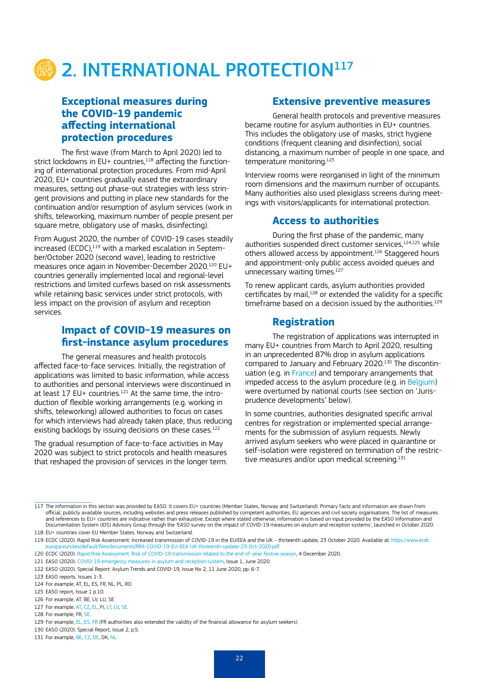

#### **Exceptional measures during the COVID-19 pandemic affecting international protection procedures**

The first wave (from March to April 2020) led to strict lockdowns in EU+ countries, $118$  affecting the functioning of international protection procedures. From mid-April 2020, EU+ countries gradually eased the extraordinary measures, setting out phase-out strategies with less stringent provisions and putting in place new standards for the continuation and/or resumption of asylum services (work in shifts, teleworking, maximum number of people present per square metre, obligatory use of masks, disinfecting).

From August 2020, the number of COVID-19 cases steadily increased (ECDC),<sup>119</sup> with a marked escalation in September/October 2020 (second wave), leading to restrictive measures once again in November-December 2020.120 EU+ countries generally implemented local and regional-level restrictions and limited curfews based on risk assessments while retaining basic services under strict protocols, with less impact on the provision of asylum and reception services.

#### **Impact of COVID-19 measures on first-instance asylum procedures**

The general measures and health protocols affected face-to-face services. Initially, the registration of applications was limited to basic information, while access to authorities and personal interviews were discontinued in at least  $17$  EU+ countries.<sup>121</sup> At the same time, the introduction of flexible working arrangements (e.g. working in shifts, teleworking) allowed authorities to focus on cases for which interviews had already taken place, thus reducing existing backlogs by issuing decisions on these cases.<sup>122</sup>

The gradual resumption of face-to-face activities in May 2020 was subject to strict protocols and health measures that reshaped the provision of services in the longer term.

#### **Extensive preventive measures**

General health protocols and preventive measures became routine for asylum authorities in EU+ countries. This includes the obligatory use of masks, strict hygiene conditions (frequent cleaning and disinfection), social distancing, a maximum number of people in one space, and temperature monitoring.<sup>123</sup>

Interview rooms were reorganised in light of the minimum room dimensions and the maximum number of occupants. Many authorities also used plexiglass screens during meetings with visitors/applicants for international protection.

#### **Access to authorities**

During the first phase of the pandemic, many authorities suspended direct customer services.<sup>124,125</sup> while others allowed access by appointment.126 Staggered hours and appointment-only public access avoided queues and unnecessary waiting times.<sup>127</sup>

To renew applicant cards, asylum authorities provided certificates by mail,<sup>128</sup> or extended the validity for a specific timeframe based on a decision issued by the authorities.<sup>129</sup>

#### **Registration**

The registration of applications was interrupted in many EU+ countries from March to April 2020, resulting in an unprecedented 87% drop in asylum applications compared to January and February 2020.130 The discontinuation (e.g. in [France\)](https://caselaw.easo.europa.eu/pages/viewcaselaw.aspx?CaseLawID=1141) and temporary arrangements that impeded access to the asylum procedure (e.g. in [Belgium\)](https://www.fedasil.be/fr/actualites/accueil-des-demandeurs-dasile/asile-adaptation-du-systeme-denregistrement) were overturned by national courts (see section on 'Jurisprudence developments' below).

In some countries, authorities designated specific arrival centres for registration or implemented special arrangements for the submission of asylum requests. Newly arrived asylum seekers who were placed in quarantine or self-isolation were registered on termination of the restrictive measures and/or upon medical screening.<sup>131</sup>

127 For example, [AT](https://www.bfa.gv.at/presse/news/detail.aspx?nwid=4733674A7A3733376E7A513D&ctrl=794E752F6259564A344A437375564B796375373831364F486E38592F6A766152), [CZ](https://www.mvcr.cz/mvcren/article/information-about-change-of-operation-of-moi-offices-due-to-the-state-of-emergency.aspx), [EL](https://www.facebook.com/migrationgovgr.info/photos/a.578873295600113/1765479283606169/), FI, [LT](https://www.pmlp.gov.lv/lv/sakums/jaunumi/pazinojumi-presei/2020/04/29/izmai%C5%86as-pilson%C4%ABbas-un-migr%C4%81cijas-lietu-p%C4%81rvaldes-klientu-apkalpo%C5%A1an%C4%81-p%C4%93c-%C4%81rk%C4%81rt%C4%93j%C4%81-st%C4%81vok%C4%BCa-atcel%C5%A1anas/), [LV,](http://www.migracija.lt/) [SE](https://www.migrationsverket.se/English/Contact-us/Visit-us/Ortsdata-engelska/Uppsala---Centre-for-National-Service.html).

<sup>117</sup> The information in this section was provided by EASO. It covers EU+ countries (Member States, Norway and Switzerland). Primary facts and information are drawn from official, publicly available sources, including websites and press releases published by competent authorities, EU agencies and civil society organisations. The list of measures and references to EU+ countries are indicative rather than exhaustive. Except where stated otherwise, information is based on input provided by the EASO Information and Documentation System (IDS) Advisory Group through the 'EASO survey on the impact of COVID-19 measures on asylum and reception systems', launched in October 2020. 118 EU+ countries cover EU Member States, Norway and Switzerland.

<sup>119</sup> ECDC (2020). Rapid Risk Assessment: Increased transmission of COVID-19 in the EU/EEA and the UK – thirteenth update, 23 October 2020. Available at: https://www.ecdc uropa.eu/sites/default/files/documents/RRA-COVID-19-EU-EEA-UK-thirteenth-update-23-Oct-2020.pdf

<sup>120</sup> ECDC (2020). [Rapid Risk Assessment: Risk of COVID-19 transmission related to the end-of-year festive season](https://www.ecdc.europa.eu/sites/default/files/documents/Risk-assessment-COVID-19-transmission-related-the-end-of-year-festive-season.pdf), 4 December 2020.

<sup>121</sup> EASO (2020)[. COVID-19 emergency measures in asylum and reception system](https://www.easo.europa.eu/sites/default/files/covid19-emergency-measures-asylum-reception-systems.pdf), Issue 1, June 2020.

<sup>122</sup> EASO (2020). Special Report: Asylum Trends and COVID-19, Issue No 2, 11 June 2020, pp. 6-7.

<sup>123</sup> EASO reports, Issues 1-3.

<sup>124</sup> For example, AT, EL, ES, FR, NL, PL, RO.

<sup>125</sup> EASO report, Issue 1 p.10.

<sup>126</sup> For example, AT, BE, LV, LU, SE.

<sup>128</sup> For example, FR, [SE.](https://www.migrationsverket.se/English/Contact-us/Visit-us/Ortsdata-engelska/Uppsala---Centre-for-National-Service.html)

<sup>129</sup> For example, [EL](http://asylo.gov.gr/en/wp-content/uploads/2020/05/English.pdf), [ES,](https://www.policia.es/documentacion/documentacion.html) FR (FR authorities also extended the validity of the financial allowance for asylum seekers).

<sup>130</sup> EASO (2020). Special Report, Issue 2, p.5.

<sup>131</sup> For example, [BE,](https://www.fedasil.be/fr/actualites/accueil-des-demandeurs-dasile/covid-19-mesures-dans-les-centres-daccueil) [CZ](http://www.suz.cz/informace-pro-zadatele-o-udeleni-mezinarodni-ochrany-information-for-applicants-for-international-protection/), [DE,](https://www.bamf.de/SharedDocs/Meldungen/DE/2020/20200316-am-covid-19.html) DK, [NL](https://ind.nl/en/Pages/Coronavirus.aspx).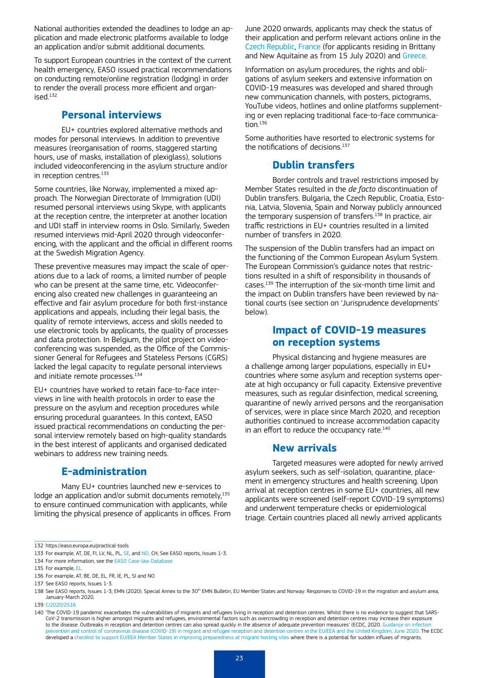National authorities extended the deadlines to lodge an application and made electronic platforms available to lodge an application and/or submit additional documents.

To support European countries in the context of the current health emergency, EASO issued practical recommendations on conducting remote/online registration (lodging) in order to render the overall process more efficient and organised.132

#### **Personal interviews**

EU+ countries explored alternative methods and modes for personal interviews. In addition to preventive measures (reorganisation of rooms, staggered starting hours, use of masks, installation of plexiglass), solutions included videoconferencing in the asylum structure and/or in reception centres.<sup>133</sup>

Some countries, like Norway, implemented a mixed approach. The Norwegian Directorate of Immigration (UDI) resumed personal interviews using Skype, with applicants at the reception centre, the interpreter at another location and UDI staff in interview rooms in Oslo. Similarly, Sweden resumed interviews mid-April 2020 through videoconferencing, with the applicant and the official in different rooms at the Swedish Migration Agency.

These preventive measures may impact the scale of operations due to a lack of rooms, a limited number of people who can be present at the same time, etc. Videoconferencing also created new challenges in guaranteeing an effective and fair asylum procedure for both first-instance applications and appeals, including their legal basis, the quality of remote interviews, access and skills needed to use electronic tools by applicants, the quality of processes and data protection. In [Belgium,](https://www.fedasil.be/fr/actualites/accueil-des-demandeurs-dasile/asile-adaptation-du-systeme-denregistrement) the pilot project on videoconferencing was suspended, as the Office of the Commissioner General for Refugees and Stateless Persons (CGRS) lacked the legal capacity to regulate personal interviews and initiate remote processes.<sup>134</sup>

EU+ countries have worked to retain face-to-face interviews in line with health protocols in order to ease the pressure on the asylum and reception procedures while ensuring procedural guarantees. In this context, EASO issued practical recommendations on conducting the personal interview remotely based on high-quality standards in the best interest of applicants and organised dedicated webinars to address new training needs.

#### **E-administration**

Many EU+ countries launched new e-services to lodge an application and/or submit documents remotely,<sup>135</sup> to ensure continued communication with applicants, while limiting the physical presence of applicants in offices. From June 2020 onwards, applicants may check the status of their application and perform relevant actions online in the [Czech R](https://frs.gov.cz/en/ioff/application-status)epublic, [France](https://www.usager.ofpra.gouv.fr/ofpra/user/login) (for applicants residing in Brittany and New Aquitaine as from 15 July 2020) and [Greece](https://www.facebook.com/migrationgovgr.info/photos/a.578873295600113/1765479283606169/).

Information on asylum procedures, the rights and obligations of asylum seekers and extensive information on COVID-19 measures was developed and shared through new communication channels, with posters, pictograms, YouTube videos, hotlines and online platforms supplementing or even replacing traditional face-to-face communication.136

Some authorities have resorted to electronic systems for the notifications of decisions.137

#### **Dublin transfers**

Border controls and travel restrictions imposed by Member States resulted in the *de facto* discontinuation of Dublin transfers. Bulgaria, the Czech Republic, Croatia, Estonia, Latvia, Slovenia, Spain and Norway publicly announced the temporary suspension of transfers.<sup>138</sup> In practice, air traffic restrictions in EU+ countries resulted in a limited number of transfers in 2020.

The suspension of the Dublin transfers had an impact on the functioning of the Common European Asylum System. The European Commission's guidance notes that restrictions resulted in a shift of responsibility in thousands of cases.139 The interruption of the six-month time limit and the impact on Dublin transfers have been reviewed by national courts (see section on 'Jurisprudence developments' below).

#### **Impact of COVID-19 measures on reception systems**

Physical distancing and hygiene measures are a challenge among larger populations, especially in EU+ countries where some asylum and reception systems operate at high occupancy or full capacity. Extensive preventive measures, such as regular disinfection, medical screening, quarantine of newly arrived persons and the reorganisation of services, were in place since March 2020, and reception authorities continued to increase accommodation capacity in an effort to reduce the occupancy rate.<sup>140</sup>

#### **New arrivals**

Targeted measures were adopted for newly arrived asylum seekers, such as self-isolation, quarantine, placement in emergency structures and health screening. Upon arrival at reception centres in some EU+ countries, all new applicants were screened (self-report COVID-19 symptoms) and underwent temperature checks or epidemiological triage. Certain countries placed all newly arrived applicants

<sup>132</sup> https://easo.europa.eu/practical-tools

<sup>133</sup> For example, AT, DE, FI, LV, NL, PL, [SE,](https://ec.europa.eu/home-affairs/sites/homeaffairs/files/00_eu_30_emn_bulletin_annex_covid_19.pdf) and [NO,](https://ec.europa.eu/home-affairs/sites/homeaffairs/files/00_eu_30_emn_bulletin_annex_covid_19.pdf) CH; See EASO reports, Issues 1-3.

<sup>134</sup> For more information, see the [EASO Case-law Database](https://caselaw.easo.europa.eu/pages/viewcaselaw.aspx?CaseLawID=1437).

<sup>135</sup> For example, [EL](http://asylo.gov.gr/en/wp-content/uploads/2020/05/English.pdf)

<sup>136</sup> For example, AT, BE, DE, EL, FR, IE, PL, SI and NO.

<sup>137</sup> See EASO reports, Issues 1-3.

<sup>138</sup> See EASO reports, Issues 1-3; EMN (2020). Special Annex to the 30<sup>th</sup> EMN Bulletin, EU Member States and Norway: Responses to COVID-19 in the migration and asylum area, January-March 2020.

<sup>139</sup> [C/2020/2516](https://ec.europa.eu/info/sites/info/files/guidance-implementation-eu-provisions-asylum-retur-procedures-resettlement.pdf)

<sup>140</sup> 'The COVID-19 pandemic exacerbates the vulnerabilities of migrants and refugees living in reception and detention centres. Whilst there is no evidence to suggest that SARS-CoV-2 transmission is higher amongst migrants and refugees, environmental factors such as overcrowding in reception and detention centres may increase their exposure to the disease. Outbreaks in reception and detention centres can also spread quickly in the absence of adequate prevention measures' (ECDC, 2020. Guidance on infection<br>prevention and control of coronavirus disease (COVID-1 developed a [checklist to support EU/EEA Member States in improving preparedness at migrant hosting sites](https://www.ecdc.europa.eu/en/publications-data/handbook-using-ecdc-preparedness-checklist-tool-strengthen-preparedness-against) where there is a potential for sudden influxes of migrants.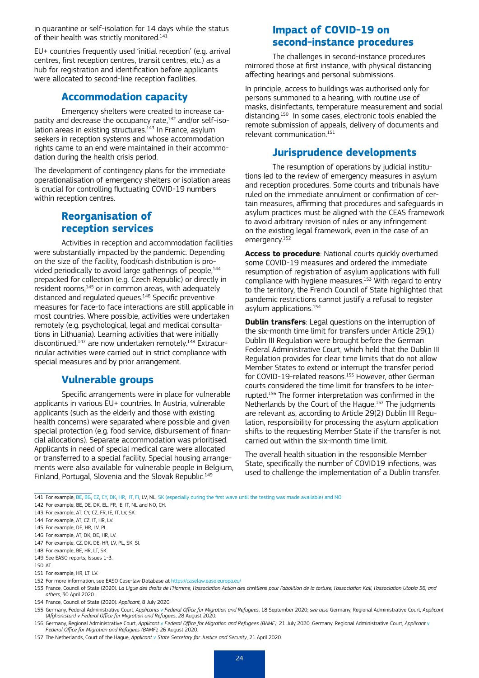in quarantine or self-isolation for 14 days while the status of their health was strictly monitored.<sup>141</sup>

EU+ countries frequently used 'initial reception' (e.g. arrival centres, first reception centres, transit centres, etc.) as a hub for registration and identification before applicants were allocated to second-line reception facilities.

#### **Accommodation capacity**

Emergency shelters were created to increase capacity and decrease the occupancy rate,<sup>142</sup> and/or self-isolation areas in existing structures. $^{143}$  In France, asylum seekers in reception systems and whose accommodation rights came to an end were maintained in their accommodation during the health crisis period.

The development of contingency plans for the immediate operationalisation of emergency shelters or isolation areas is crucial for controlling fluctuating COVID-19 numbers within reception centres.

#### **Reorganisation of reception services**

Activities in reception and accommodation facilities were substantially impacted by the pandemic. Depending on the size of the facility, food/cash distribution is provided periodically to avoid large gatherings of people.<sup>144</sup> prepacked for collection (e.g. Czech Republic) or directly in resident rooms,<sup>145</sup> or in common areas, with adequately distanced and regulated queues.146 Specific preventive measures for face-to face interactions are still applicable in most countries. Where possible, activities were undertaken remotely (e.g. psychological, legal and medical consultations in Lithuania). Learning activities that were initially discontinued,<sup>147</sup> are now undertaken remotely.<sup>148</sup> Extracurricular activities were carried out in strict compliance with special measures and by prior arrangement.

#### **Vulnerable groups**

Specific arrangements were in place for vulnerable applicants in various EU+ countries. In Austria, vulnerable applicants (such as the elderly and those with existing health concerns) were separated where possible and given special protection (e.g. food service, disbursement of financial allocations). Separate accommodation was prioritised. Applicants in need of special medical care were allocated or transferred to a special facility. Special housing arrangements were also available for vulnerable people in Belgium, Finland, Portugal, Slovenia and the Slovak Republic.<sup>149</sup>

#### **Impact of COVID-19 on second-instance procedures**

The challenges in second-instance procedures mirrored those at first instance, with physical distancing affecting hearings and personal submissions.

In principle, access to buildings was authorised only for persons summoned to a hearing, with routine use of masks, disinfectants, temperature measurement and social distancing.150 In some cases, electronic tools enabled the remote submission of appeals, delivery of documents and relevant communication.<sup>151</sup>

#### **Jurisprudence developments**

The resumption of operations by judicial institutions led to the review of emergency measures in asylum and reception procedures. Some courts and tribunals have ruled on the immediate annulment or confirmation of certain measures, affirming that procedures and safeguards in asylum practices must be aligned with the CEAS framework to avoid arbitrary revision of rules or any infringement on the existing legal framework, even in the case of an emergency.152

**Access to procedure**: National courts quickly overturned some COVID-19 measures and ordered the immediate resumption of registration of asylum applications with full compliance with hygiene measures.153 With regard to entry to the territory, the French Council of State highlighted that pandemic restrictions cannot justify a refusal to register asylum applications.<sup>154</sup>

**Dublin transfers**: Legal questions on the interruption of the six-month time limit for transfers under Article 29(1) Dublin III Regulation were brought before the German Federal Administrative Court, which held that the Dublin III Regulation provides for clear time limits that do not allow Member States to extend or interrupt the transfer period for COVID-19-related reasons.<sup>155</sup> However, other German courts considered the time limit for transfers to be interrupted.156 The former interpretation was confirmed in the Netherlands by the Court of the Hague.157 The judgments are relevant as, according to Article 29(2) Dublin III Regulation, responsibility for processing the asylum application shifts to the requesting Member State if the transfer is not carried out within the six-month time limit.

The overall health situation in the responsible Member State, specifically the number of COVID19 infections, was used to challenge the implementation of a Dublin transfer.

141 For example, [BE](https://www.fedasil.be/fr/actualites/accueil-des-demandeurs-dasile/covid-19-mesures-dans-les-centres-daccueil)[, BG](http://www.aref.government.bg/bg/node/339), [CZ](http://www.suz.cz/informace-pro-zadatele-o-udeleni-mezinarodni-ochrany-information-for-applicants-for-international-protection/), [CY](https://www.pio.gov.cy/assets/pdf/newsroom/2020/04/23.4.20_Ekthesi_Epitropou.pdf), [DK](https://uim.dk/nyheder/covid-19-regeringen-vil-forebygge-smittespredning-fra-asylansogere), [HR](https://icfonlineeur.sharepoint.com/sites/EMN/Shared%20Documents/frostka/AppData/Local/Microsoft/Windows/INetCache/Content.Outlook/AppData/Local/Microsoft/Windows/INetCache/Content.Outlook/AVND6HX0/Agenda%20LMA%20workshop%2014%20-%2015%20December%202020%20Amended%20MP.docx), [IT,](https://www.interno.gov.it/sites/default/files/allegati/circolare_covid-19_prot_del_1_4_2020_ulteriori_indicazioni_protocollo_3728_1.pdf) [FI](https://www.udi.no/en/latest/koronaberedskap-i-asylmottak/), LV, NL, SK (especially during the first wave until the testing was made available) and [NO.](https://www.udi.no/en/latest/koronaberedskap-i-asylmottak/)

154 France, Council of State (2020). *[Applicant](https://caselaw.easo.europa.eu/pages/viewcaselaw.aspx?CaseLawID=1148)*, 8 July 2020.

<sup>142</sup> For example, BE, DE, DK, EL, FR, IE, IT, NL and NO, CH.

<sup>143</sup> For example, AT, CY, CZ, FR, IE, IT, LV, SK.

<sup>144</sup> For example, AT, CZ, IT, HR, LV.

<sup>145</sup> For example, DE, HR, LV, PL.

<sup>146</sup> For example, AT, DK, DE, HR, LV.

<sup>147</sup> For example, CZ, DK, DE, HR, LV, PL, SK, SI.

<sup>148</sup> For example, BE, HR, LT, SK.

<sup>149</sup> See EASO reports, Issues 1-3.

<sup>150</sup> AT.

<sup>151</sup> For example, HR, LT, LV.

<sup>152</sup> For more information, see EASO Case-law Database at <https://caselaw.easo.europa.eu/>

<sup>153</sup> France, Council of State (2020). *[La Ligue des droits de l'Homme, l'association Action des chrétiens pour l'abolition de la torture, l'association Kali, l'association Utopia 56, and](https://caselaw.easo.europa.eu/pages/viewcaselaw.aspx?CaseLawID=1141)  [others](https://caselaw.easo.europa.eu/pages/viewcaselaw.aspx?CaseLawID=1141)*, 30 April 2020.

<sup>155</sup> Germany, Federal Administrative Court, *Applicants* v *[Federal Office for Migration and Refugees](https://caselaw.easo.europa.eu/pages/viewca%20selaw.aspx?CaseLawID=1252)*, 18 September 2020; *see also* Germany, Regional Administrative Court, *[Applicant](https://caselaw.easo.europa.eu/pages/viewcaselaw.aspx?CaseLawID=1189)  [\(Afghanistan\) v Federal Office for Migration and Refugees](https://caselaw.easo.europa.eu/pages/viewcaselaw.aspx?CaseLawID=1189)*, 28 August 2020.

<sup>156</sup> Germany, Regional Administrative Court, *Applicant* v *[Federal Office for Migration and Refugees \(BAMF\)](https://caselaw.easo.europa.eu/pages/viewcaselaw.aspx?CaseLawID=1363)*, 21 July 2020; Germany, Regional Administrative Court, *[Applicant](https://caselaw.easo.europa.eu/pages/viewcaselaw.aspx?CaseLawID=1365)* v *[Federal Office for Migration and Refugees \(BAMF\),](https://caselaw.easo.europa.eu/pages/viewcaselaw.aspx?CaseLawID=1365)* 26 August 2020.

<sup>157</sup> The Netherlands, Court of the Hague, *Applicant* v *[State Secretary for Justice and Security](https://caselaw.easo.europa.eu/pages/viewcaselaw.aspx?CaseLawID=1145)*, 21 April 2020.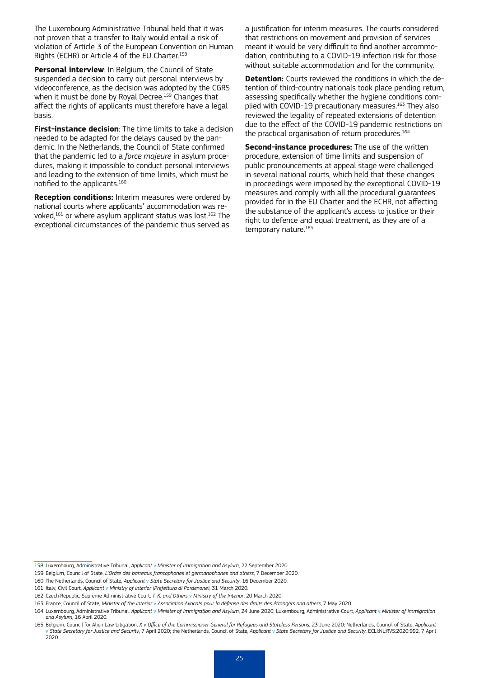The Luxembourg Administrative Tribunal held that it was not proven that a transfer to Italy would entail a risk of violation of Article 3 of the European Convention on Human Rights (ECHR) or Article 4 of the EU Charter.158

**Personal interview**: In Belgium, the Council of State suspended a decision to carry out personal interviews by videoconference, as the decision was adopted by the CGRS when it must be done by Royal Decree.<sup>159</sup> Changes that affect the rights of applicants must therefore have a legal basis.

**First-instance decision**: The time limits to take a decision needed to be adapted for the delays caused by the pandemic. In the Netherlands, the Council of State confirmed that the pandemic led to a *force majeure* in asylum procedures, making it impossible to conduct personal interviews and leading to the extension of time limits, which must be notified to the applicants.<sup>160</sup>

**Reception conditions:** Interim measures were ordered by national courts where applicants' accommodation was revoked,<sup>161</sup> or where asylum applicant status was lost.<sup>162</sup> The exceptional circumstances of the pandemic thus served as

a justification for interim measures. The courts considered that restrictions on movement and provision of services meant it would be very difficult to find another accommodation, contributing to a COVID-19 infection risk for those without suitable accommodation and for the community.

**Detention:** Courts reviewed the conditions in which the detention of third-country nationals took place pending return, assessing specifically whether the hygiene conditions complied with COVID-19 precautionary measures.163 They also reviewed the legality of repeated extensions of detention due to the effect of the COVID-19 pandemic restrictions on the practical organisation of return procedures.<sup>164</sup>

**Second-instance procedures:** The use of the written procedure, extension of time limits and suspension of public pronouncements at appeal stage were challenged in several national courts, which held that these changes in proceedings were imposed by the exceptional COVID-19 measures and comply with all the procedural guarantees provided for in the EU Charter and the ECHR, not affecting the substance of the applicant's access to justice or their right to defence and equal treatment, as they are of a temporary nature.<sup>165</sup>

<sup>158</sup> Luxembourg, Administrative Tribunal, *Applicant* v *[Minister of Immigration and Asylum](https://caselaw.easo.europa.eu/pages/viewcaselaw.aspx?CaseLawID=1207)*, 22 September 2020.

<sup>159</sup> Belgium, Council of State, *[L'Ordre des barreaux francophones et germanophones and others](https://caselaw.easo.europa.eu/pages/viewcaselaw.aspx?CaseLawID=1437)*, 7 December 2020.

<sup>160</sup> The Netherlands, Council of State, *Applicant* v *[State Secretary for Justice and Security](https://caselaw.easo.europa.eu/pages/viewcaselaw.aspx?CaseLawID=1450)*, 16 December 2020.

<sup>161</sup> Italy, Civil Court, *Applicant* v *[Ministry of Interior \(Prefettura di Pordenone\)](https://caselaw.easo.europa.eu/pages/viewcaselaw.aspx?CaseLawID=1316)*, 31 March 2020.

<sup>162</sup> Czech Republic, Supreme Administrative Court, *T. K. and Others* v *[Ministry of the Interior](https://caselaw.easo.europa.eu/pages/viewcaselaw.aspx?CaseLawID=1200)*, 20 March 2020.

<sup>163</sup> France, Council of State, *Minister of the Interior* v *[Association Avocats pour la défense des droits des étrangers and others](https://caselaw.easo.europa.eu/pages/viewcaselaw.aspx?CaseLawID=1140)*, 7 May 2020.

<sup>164</sup> Luxembourg, Administrative Tribunal, *Applicant* v *[Minister of Immigration and Asylum](https://caselaw.easo.europa.eu/pages/viewcaselaw.aspx?CaseLawID=1205)*, 24 June 2020; Luxembourg, Administrative Court, *Applicant* v *[Minister of Immigration](https://caselaw.easo.europa.eu/pages/viewcaselaw.aspx?CaseLawID=1204)  [and Asylum](https://caselaw.easo.europa.eu/pages/viewcaselaw.aspx?CaseLawID=1204)*, 16 April 2020.

<sup>165</sup> Belgium, Council for Alien Law Litigation, *[X v Office of the Commissioner General for Refugees and Stateless Persons](https://caselaw.easo.europa.eu/pages/viewcaselaw.aspx?CaseLawID=1260)*, 23 June 2020; Netherlands, Council of State, *[Applicant](https://caselaw.easo.europa.eu/pages/viewcaselaw.aspx?CaseLawID=1250) (G)* and Security, 7 April 2020; the Nethe 2020.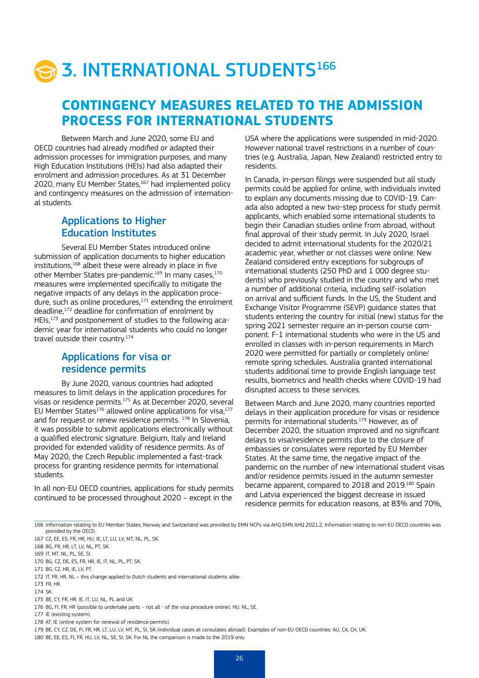# **3. INTERNATIONAL STUDENTS166**

## **CONTINGENCY MEASURES RELATED TO THE ADMISSION PROCESS FOR INTERNATIONAL STUDENTS**

Between March and June 2020, some EU and OECD countries had already modified or adapted their admission processes for immigration purposes, and many High Education Institutions (HEIs) had also adapted their enrolment and admission procedures. As at 31 December 2020, many EU Member States,<sup>167</sup> had implemented policy and contingency measures on the admission of international students.

#### Applications to Higher Education Institutes

Several EU Member States introduced online submission of application documents to higher education  $institutions$ ,<sup>168</sup> albeit these were already in place in five other Member States pre-pandemic.<sup>169</sup> In many cases,<sup>170</sup> measures were implemented specifically to mitigate the negative impacts of any delays in the application procedure, such as online procedures, $171$  extending the enrolment deadline,172 deadline for confirmation of enrolment by HEIs,173 and postponement of studies to the following academic year for international students who could no longer travel outside their country.174

#### Applications for visa or residence permits

By June 2020, various countries had adopted measures to limit delays in the application procedures for visas or residence permits.175 As at December 2020, several EU Member States<sup>176</sup> allowed online applications for visa,  $177$ and for request or renew residence permits.  $178$  In Slovenia, it was possible to submit applications electronically without a qualified electronic signature. Belgium, Italy and Ireland provided for extended validity of residence permits. As of May 2020, the Czech Republic implemented a fast-track process for granting residence permits for international students.

In all non-EU OECD countries, applications for study permits continued to be processed throughout 2020 – except in the

USA where the applications were suspended in mid-2020. However national travel restrictions in a number of countries (e.g. Australia, Japan, New Zealand) restricted entry to residents.

In Canada, in-person filings were suspended but all study permits could be applied for online, with individuals invited to explain any documents missing due to COVID-19. Canada also adopted a new two-step process for study permit applicants, which enabled some international students to begin their Canadian studies online from abroad, without final approval of their study permit. In July 2020, Israel decided to admit international students for the 2020/21 academic year, whether or not classes were online. New Zealand considered entry exceptions for subgroups of international students (250 PhD and 1 000 degree students) who previously studied in the country and who met a number of additional criteria, including self-isolation on arrival and sufficient funds. In the US, the Student and Exchange Visitor Programme (SEVP) guidance states that students entering the country for initial (new) status for the spring 2021 semester require an in-person course component. F-1 international students who were in the US and enrolled in classes with in-person requirements in March 2020 were permitted for partially or completely online/ remote spring schedules. Australia granted international students additional time to provide English language test results, biometrics and health checks where COVID-19 had disrupted access to these services.

Between March and June 2020, many countries reported delays in their application procedure for visas or residence permits for international students.179 However, as of December 2020, the situation improved and no significant delays to visa/residence permits due to the closure of embassies or consulates were reported by EU Member States. At the same time, the negative impact of the pandemic on the number of new international student visas and/or residence permits issued in the autumn semester became apparent, compared to 2018 and 2019.180 Spain and Latvia experienced the biggest decrease in issued residence permits for education reasons, at 83% and 70%,

<sup>166</sup> Information relating to EU Member States, Norway and Switzerland was provided by EMN NCPs via AHQ EMN AHQ 2021.2. Information relating to non-EU OECD countries was provided by the OECD.

<sup>167</sup> CZ, EE, ES, FR, HR, HU, IE, LT, LU, LV, MT, NL, PL, SK.

<sup>168</sup> BG, FR, HR, LT, LV, NL, PT, SK.

<sup>169</sup> IT, MT, NL, PL, SE, SI.

<sup>170</sup> BG, CZ, DE, ES, ER, HR, IE, IT, NL, PL, PT, SK.

<sup>171</sup> BG, CZ, HR, IE, LV, PT.

<sup>172</sup> IT, FR, HR, NL – this change applied to Dutch students and international students alike.

<sup>173</sup> FR, HR.

<sup>174</sup> SK.

<sup>175</sup> BE, CY, FR, HR, IE, IT, LU, NL, PL and UK.

<sup>176</sup> BG, FI, FR, HR (possible to undertake parts - not all - of the visa procedure online), HU, NL, SE.

<sup>177</sup> IE (existing system).

<sup>178</sup> AT, IE (online system for renewal of residence permits).

<sup>179</sup> BE, CY, CZ, DE, FI, FR, HR, LT, LU, LV, MT, PL, SI, SK (individual cases at consulates abroad). Examples of non-EU OECD countries: AU, CA, CH, UK.

<sup>180</sup> BE, EE, ES, FI, FR, HU, LV, NL, SE, SI, SK. For NL the comparison is made to the 2019 only.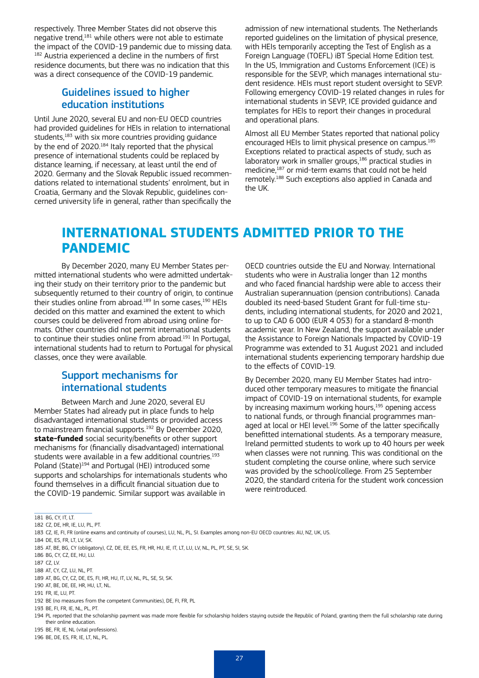respectively. Three Member States did not observe this negative trend,181 while others were not able to estimate the impact of the COVID-19 pandemic due to missing data. <sup>182</sup> Austria experienced a decline in the numbers of first residence documents, but there was no indication that this was a direct consequence of the COVID-19 pandemic.

#### Guidelines issued to higher education institutions

Until June 2020, several EU and non-EU OECD countries had provided guidelines for HEIs in relation to international students,<sup>183</sup> with six more countries providing guidance by the end of 2020.184 Italy reported that the physical presence of international students could be replaced by distance learning, if necessary, at least until the end of 2020. Germany and the Slovak Republic issued recommendations related to international students' enrolment, but in Croatia, Germany and the Slovak Republic, guidelines concerned university life in general, rather than specifically the admission of new international students. The Netherlands reported guidelines on the limitation of physical presence, with HEIs temporarily accepting the Test of English as a Foreign Language (TOEFL) iBT Special Home Edition test. In the US, Immigration and Customs Enforcement (ICE) is responsible for the SEVP, which manages international student residence. HEIs must report student oversight to SEVP. Following emergency COVID-19 related changes in rules for international students in SEVP, ICE provided guidance and templates for HEIs to report their changes in procedural and operational plans.

Almost all EU Member States reported that national policy encouraged HEIs to limit physical presence on campus.<sup>185</sup> Exceptions related to practical aspects of study, such as laboratory work in smaller groups,<sup>186</sup> practical studies in medicine,187 or mid-term exams that could not be held remotely.<sup>188</sup> Such exceptions also applied in Canada and the UK.

### **INTERNATIONAL STUDENTS ADMITTED PRIOR TO THE PANDEMIC**

By December 2020, many EU Member States permitted international students who were admitted undertaking their study on their territory prior to the pandemic but subsequently returned to their country of origin, to continue their studies online from abroad.<sup>189</sup> In some cases.<sup>190</sup> HEIs decided on this matter and examined the extent to which courses could be delivered from abroad using online formats. Other countries did not permit international students to continue their studies online from abroad.<sup>191</sup> In Portugal, international students had to return to Portugal for physical classes, once they were available.

#### Support mechanisms for international students

Between March and June 2020, several EU Member States had already put in place funds to help disadvantaged international students or provided access to mainstream financial supports.<sup>192</sup> By December 2020, **state-funded** social security/benefits or other support mechanisms for (financially disadvantaged) international students were available in a few additional countries.<sup>193</sup> Poland (State)<sup>194</sup> and Portugal (HEI) introduced some supports and scholarships for internationals students who found themselves in a difficult financial situation due to the COVID-19 pandemic. Similar support was available in

OECD countries outside the EU and Norway. International students who were in Australia longer than 12 months and who faced financial hardship were able to access their Australian superannuation (pension contributions). Canada doubled its need-based Student Grant for full-time students, including international students, for 2020 and 2021, to up to CAD 6 000 (EUR 4 053) for a standard 8-month academic year. In New Zealand, the support available under the Assistance to Foreign Nationals Impacted by COVID-19 Programme was extended to 31 August 2021 and included international students experiencing temporary hardship due to the effects of COVID-19.

By December 2020, many EU Member States had introduced other temporary measures to mitigate the financial impact of COVID-19 on international students, for example by increasing maximum working hours,<sup>195</sup> opening access to national funds, or through financial programmes managed at local or HEI level.<sup>196</sup> Some of the latter specifically benefitted international students. As a temporary measure, Ireland permitted students to work up to 40 hours per week when classes were not running. This was conditional on the student completing the course online, where such service was provided by the school/college. From 25 September 2020, the standard criteria for the student work concession were reintroduced.

184 DE, ES, FR, LT, LV, SK.

<sup>181</sup> BG, CY, IT, LT.

<sup>182</sup> CZ, DE, HR, IE, LU, PL, PT.

<sup>183</sup> CZ, IE, FI, FR (online exams and continuity of courses), LU, NL, PL, SI. Examples among non-EU OECD countries: AU, NZ, UK, US.

<sup>185</sup> AT, BE, BG, CY (obligatory), CZ, DE, EE, ES, FR, HR, HU, IE, IT, LT, LU, LV, NL, PL, PT, SE, SI, SK.

<sup>186</sup> BG, CY, CZ, EE, HU, LU.

<sup>187</sup> CZ, LV.

<sup>188</sup> AT CY CZ LU NL PT.

<sup>189</sup> AT, BG, CY, CZ, DE, ES, FI, HR, HU, IT, LV, NL, PL, SE, SI, SK.

<sup>190</sup> AT, BE, DE, EE, HR, HU, LT, NL.

<sup>191</sup> FR, IE, LU, PT.

<sup>192</sup> BE (no measures from the competent Communities), DE, FI, FR, PL

<sup>193</sup> BE, FI, FR, IE, NL, PL, PT.

<sup>194</sup> PL reported that the scholarship payment was made more flexible for scholarship holders staying outside the Republic of Poland, granting them the full scholarship rate during their online education.

<sup>195</sup> BE, FR, IE, NL (vital professions).

<sup>196</sup> BE, DE, ES, FR, IE, LT, NL, PL.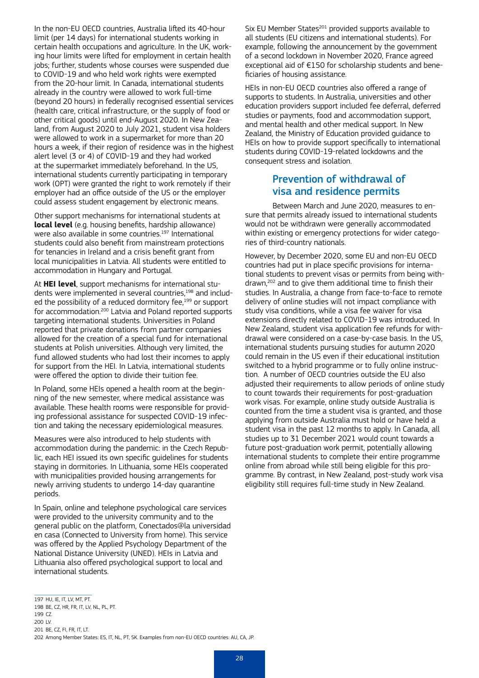In the non-EU OECD countries, Australia lifted its 40-hour limit (per 14 days) for international students working in certain health occupations and agriculture. In the UK, working hour limits were lifted for employment in certain health jobs; further, students whose courses were suspended due to COVID-19 and who held work rights were exempted from the 20-hour limit. In Canada, international students already in the country were allowed to work full-time (beyond 20 hours) in federally recognised essential services (health care, critical infrastructure, or the supply of food or other critical goods) until end-August 2020. In New Zealand, from August 2020 to July 2021, student visa holders were allowed to work in a supermarket for more than 20 hours a week, if their region of residence was in the highest alert level (3 or 4) of COVID-19 and they had worked at the supermarket immediately beforehand. In the US, international students currently participating in temporary work (OPT) were granted the right to work remotely if their employer had an office outside of the US or the employer could assess student engagement by electronic means.

Other support mechanisms for international students at **local level** (e.g. housing benefits, hardship allowance) were also available in some countries.<sup>197</sup> International students could also benefit from mainstream protections for tenancies in Ireland and a crisis benefit grant from local municipalities in Latvia. All students were entitled to accommodation in Hungary and Portugal.

At **HEI level**, support mechanisms for international students were implemented in several countries,<sup>198</sup> and included the possibility of a reduced dormitory fee.<sup>199</sup> or support for accommodation.200 Latvia and Poland reported supports targeting international students. Universities in Poland reported that private donations from partner companies allowed for the creation of a special fund for international students at Polish universities. Although very limited, the fund allowed students who had lost their incomes to apply for support from the HEI. In Latvia, international students were offered the option to divide their tuition fee.

In Poland, some HEIs opened a health room at the beginning of the new semester, where medical assistance was available. These health rooms were responsible for providing professional assistance for suspected COVID-19 infection and taking the necessary epidemiological measures.

Measures were also introduced to help students with accommodation during the pandemic: in the Czech Republic, each HEI issued its own specific guidelines for students staying in dormitories. In Lithuania, some HEIs cooperated with municipalities provided housing arrangements for newly arriving students to undergo 14-day quarantine periods.

In Spain, online and telephone psychological care services were provided to the university community and to the general public on the platform, [Conectados@la universidad](https://www.uned.es/universidad/inicio/uned_uoc_solidaria/apoyo_psicologico.html)  [en casa](https://www.uned.es/universidad/inicio/uned_uoc_solidaria/apoyo_psicologico.html) (Connected to University from home). This service was offered by the Applied Psychology Department of the National Distance University (UNED). HEIs in Latvia and Lithuania also offered psychological support to local and international students.

Six EU Member States<sup>201</sup> provided supports available to all students (EU citizens and international students). For example, following the announcement by the government of a second lockdown in November 2020, France agreed exceptional aid of €150 for scholarship students and beneficiaries of housing assistance.

HEIs in non-EU OECD countries also offered a range of supports to students. In Australia, universities and other education providers support included fee deferral, deferred studies or payments, food and accommodation support, and mental health and other medical support. In New Zealand, the Ministry of Education provided guidance to HEIs on how to provide support specifically to international students during COVID-19-related lockdowns and the consequent stress and isolation.

#### Prevention of withdrawal of visa and residence permits

Between March and June 2020, measures to ensure that permits already issued to international students would not be withdrawn were generally accommodated within existing or emergency protections for wider categories of third-country nationals.

However, by December 2020, some EU and non-EU OECD countries had put in place specific provisions for international students to prevent visas or permits from being withdrawn,202 and to give them additional time to finish their studies. In Australia, a change from face-to-face to remote delivery of online studies will not impact compliance with study visa conditions, while a visa fee waiver for visa extensions directly related to COVID-19 was introduced. In New Zealand, student visa application fee refunds for withdrawal were considered on a case-by-case basis. In the US, international students pursuing studies for autumn 2020 could remain in the US even if their educational institution switched to a hybrid programme or to fully online instruction. A number of OECD countries outside the EU also adjusted their requirements to allow periods of online study to count towards their requirements for post-graduation work visas. For example, online study outside Australia is counted from the time a student visa is granted, and those applying from outside Australia must hold or have held a student visa in the past 12 months to apply. In Canada, all studies up to 31 December 2021 would count towards a future post-graduation work permit, potentially allowing international students to complete their entire programme online from abroad while still being eligible for this programme. By contrast, in New Zealand, post-study work visa eligibility still requires full-time study in New Zealand.

<sup>197</sup> HU, IE, IT, LV, MT, PT.

<sup>198</sup> BE, CZ, HR, FR, IT, LV, NL, PL, PT. 199 CZ. 200 LV.

<sup>201</sup> BE, CZ, FI, FR, IT, LT.

<sup>202</sup> Among Member States: ES, IT, NL, PT, SK. Examples from non-EU OECD countries: AU, CA, JP.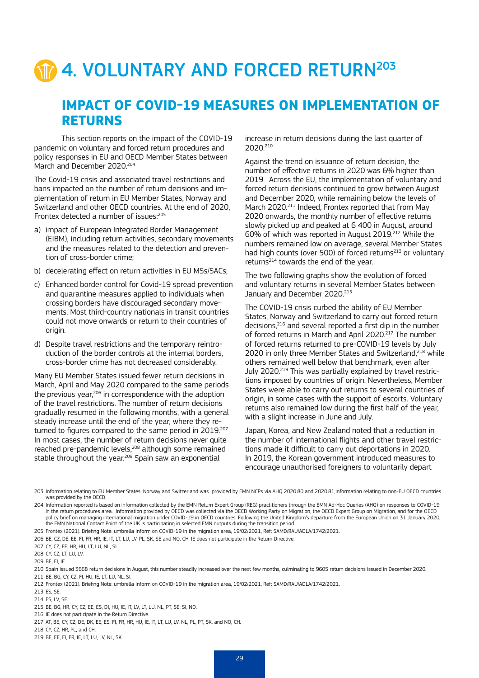# 4. VOLUNTARY AND FORCED RETURN<sup>203</sup>

### **IMPACT OF COVID-19 MEASURES ON IMPLEMENTATION OF RETURNS**

This section reports on the impact of the COVID-19 pandemic on voluntary and forced return procedures and policy responses in EU and OECD Member States between March and December 2020<sup>204</sup>

The Covid-19 crisis and associated travel restrictions and bans impacted on the number of return decisions and implementation of return in EU Member States, Norway and Switzerland and other OECD countries. At the end of 2020, Frontex detected a number of issues:<sup>205</sup>

- a) impact of European Integrated Border Management (EIBM), including return activities, secondary movements and the measures related to the detection and prevention of cross-border crime;
- b) decelerating effect on return activities in EU MSs/SACs;
- c) Enhanced border control for Covid-19 spread prevention and quarantine measures applied to individuals when crossing borders have discouraged secondary movements. Most third-country nationals in transit countries could not move onwards or return to their countries of origin.
- d) Despite travel restrictions and the temporary reintroduction of the border controls at the internal borders, cross-border crime has not decreased considerably.

Many EU Member States issued fewer return decisions in March, April and May 2020 compared to the same periods the previous year.<sup>206</sup> in correspondence with the adoption of the travel restrictions. The number of return decisions gradually resumed in the following months, with a general steady increase until the end of the year, where they returned to figures compared to the same period in 2019.<sup>207</sup> In most cases, the number of return decisions never quite reached pre-pandemic levels,<sup>208</sup> although some remained stable throughout the year.<sup>209</sup> Spain saw an exponential

increase in return decisions during the last quarter of 2020.210

Against the trend on issuance of return decision, the number of effective returns in 2020 was 6% higher than 2019. Across the EU, the implementation of voluntary and forced return decisions continued to grow between August and December 2020, while remaining below the levels of March 2020.<sup>211</sup> Indeed, Frontex reported that from May 2020 onwards, the monthly number of effective returns slowly picked up and peaked at 6 400 in August, around 60% of which was reported in August 2019.212 While the numbers remained low on average, several Member States had high counts (over 500) of forced returns $213$  or voluntary returns $^{214}$  towards the end of the year.

The two following graphs show the evolution of forced and voluntary returns in several Member States between January and December 2020.<sup>215</sup>

The COVID-19 crisis curbed the ability of EU Member States, Norway and Switzerland to carry out forced return decisions,216 and several reported a first dip in the number of forced returns in March and April 2020.<sup>217</sup> The number of forced returns returned to pre-COVID-19 levels by July 2020 in only three Member States and Switzerland.<sup>218</sup> while others remained well below that benchmark, even after July 2020.<sup>219</sup> This was partially explained by travel restrictions imposed by countries of origin. Nevertheless, Member States were able to carry out returns to several countries of origin, in some cases with the support of escorts. Voluntary returns also remained low during the first half of the year, with a slight increase in June and July.

Japan, Korea, and New Zealand noted that a reduction in the number of international flights and other travel restrictions made it difficult to carry out deportations in 2020. In 2019, the Korean government introduced measures to encourage unauthorised foreigners to voluntarily depart

<sup>203</sup> Information relating to EU Member States, Norway and Switzerland was provided by EMN NCPs via AHQ 2020.80 and 2020.81,Information relating to non-EU OECD countries was provided by the OECD.

<sup>204</sup> Information reported is based on information collected by the EMN Return Expert Group (REG) practitioners through the EMN Ad-Hoc Queries (AHQ) on responses to COVID-19 in the return procedures area. Information provided by OECD was collected via the OECD Working Party on Migration, the OECD Expert Group on Migration, and for the OECD policy brief on managing international migration under COVID-19 in OECD countries. Following the United Kingdom's departure from the European Union on 31 January 2020, the EMN National Contact Point of the UK is participating in selected EMN outputs during the transition period.

<sup>205</sup> Frontex (2021). Briefing Note: umbrella Inform on COVID-19 in the migration area, 19/02/2021, Ref: SAMD/RAU/ADLA/1742/2021.

<sup>206</sup> BE, CZ, DE, EE, FI, FR, HR, IE, IT, LT, LU, LV, PL, SK, SE and NO, CH. IE does not participate in the Return Directive.

<sup>207</sup> CY, CZ, EE, HR, HU, LT, LU, NL, SI.

<sup>208</sup> CY, CZ, LT, LU, LV.

<sup>209</sup> BE, FI, IE.

<sup>210</sup> Spain issued 3668 return decisions in August, this number steadily increased over the next few months, culminating to 9605 return decisions issued in December 2020. 211 BE, BG, CY, CZ, FI, HU, IE, LT, LU, NL, SI.

<sup>212</sup> Frontex (2021). Briefing Note: umbrella Inform on COVID-19 in the migration area, 19/02/2021, Ref: SAMD/RAU/ADLA/1742/2021.

<sup>213</sup> ES, SE.

<sup>214</sup> ES, LV, SE.

<sup>215</sup> BE, BG, HR, CY, CZ, EE, ES, DI, HU, IE, IT, LV, LT, LU, NL, PT, SE, SI, NO.

<sup>216</sup> IE does not participate in the Return Directive.

<sup>217</sup> AT, BE, CY, CZ, DE, DK, EE, ES, FI, FR, HR, HU, IE, IT, LT, LU, LV, NL, PL, PT, SK, and NO, CH.

<sup>218</sup> CY, CZ, HR, PL, and CH.

<sup>219</sup> BE, EE, FI, FR, IE, LT, LU, LV, NL, SK.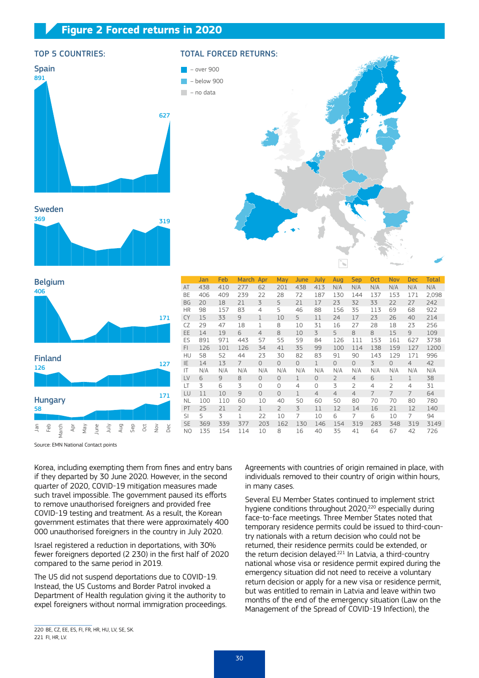#### **Figure 2 Forced returns in 2020**



#### TOP 5 COUNTRIES: TOTAL FORCED RETURNS:







Source: EMN National Contact points

Apr May

406

Belgium

126

Finland

Hungary

Jan Feb March

58

Korea, including exempting them from fines and entry bans if they departed by 30 June 2020. However, in the second quarter of 2020, COVID-19 mitigation measures made such travel impossible. The government paused its efforts to remove unauthorised foreigners and provided free COVID-19 testing and treatment. As a result, the Korean government estimates that there were approximately 400 000 unauthorised foreigners in the country in July 2020.

Israel registered a reduction in deportations, with 30% fewer foreigners deported (2 230) in the first half of 2020 compared to the same period in 2019.

The US did not suspend deportations due to COVID-19. Instead, the US Customs and Border Patrol invoked a Department of Health regulation giving it the authority to expel foreigners without normal immigration proceedings.

Agreements with countries of origin remained in place, with individuals removed to their country of origin within hours, in many cases.

Several EU Member States continued to implement strict hygiene conditions throughout 2020.<sup>220</sup> especially during face-to-face meetings. Three Member States noted that temporary residence permits could be issued to third-country nationals with a return decision who could not be returned, their residence permits could be extended, or the return decision delayed.221 In Latvia, a third-country national whose visa or residence permit expired during the emergency situation did not need to receive a voluntary return decision or apply for a new visa or residence permit, but was entitled to remain in Latvia and leave within two months of the end of the emergency situation (Law on the Management of the Spread of COVID-19 Infection), the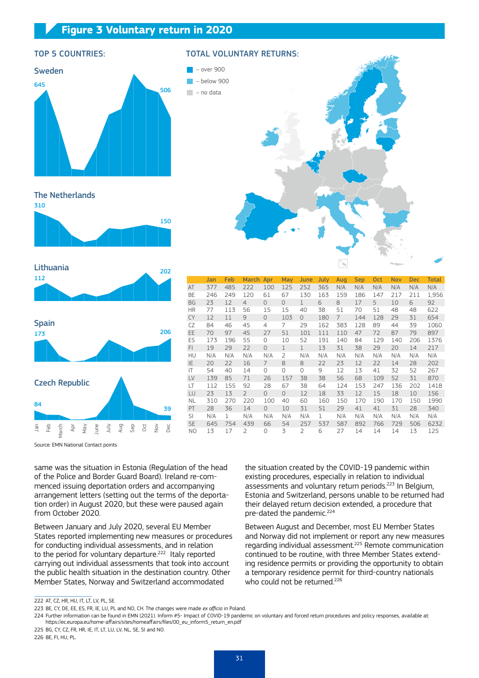#### **Figure 3 Voluntary return in 2020**



#### TOP 5 COUNTRIES: TOTAL VOLUNTARY RETURNS:



Jan Feb March Apr May June July Aug Sep Oct Nov Dec Total<br>377 485 222 100 125 252 365 N/A N/A N/A N/A N/A N/A

LT 112 155 92 28 67 38 64 124 153 247 136 202 1418 LU 23 13 2 0 0 12 18 33 12 15 18 10 156 NL 310 270 220 100 40 60 160 150 170 190 170 150 1990 PT 28 36 14 0 10 31 51 29 41 41 31 28 340 SI N/A 1 N/A N/A N/A N/A 1 N/A N/A N/A N/A N/A N/A SE 645 754 439 66 54 257 537 587 892 766 729 506 6232 NO 13 17 2 0 3 2 6 27 14 14 14 13 125

The Netherlands







Source: EMN National Contact points

same was the situation in Estonia (Regulation of the head of the Police and Border Guard Board). Ireland re-commenced issuing deportation orders and accompanying arrangement letters (setting out the terms of the deportation order) in August 2020, but these were paused again from October 2020.

Between January and July 2020, several EU Member States reported implementing new measures or procedures for conducting individual assessments, and in relation to the period for voluntary departure.<sup>222</sup> Italy reported carrying out individual assessments that took into account the public health situation in the destination country. Other Member States, Norway and Switzerland accommodated

the situation created by the COVID-19 pandemic within existing procedures, especially in relation to individual assessments and voluntary return periods.<sup>223</sup> In Belgium, Estonia and Switzerland, persons unable to be returned had their delayed return decision extended, a procedure that pre-dated the pandemic.<sup>224</sup>

Between August and December, most EU Member States and Norway did not implement or report any new measures regarding individual assessment.225 Remote communication continued to be routine, with three Member States extending residence permits or providing the opportunity to obtain a temporary residence permit for third-country nationals who could not be returned.<sup>226</sup>

225 BG, CY, CZ, FR, HR, IE, IT, LT, LU, LV, NL, SE, SI and NO. 226 BE, FI, HU, PL.

<sup>222</sup> AT, CZ, HR, HU, IT, LT, LV, PL, SE.

<sup>223</sup> BE, CY, DE, EE, ES, FR, IE, LU, PL and NO, CH. The changes were made *ex officio* in Poland.

<sup>224</sup> Further information can be found in EMN (2021). Inform #5- Impact of COVID-19 pandemic on voluntary and forced return procedures and policy responses, available at: [https://ec.europa.eu/home-affairs/sites/homeaffairs/files/00\\_eu\\_inform5\\_return\\_en.pdf](https://ec.europa.eu/home-affairs/sites/homeaffairs/files/00_eu_inform5_return_en.pdf)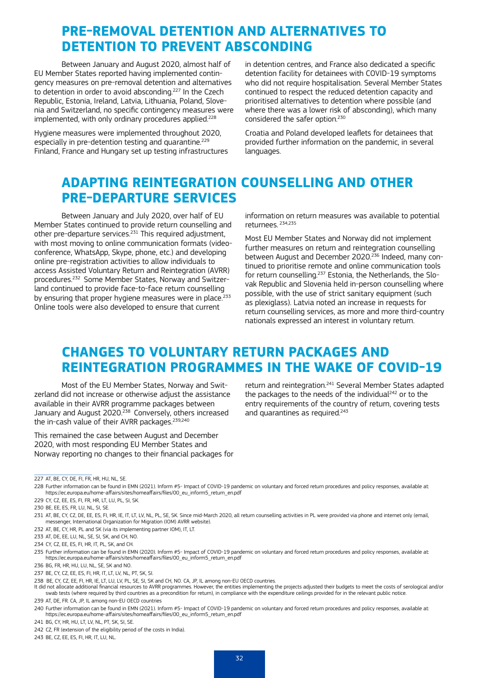# **PRE-REMOVAL DETENTION AND ALTERNATIVES TO DETENTION TO PREVENT ABSCONDING**

Between January and August 2020, almost half of EU Member States reported having implemented contingency measures on pre-removal detention and alternatives to detention in order to avoid absconding.227 In the Czech Republic, Estonia, Ireland, Latvia, Lithuania, Poland, Slovenia and Switzerland, no specific contingency measures were implemented, with only ordinary procedures applied.<sup>228</sup>

Hygiene measures were implemented throughout 2020, especially in pre-detention testing and quarantine.<sup>229</sup> Finland, France and Hungary set up testing infrastructures in detention centres, and France also dedicated a specific detention facility for detainees with COVID-19 symptoms who did not require hospitalisation. Several Member States continued to respect the reduced detention capacity and prioritised alternatives to detention where possible (and where there was a lower risk of absconding), which many considered the safer option.<sup>230</sup>

Croatia and Poland developed leaflets for detainees that provided further information on the pandemic, in several languages.

# **ADAPTING REINTEGRATION COUNSELLING AND OTHER PRE-DEPARTURE SERVICES**

Between January and July 2020, over half of EU Member States continued to provide return counselling and other pre-departure services. $231$  This required adjustment, with most moving to online communication formats (videoconference, WhatsApp, Skype, phone, etc.) and developing online pre-registration activities to allow individuals to access Assisted Voluntary Return and Reintegration (AVRR) procedures.232 Some Member States, Norway and Switzerland continued to provide face-to-face return counselling by ensuring that proper hygiene measures were in place.<sup>233</sup> Online tools were also developed to ensure that current

information on return measures was available to potential returnees. 234,235

Most EU Member States and Norway did not implement further measures on return and reintegration counselling between August and December 2020.236 Indeed, many continued to prioritise remote and online communication tools for return counselling.237 Estonia, the Netherlands, the Slovak Republic and Slovenia held in-person counselling where possible, with the use of strict sanitary equipment (such as plexiglass). Latvia noted an increase in requests for return counselling services, as more and more third-country nationals expressed an interest in voluntary return.

# **CHANGES TO VOLUNTARY RETURN PACKAGES AND REINTEGRATION PROGRAMMES IN THE WAKE OF COVID-19**

Most of the EU Member States, Norway and Switzerland did not increase or otherwise adjust the assistance available in their AVRR programme packages between January and August 2020.<sup>238</sup> Conversely, others increased the in-cash value of their AVRR packages.<sup>239,240</sup>

This remained the case between August and December 2020, with most responding EU Member States and Norway reporting no changes to their financial packages for

return and reintegration.241 Several Member States adapted the packages to the needs of the individual<sup>242</sup> or to the entry requirements of the country of return, covering tests and quarantines as required.<sup>243</sup>

228 Further information can be found in EMN (2021). Inform #5- Impact of COVID-19 pandemic on voluntary and forced return procedures and policy responses, available at: [https://ec.europa.eu/home-affairs/sites/homeaffairs/files/00\\_eu\\_inform5\\_return\\_en.pdf](https://ec.europa.eu/home-affairs/sites/homeaffairs/files/00_eu_inform5_return_en.pdf)

229 CY, CZ, EE, ES, FI, FR, HR, LT, LU, PL, SI, SK.

230 BE, FE, ES, FR, LU, NL, SL, SE.

- 232 AT, BE, CY, HR, PL and SK (via its implementing partner IOM), IT, LT.
- 233 AT, DE, EE, LU, NL, SE, SL, SK, and CH, NO.
- 234 CY, CZ, EE, ES, FI, HR, IT, PL, SK, and CH.

237 BE, CY, CZ, EE, ES, FI, HR, IT, LT, LV, NL, PT, SK, SI.

- It did not allocate additional financial resources to AVRR programmes. However, the entities implementing the projects adjusted their budgets to meet the costs of serological and/or swab tests (where required by third countries as a precondition for return), in compliance with the expenditure ceilings provided for in the relevant public notice. 239 AT, DE, FR. CA, JP, IL among non-EU OECD countries
- 

243 BE, CZ, EE, ES, FI, HR, IT, LU, NL.

 $\overline{227 \text{ AT } \text{BE} \text{ CY } \text{DE } \text{FI } \text{FR} }$  HR, HU, NL, SE.

<sup>231</sup> AT, BE, CY, CZ, DE, EE, ES, FI, HR, IE, IT, LT, LV, NL, PL, SE, SK. Since mid-March 2020, all return counselling activities in PL were provided via phone and internet only (email, messenger, International Organization for Migration (IOM) AVRR website).

<sup>235</sup> Further information can be found in EMN (2020). Inform #5- Impact of COVID-19 pandemic on voluntary and forced return procedures and policy responses, available at: [https://ec.europa.eu/home-affairs/sites/homeaffairs/files/00\\_eu\\_inform5\\_return\\_en.pdf](https://ec.europa.eu/home-affairs/sites/homeaffairs/files/00_eu_inform5_return_en.pdf)

<sup>236</sup> BG, FR, HR, HU, LU, NL, SE, SK and NO.

<sup>238</sup> BE, CY, CZ, EE, FI, HR, IE, LT, LU, LV, PL, SE, SI, SK and CH, NO. CA, JP, IL among non-EU OECD countries.

<sup>240</sup> Further information can be found in EMN (2021). Inform #5- Impact of COVID-19 pandemic on voluntary and forced return procedures and policy responses, available at: [https://ec.europa.eu/home-affairs/sites/homeaffairs/files/00\\_eu\\_inform5\\_return\\_en.pdf](https://ec.europa.eu/home-affairs/sites/homeaffairs/files/00_eu_inform5_return_en.pdf)

<sup>241</sup> BG, CY, HR, HU, LT, LV, NL, PT, SK, SI, SE.

<sup>242</sup> CZ, FR (extension of the eligibility period of the costs in India).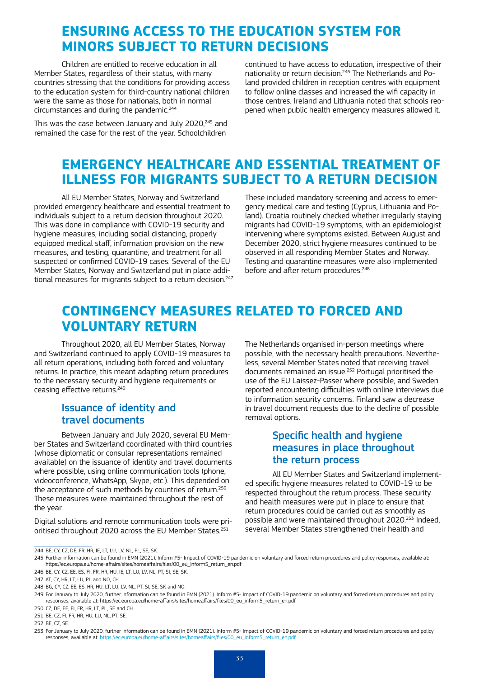# **ENSURING ACCESS TO THE EDUCATION SYSTEM FOR MINORS SUBJECT TO RETURN DECISIONS**

Children are entitled to receive education in all Member States, regardless of their status, with many countries stressing that the conditions for providing access to the education system for third-country national children were the same as those for nationals, both in normal circumstances and during the pandemic.<sup>244</sup>

This was the case between January and July 2020,<sup>245</sup> and remained the case for the rest of the year. Schoolchildren

continued to have access to education, irrespective of their nationality or return decision.246 The Netherlands and Poland provided children in reception centres with equipment to follow online classes and increased the wifi capacity in those centres. Ireland and Lithuania noted that schools reopened when public health emergency measures allowed it.

# **EMERGENCY HEALTHCARE AND ESSENTIAL TREATMENT OF ILLNESS FOR MIGRANTS SUBJECT TO A RETURN DECISION**

All EU Member States, Norway and Switzerland provided emergency healthcare and essential treatment to individuals subject to a return decision throughout 2020. This was done in compliance with COVID-19 security and hygiene measures, including social distancing, properly equipped medical staff, information provision on the new measures, and testing, quarantine, and treatment for all suspected or confirmed COVID-19 cases. Several of the EU Member States, Norway and Switzerland put in place additional measures for migrants subject to a return decision.<sup>247</sup> These included mandatory screening and access to emergency medical care and testing (Cyprus, Lithuania and Poland). Croatia routinely checked whether irregularly staying migrants had COVID-19 symptoms, with an epidemiologist intervening where symptoms existed. Between August and December 2020, strict hygiene measures continued to be observed in all responding Member States and Norway. Testing and quarantine measures were also implemented before and after return procedures.<sup>248</sup>

# **CONTINGENCY MEASURES RELATED TO FORCED AND VOLUNTARY RETURN**

Throughout 2020, all EU Member States, Norway and Switzerland continued to apply COVID-19 measures to all return operations, including both forced and voluntary returns. In practice, this meant adapting return procedures to the necessary security and hygiene requirements or ceasing effective returns.<sup>249</sup>

#### Issuance of identity and travel documents

Between January and July 2020, several EU Member States and Switzerland coordinated with third countries (whose diplomatic or consular representations remained available) on the issuance of identity and travel documents where possible, using online communication tools (phone, videoconference, WhatsApp, Skype, etc.). This depended on the acceptance of such methods by countries of return.<sup>250</sup> These measures were maintained throughout the rest of the year.

Digital solutions and remote communication tools were prioritised throughout 2020 across the EU Member States.<sup>251</sup>

The Netherlands organised in-person meetings where possible, with the necessary health precautions. Nevertheless, several Member States noted that receiving travel documents remained an issue.252 Portugal prioritised the use of the EU Laissez-Passer where possible, and Sweden reported encountering difficulties with online interviews due to information security concerns. Finland saw a decrease in travel document requests due to the decline of possible removal options.

#### Specific health and hygiene measures in place throughout the return process

All EU Member States and Switzerland implemented specific hygiene measures related to COVID-19 to be respected throughout the return process. These security and health measures were put in place to ensure that return procedures could be carried out as smoothly as possible and were maintained throughout 2020.253 Indeed, several Member States strengthened their health and

<sup>244</sup> BE, CY, CZ, DE, FR, HR, IE, LT, LU, LV, NL, PL, SE, SK.

<sup>245</sup> Further information can be found in EMN (2021). Inform #5- Impact of COVID-19 pandemic on voluntary and forced return procedures and policy responses, available at: [https://ec.europa.eu/home-affairs/sites/homeaffairs/files/00\\_eu\\_inform5\\_return\\_en.pdf](https://ec.europa.eu/home-affairs/sites/homeaffairs/files/00_eu_inform5_return_en.pdf)

<sup>246</sup> BE, CY, CZ, EE, ES, FI, FR, HR, HU, IE, LT, LU, LV, NL, PT, SI, SE, SK.

<sup>247</sup> AT CY HR, LT, LLL, PL, and NO, CH.

<sup>248</sup> BG, CY, CZ, EE, ES, HR, HU, LT, LU, LV, NL, PT, SL, SE, SK and NO.

<sup>249</sup> For January to July 2020, further information can be found in EMN (2021). Inform #5- Impact of COVID-19 pandemic on voluntary and forced return procedures and policy responses, available at: [https://ec.europa.eu/home-affairs/sites/homeaffairs/files/00\\_eu\\_inform5\\_return\\_en.pdf](https://ec.europa.eu/home-affairs/sites/homeaffairs/files/00_eu_inform5_return_en.pdf)

<sup>250</sup> CZ, DE, EE, FI, FR, HR, LT, PL, SE and CH. 251 BE CZ, FI, FR, HR, HILLIJ NL, PT, SE.

<sup>252</sup> BE, CZ, SE.

<sup>253</sup> For January to July 2020, further information can be found in EMN (2021). Inform #5- Impact of COVID-19 pandemic on voluntary and forced return procedures and policy responses, available at: [https://ec.europa.eu/home-affairs/sites/homeaffairs/files/00\\_eu\\_inform5\\_return\\_en.pdf](https://ec.europa.eu/home-affairs/sites/homeaffairs/files/00_eu_inform5_return_en.pdf)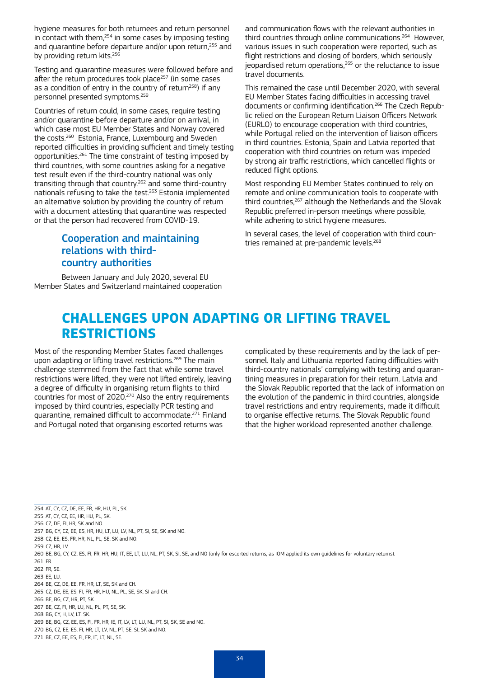hygiene measures for both returnees and return personnel in contact with them,<sup>254</sup> in some cases by imposing testing and quarantine before departure and/or upon return,<sup>255</sup> and by providing return kits.<sup>256</sup>

Testing and quarantine measures were followed before and after the return procedures took place<sup>257</sup> (in some cases as a condition of entry in the country of return<sup>258</sup>) if any personnel presented symptoms.259

Countries of return could, in some cases, require testing and/or quarantine before departure and/or on arrival, in which case most EU Member States and Norway covered the costs.260 Estonia, France, Luxembourg and Sweden reported difficulties in providing sufficient and timely testing opportunities.261 The time constraint of testing imposed by third countries, with some countries asking for a negative test result even if the third-country national was only transiting through that country.262 and some third-country nationals refusing to take the test.263 Estonia implemented an alternative solution by providing the country of return with a document attesting that quarantine was respected or that the person had recovered from COVID-19.

### Cooperation and maintaining relations with thirdcountry authorities

Between January and July 2020, several EU Member States and Switzerland maintained cooperation and communication flows with the relevant authorities in third countries through online communications.264 However, various issues in such cooperation were reported, such as flight restrictions and closing of borders, which seriously jeopardised return operations,<sup>265</sup> or the reluctance to issue travel documents.

This remained the case until December 2020, with several EU Member States facing difficulties in accessing travel documents or confirming identification.266 The Czech Republic relied on the European Return Liaison Officers Network (EURLO) to encourage cooperation with third countries, while Portugal relied on the intervention of liaison officers in third countries. Estonia, Spain and Latvia reported that cooperation with third countries on return was impeded by strong air traffic restrictions, which cancelled flights or reduced flight options.

Most responding EU Member States continued to rely on remote and online communication tools to cooperate with third countries,<sup>267</sup> although the Netherlands and the Slovak Republic preferred in-person meetings where possible, while adhering to strict hygiene measures.

In several cases, the level of cooperation with third countries remained at pre-pandemic levels.<sup>268</sup>

## **CHALLENGES UPON ADAPTING OR LIFTING TRAVEL RESTRICTIONS**

Most of the responding Member States faced challenges upon adapting or lifting travel restrictions.<sup>269</sup> The main challenge stemmed from the fact that while some travel restrictions were lifted, they were not lifted entirely, leaving a degree of difficulty in organising return flights to third countries for most of 2020.<sup>270</sup> Also the entry requirements imposed by third countries, especially PCR testing and quarantine, remained difficult to accommodate.271 Finland and Portugal noted that organising escorted returns was

complicated by these requirements and by the lack of personnel. Italy and Lithuania reported facing difficulties with third-country nationals' complying with testing and quarantining measures in preparation for their return. Latvia and the Slovak Republic reported that the lack of information on the evolution of the pandemic in third countries, alongside travel restrictions and entry requirements, made it difficult to organise effective returns. The Slovak Republic found that the higher workload represented another challenge.

254 AT, CY, CZ, DE, EE, FR, HR, HU, PL, SK.

- 255 AT, CY, CZ, EE, HR, HU, PL, SK.
- 256 CZ, DE, FI, HR, SK and NO.

- 258 CZ, EE, ES, FR, HR, NL, PL, SE, SK and NO.
- 259 CZ, HR, LV.
- 260 BE, BG, CY, CZ, ES, FI, FR, HR, HU, IT, EE, LT, LU, NL, PT, SK, SI, SE, and NO (only for escorted returns, as IOM applied its own guidelines for voluntary returns). 261 FR.
- 262 FR, SE.
- 263 FF LU
- 264 BE, CZ, DE, EE, FR, HR, LT, SE, SK and CH.
- 265 CZ, DE, EE, ES, FI, FR, HR, HU, NL, PL, SE, SK, SI and CH. 266 BE, BG, CZ, HR, PT, SK.
- 
- 267 BE, CZ, FI, HR, LU, NL, PL, PT, SE, SK. 268 BG, CY, H, LV, LT. SK.
- 269 BE, BG, CZ, EE, ES, FI, FR, HR, IE, IT, LV, LT, LU, NL, PT, SI, SK, SE and NO.
- 270 BG, CZ, EE, ES, FI, HR, LT, LV, NL, PT, SE, SI, SK and NO.
- 271 BE, CZ, EE, ES, FI, FR, IT, LT, NL, SE.

<sup>257</sup> BG, CY, CZ, EE, ES, HR, HU, LT, LU, LV, NL, PT, SI, SE, SK and NO.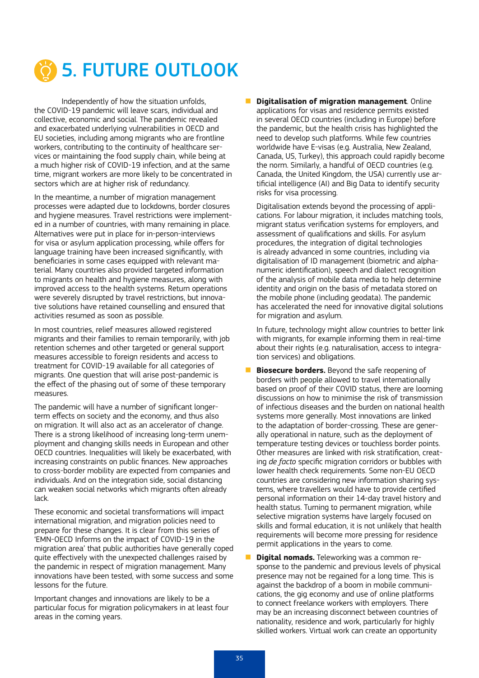

Independently of how the situation unfolds, the COVID-19 pandemic will leave scars, individual and collective, economic and social. The pandemic revealed and exacerbated underlying vulnerabilities in OECD and EU societies, including among migrants who are frontline workers, contributing to the continuity of healthcare services or maintaining the food supply chain, while being at a much higher risk of COVID-19 infection, and at the same time, migrant workers are more likely to be concentrated in sectors which are at higher risk of redundancy.

In the meantime, a number of migration management processes were adapted due to lockdowns, border closures and hygiene measures. Travel restrictions were implemented in a number of countries, with many remaining in place. Alternatives were put in place for in-person-interviews for visa or asylum application processing, while offers for language training have been increased significantly, with beneficiaries in some cases equipped with relevant material. Many countries also provided targeted information to migrants on health and hygiene measures, along with improved access to the health systems. Return operations were severely disrupted by travel restrictions, but innovative solutions have retained counselling and ensured that activities resumed as soon as possible.

In most countries, relief measures allowed registered migrants and their families to remain temporarily, with job retention schemes and other targeted or general support measures accessible to foreign residents and access to treatment for COVID-19 available for all categories of migrants. One question that will arise post-pandemic is the effect of the phasing out of some of these temporary measures.

The pandemic will have a number of significant longerterm effects on society and the economy, and thus also on migration. It will also act as an accelerator of change. There is a strong likelihood of increasing long-term unemployment and changing skills needs in European and other OECD countries. Inequalities will likely be exacerbated, with increasing constraints on public finances. New approaches to cross-border mobility are expected from companies and individuals. And on the integration side, social distancing can weaken social networks which migrants often already lack.

These economic and societal transformations will impact international migration, and migration policies need to prepare for these changes. It is clear from this series of 'EMN-OECD Informs on the impact of COVID-19 in the migration area' that public authorities have generally coped quite effectively with the unexpected challenges raised by the pandemic in respect of migration management. Many innovations have been tested, with some success and some lessons for the future.

Important changes and innovations are likely to be a particular focus for migration policymakers in at least four areas in the coming years.

**Digitalisation of migration management**. Online applications for visas and residence permits existed in several OECD countries (including in Europe) before the pandemic, but the health crisis has highlighted the need to develop such platforms. While few countries worldwide have E-visas (e.g. Australia, New Zealand, Canada, US, Turkey), this approach could rapidly become the norm. Similarly, a handful of OECD countries (e.g. Canada, the United Kingdom, the USA) currently use artificial intelligence (AI) and Big Data to identify security risks for visa processing.

Digitalisation extends beyond the processing of applications. For labour migration, it includes matching tools, migrant status verification systems for employers, and assessment of qualifications and skills. For asylum procedures, the integration of digital technologies is already advanced in some countries, including via digitalisation of ID management (biometric and alphanumeric identification), speech and dialect recognition of the analysis of mobile data media to help determine identity and origin on the basis of metadata stored on the mobile phone (including geodata). The pandemic has accelerated the need for innovative digital solutions for migration and asylum.

In future, technology might allow countries to better link with migrants, for example informing them in real-time about their rights (e.g. naturalisation, access to integration services) and obligations.

- **Biosecure borders.** Beyond the safe reopening of borders with people allowed to travel internationally based on proof of their COVID status, there are looming discussions on how to minimise the risk of transmission of infectious diseases and the burden on national health systems more generally. Most innovations are linked to the adaptation of border-crossing. These are generally operational in nature, such as the deployment of temperature testing devices or touchless border points. Other measures are linked with risk stratification, creating *de facto* specific migration corridors or bubbles with lower health check requirements. Some non-EU OECD countries are considering new information sharing systems, where travellers would have to provide certified personal information on their 14-day travel history and health status. Turning to permanent migration, while selective migration systems have largely focused on skills and formal education, it is not unlikely that health requirements will become more pressing for residence permit applications in the years to come.
- **Digital nomads.** Teleworking was a common response to the pandemic and previous levels of physical presence may not be regained for a long time. This is against the backdrop of a boom in mobile communications, the gig economy and use of online platforms to connect freelance workers with employers. There may be an increasing disconnect between countries of nationality, residence and work, particularly for highly skilled workers. Virtual work can create an opportunity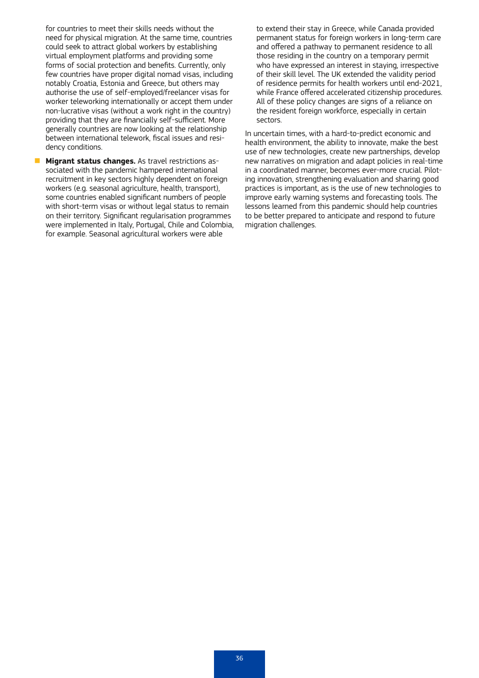for countries to meet their skills needs without the need for physical migration. At the same time, countries could seek to attract global workers by establishing virtual employment platforms and providing some forms of social protection and benefits. Currently, only few countries have proper digital nomad visas, including notably Croatia, Estonia and Greece, but others may authorise the use of self-employed/freelancer visas for worker teleworking internationally or accept them under non-lucrative visas (without a work right in the country) providing that they are financially self-sufficient. More generally countries are now looking at the relationship between international telework, fiscal issues and residency conditions.

**Migrant status changes.** As travel restrictions associated with the pandemic hampered international recruitment in key sectors highly dependent on foreign workers (e.g. seasonal agriculture, health, transport), some countries enabled significant numbers of people with short-term visas or without legal status to remain on their territory. Significant regularisation programmes were implemented in Italy, Portugal, Chile and Colombia, for example. Seasonal agricultural workers were able

to extend their stay in Greece, while Canada provided permanent status for foreign workers in long-term care and offered a pathway to permanent residence to all those residing in the country on a temporary permit who have expressed an interest in staying, irrespective of their skill level. The UK extended the validity period of residence permits for health workers until end-2021, while France offered accelerated citizenship procedures. All of these policy changes are signs of a reliance on the resident foreign workforce, especially in certain sectors.

In uncertain times, with a hard-to-predict economic and health environment, the ability to innovate, make the best use of new technologies, create new partnerships, develop new narratives on migration and adapt policies in real-time in a coordinated manner, becomes ever-more crucial. Piloting innovation, strengthening evaluation and sharing good practices is important, as is the use of new technologies to improve early warning systems and forecasting tools. The lessons learned from this pandemic should help countries to be better prepared to anticipate and respond to future migration challenges.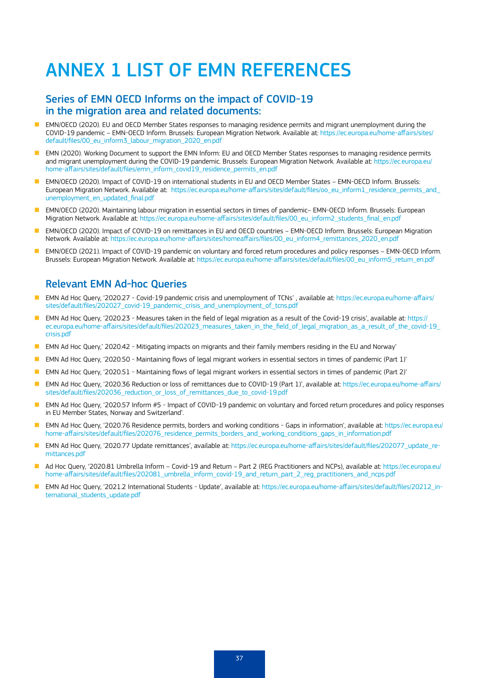# ANNEX 1 LIST OF EMN REFERENCES

#### Series of EMN OECD Informs on the impact of COVID-19 in the migration area and related documents:

- n EMN/OECD (2020). EU and OECD Member States responses to managing residence permits and migrant unemployment during the COVID-19 pandemic – EMN-OECD Inform. Brussels: European Migration Network. Available at: [https://ec.europa.eu/home-affairs/sites/](https://ec.europa.eu/home-affairs/sites/default/files/00_eu_inform3_labour_migration_2020_en.pdf) [default/files/00\\_eu\\_inform3\\_labour\\_migration\\_2020\\_en.pdf](https://ec.europa.eu/home-affairs/sites/default/files/00_eu_inform3_labour_migration_2020_en.pdf)
- EMN (2020). Working Document to support the EMN Inform: EU and OECD Member States responses to managing residence permits and migrant unemployment during the COVID-19 pandemic. Brussels: European Migration Network. Available at: [https://ec.europa.eu/](https://ec.europa.eu/home-affairs/sites/default/files/emn_inform_covid19_residence_permits_en.pdf) [home-affairs/sites/default/files/emn\\_inform\\_covid19\\_residence\\_permits\\_en.pdf](https://ec.europa.eu/home-affairs/sites/default/files/emn_inform_covid19_residence_permits_en.pdf)
- EMN/OECD (2020). Impact of COVID-19 on international students in EU and OECD Member States EMN-OECD Inform. Brussels: European Migration Network. Available at: https://ec.europa.eu/home-affairs/sites/default/files/oo\_eu\_inform1\_residence\_permits\_and [unemployment\\_en\\_updated\\_final.pdf](https://ec.europa.eu/home-affairs/sites/default/files/oo_eu_inform1_residence_permits_and_unemployment_en_updated_final.pdf)
- EMN/OECD (2020). Maintaining labour migration in essential sectors in times of pandemic– EMN-OECD Inform. Brussels: European Migration Network. Available at: [https://ec.europa.eu/home-affairs/sites/default/files/00\\_eu\\_inform2\\_students\\_final\\_en.pdf](https://ec.europa.eu/home-affairs/sites/default/files/00_eu_inform2_students_final_en.pdf)
- EMN/OECD (2020). Impact of COVID-19 on remittances in EU and OECD countries EMN-OECD Inform. Brussels: European Migration Network. Available at: [https://ec.europa.eu/home-affairs/sites/homeaffairs/files/00\\_eu\\_inform4\\_remittances\\_2020\\_en.pdf](https://ec.europa.eu/home-affairs/sites/homeaffairs/files/00_eu_inform4_remittances_2020_en.pdf)
- n EMN/OECD (2021). Impact of COVID-19 pandemic on voluntary and forced return procedures and policy responses EMN-OECD Inform. Brussels: European Migration Network. Available at: [https://ec.europa.eu/home-affairs/sites/default/files/00\\_eu\\_inform5\\_return\\_en.pdf](https://ec.europa.eu/home-affairs/sites/default/files/00_eu_inform5_return_en.pdf)

#### Relevant EMN Ad-hoc Queries

- EMN Ad Hoc Query, '2020.27 Covid-19 pandemic crisis and unemployment of TCNs', available at: [https://ec.europa.eu/home-affairs/](https://ec.europa.eu/home-affairs/sites/default/files/202027_covid-19_pandemic_crisis_and_unemployment_of_tcns.pdf) [sites/default/files/202027\\_covid-19\\_pandemic\\_crisis\\_and\\_unemployment\\_of\\_tcns.pdf](https://ec.europa.eu/home-affairs/sites/default/files/202027_covid-19_pandemic_crisis_and_unemployment_of_tcns.pdf)
- EMN Ad Hoc Query, '2020.23 Measures taken in the field of legal migration as a result of the Covid-19 crisis', available at: [https://](https://ec.europa.eu/home-affairs/sites/default/files/202023_measures_taken_in_the_field_of_legal_migration_as_a_result_of_the_covid-19_crisis.pdf) ec.europa.eu/home-affairs/sites/default/files/202023 measures\_taken\_in\_the\_field\_of\_legal\_migration\_as\_a\_result\_of\_the\_covid-19 [crisis.pdf](https://ec.europa.eu/home-affairs/sites/default/files/202023_measures_taken_in_the_field_of_legal_migration_as_a_result_of_the_covid-19_crisis.pdf)
- **EMN** Ad Hoc Query, 2020.42 Mitigating impacts on migrants and their family members residing in the EU and Norway'
- EMN Ad Hoc Query, '2020.50 Maintaining flows of legal migrant workers in essential sectors in times of pandemic (Part 1)'
- EMN Ad Hoc Query, '2020.51 Maintaining flows of legal migrant workers in essential sectors in times of pandemic (Part 2)'
- n EMN Ad Hoc Query, '2020.36 Reduction or loss of remittances due to COVID-19 (Part 1)', available at: [https://ec.europa.eu/home-affairs/](https://ec.europa.eu/home-affairs/sites/default/files/202036_reduction_or_loss_of_remittances_due_to_covid-19.pdf) [sites/default/files/202036\\_reduction\\_or\\_loss\\_of\\_remittances\\_due\\_to\\_covid-19.pdf](https://ec.europa.eu/home-affairs/sites/default/files/202036_reduction_or_loss_of_remittances_due_to_covid-19.pdf)
- EMN Ad Hoc Query, '2020.57 Inform #5 Impact of COVID-19 pandemic on voluntary and forced return procedures and policy responses in EU Member States, Norway and Switzerland'.
- EMN Ad Hoc Query, '2020.76 Residence permits, borders and working conditions Gaps in information', available at: [https://ec.europa.eu/](https://ec.europa.eu/home-affairs/sites/default/files/202076_residence_permits_borders_and_working_conditions_gaps_in_information.pdf) home-affairs/sites/default/files/202076 residence permits borders and working conditions gaps in information.pdf
- EMN Ad Hoc Query, '2020.77 Update remittances', available at: [https://ec.europa.eu/home-affairs/sites/default/files/202077\\_update\\_re](https://ec.europa.eu/home-affairs/sites/default/files/202077_update_remittances.pdf)[mittances.pdf](https://ec.europa.eu/home-affairs/sites/default/files/202077_update_remittances.pdf)
- Ad Hoc Query, '2020.81 Umbrella Inform Covid-19 and Return Part 2 (REG Practitioners and NCPs), available at: [https://ec.europa.eu/](https://ec.europa.eu/home-affairs/sites/default/files/202081_umbrella_inform_covid-19_and_return_part_2_reg_practitioners_and_ncps.pdf) [home-affairs/sites/default/files/202081\\_umbrella\\_inform\\_covid-19\\_and\\_return\\_part\\_2\\_reg\\_practitioners\\_and\\_ncps.pdf](https://ec.europa.eu/home-affairs/sites/default/files/202081_umbrella_inform_covid-19_and_return_part_2_reg_practitioners_and_ncps.pdf)
- n EMN Ad Hoc Query, '2021.2 International Students Update', available at: [https://ec.europa.eu/home-affairs/sites/default/files/20212\\_in](https://ec.europa.eu/home-affairs/sites/default/files/20212_international_students_update.pdf)ternational students update.pdf